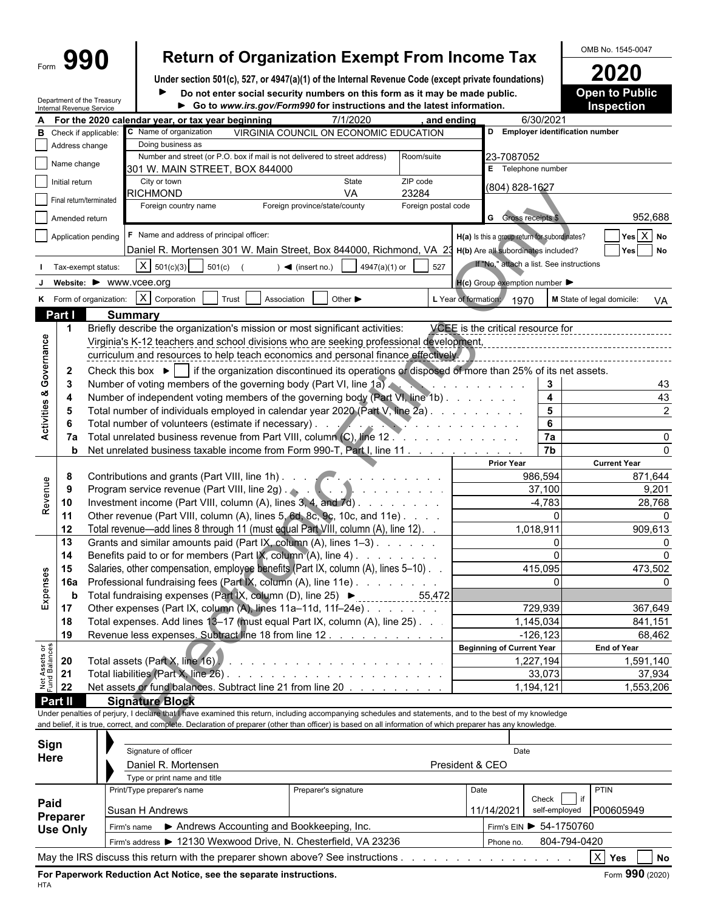Department of the Treasury Internal Revenue Service

## Form  $\left\{\mathbf{990}\right\}$  Return of Organization Exempt From Income Tax  $\left\{\frac{\text{OMB No. }1545-0047}{2020}\right\}$

**Under section 501(c), 527, or 4947(a)(1) of the Internal Revenue Code (except private foundations) 2020 Do not enter social security numbers on this form as it may be made public. <br>
<b>Open to Public**  $\blacktriangleright$ 

**Go to** *www.irs.gov/Form990* **for instructions and the latest information. Inspection**

| A                              |                 |                                                                                                                                                     | For the 2020 calendar year, or tax year beginning                                                                                                            | 7/1/2020                                           | and ending                          |                                                     | 6/30/2021                            |                                  |  |  |  |  |  |
|--------------------------------|-----------------|-----------------------------------------------------------------------------------------------------------------------------------------------------|--------------------------------------------------------------------------------------------------------------------------------------------------------------|----------------------------------------------------|-------------------------------------|-----------------------------------------------------|--------------------------------------|----------------------------------|--|--|--|--|--|
| в                              |                 | Check if applicable:                                                                                                                                | C Name of organization                                                                                                                                       | VIRGINIA COUNCIL ON ECONOMIC EDUCATION             |                                     |                                                     | D Employer identification number     |                                  |  |  |  |  |  |
|                                | Address change  |                                                                                                                                                     | Doing business as                                                                                                                                            |                                                    |                                     |                                                     |                                      |                                  |  |  |  |  |  |
|                                | Name change     |                                                                                                                                                     | Number and street (or P.O. box if mail is not delivered to street address)                                                                                   |                                                    | Room/suite                          | 23-7087052                                          |                                      |                                  |  |  |  |  |  |
|                                |                 |                                                                                                                                                     | 301 W. MAIN STREET, BOX 844000                                                                                                                               |                                                    |                                     | E Telephone number                                  |                                      |                                  |  |  |  |  |  |
|                                | Initial return  |                                                                                                                                                     | City or town                                                                                                                                                 | State                                              | ZIP code                            | (804) 828-1627                                      |                                      |                                  |  |  |  |  |  |
|                                |                 | Final return/terminated                                                                                                                             | RICHMOND                                                                                                                                                     | VA                                                 | 23284                               |                                                     |                                      |                                  |  |  |  |  |  |
|                                |                 |                                                                                                                                                     | Foreign country name                                                                                                                                         | Foreign province/state/county                      | Foreign postal code                 |                                                     |                                      |                                  |  |  |  |  |  |
|                                | Amended return  |                                                                                                                                                     |                                                                                                                                                              |                                                    |                                     | <b>G</b> Gross receipts \$                          |                                      | 952,688                          |  |  |  |  |  |
|                                |                 | Application pending                                                                                                                                 | F Name and address of principal officer:                                                                                                                     |                                                    |                                     | H(a) Is this a group return for subordinates?       |                                      | $Yes \overline{X} No$            |  |  |  |  |  |
|                                |                 |                                                                                                                                                     | Daniel R. Mortensen 301 W. Main Street, Box 844000, Richmond, VA 23 H(b) Are all subordinates included?                                                      |                                                    |                                     |                                                     |                                      | Yes   No                         |  |  |  |  |  |
|                                |                 | Tax-exempt status:                                                                                                                                  | X   501(c)(3)<br>501(c)                                                                                                                                      | 4947(a)(1) or<br>$\blacktriangleleft$ (insert no.) | 527                                 | If "No," attach a list. See instructions            |                                      |                                  |  |  |  |  |  |
|                                |                 |                                                                                                                                                     |                                                                                                                                                              |                                                    |                                     |                                                     |                                      |                                  |  |  |  |  |  |
|                                |                 |                                                                                                                                                     | Website: ▶ WWW.VCee.org                                                                                                                                      |                                                    |                                     | $H(c)$ Group exemption number $\blacktriangleright$ |                                      |                                  |  |  |  |  |  |
|                                |                 | K Form of organization:                                                                                                                             | X Corporation<br>Trust<br>Association                                                                                                                        | Other $\blacktriangleright$                        | L Year of formation:                | 1970                                                |                                      | M State of legal domicile:<br>VA |  |  |  |  |  |
|                                | Part I          |                                                                                                                                                     | <b>Summary</b>                                                                                                                                               |                                                    |                                     |                                                     |                                      |                                  |  |  |  |  |  |
|                                | $\mathbf 1$     |                                                                                                                                                     | Briefly describe the organization's mission or most significant activities:                                                                                  |                                                    |                                     | VCEE is the critical resource for                   |                                      |                                  |  |  |  |  |  |
|                                |                 |                                                                                                                                                     | Virginia's K-12 teachers and school divisions who are seeking professional development,                                                                      |                                                    |                                     |                                                     |                                      |                                  |  |  |  |  |  |
| Governance                     |                 |                                                                                                                                                     | curriculum and resources to help teach economics and personal finance effectively.                                                                           |                                                    |                                     |                                                     |                                      |                                  |  |  |  |  |  |
|                                |                 |                                                                                                                                                     |                                                                                                                                                              |                                                    |                                     |                                                     |                                      |                                  |  |  |  |  |  |
|                                | $\mathbf{2}$    |                                                                                                                                                     | Check this box $\blacktriangleright$ if the organization discontinued its operations or disposed of more than 25% of its net assets.                         |                                                    |                                     |                                                     |                                      |                                  |  |  |  |  |  |
|                                | 3               |                                                                                                                                                     | Number of voting members of the governing body (Part VI, line 1a).                                                                                           |                                                    |                                     | and the company of the company                      | 3                                    | 43                               |  |  |  |  |  |
| Activities &                   | 4               |                                                                                                                                                     | Number of independent voting members of the governing body (Part VI, line 1b)                                                                                |                                                    |                                     |                                                     | $\overline{\mathbf{4}}$              | 43                               |  |  |  |  |  |
|                                | 5               |                                                                                                                                                     | Total number of individuals employed in calendar year 2020 (Part V, line 2a).                                                                                |                                                    |                                     |                                                     | $\overline{\mathbf{5}}$              | $\overline{2}$                   |  |  |  |  |  |
|                                | 6               |                                                                                                                                                     | Total number of volunteers (estimate if necessary).                                                                                                          |                                                    | and the contract of the contract of |                                                     | 6                                    |                                  |  |  |  |  |  |
|                                | 7a              |                                                                                                                                                     | Total unrelated business revenue from Part VIII, column (C), line 12.                                                                                        |                                                    |                                     |                                                     | 7a                                   |                                  |  |  |  |  |  |
|                                | b               |                                                                                                                                                     | Net unrelated business taxable income from Form 990-T, Part I, line 11                                                                                       |                                                    |                                     |                                                     | $\overline{7b}$                      |                                  |  |  |  |  |  |
|                                |                 |                                                                                                                                                     |                                                                                                                                                              |                                                    |                                     | <b>Prior Year</b>                                   |                                      | <b>Current Year</b>              |  |  |  |  |  |
|                                | 8               |                                                                                                                                                     | Contributions and grants (Part VIII, line 1h)                                                                                                                |                                                    |                                     | 986,594                                             | 871,644                              |                                  |  |  |  |  |  |
| Revenue                        | 9               |                                                                                                                                                     |                                                                                                                                                              |                                                    |                                     | 37,100                                              | 9,201                                |                                  |  |  |  |  |  |
|                                | 10              |                                                                                                                                                     | Investment income (Part VIII, column (A), lines 3, 4, and 7d)                                                                                                |                                                    |                                     |                                                     | $-4,783$                             | 28,768                           |  |  |  |  |  |
|                                | 11              |                                                                                                                                                     | Other revenue (Part VIII, column (A), lines 5, 6d, 8c, 9c, 10c, and 11e)                                                                                     |                                                    |                                     |                                                     | $\Omega$                             |                                  |  |  |  |  |  |
|                                | 12              |                                                                                                                                                     | Total revenue—add lines 8 through 11 (must equal Part VIII, column (A), line 12). .                                                                          |                                                    |                                     | 1,018,911                                           |                                      | 909,613                          |  |  |  |  |  |
|                                | 13              |                                                                                                                                                     | Grants and similar amounts paid (Part IX, column (A), lines 1-3)                                                                                             |                                                    |                                     |                                                     | $\mathbf 0$                          |                                  |  |  |  |  |  |
|                                |                 |                                                                                                                                                     |                                                                                                                                                              |                                                    |                                     | $\Omega$                                            |                                      |                                  |  |  |  |  |  |
|                                | 14              | Benefits paid to or for members (Part IX, column (A), line 4)<br>Salaries, other compensation, employee benefits (Part IX, column (A), lines 5-10). |                                                                                                                                                              |                                                    |                                     |                                                     |                                      |                                  |  |  |  |  |  |
| Expenses                       | 15              |                                                                                                                                                     |                                                                                                                                                              |                                                    |                                     |                                                     | 415,095                              | 473,502                          |  |  |  |  |  |
|                                | <b>16a</b>      |                                                                                                                                                     | Professional fundraising fees (Part IX, column (A), line 11e)                                                                                                |                                                    |                                     |                                                     | $\Omega$                             |                                  |  |  |  |  |  |
|                                | b               |                                                                                                                                                     | Total fundraising expenses (Part IX, column (D), line 25) ▶                                                                                                  | ------------                                       | 55,472                              |                                                     |                                      |                                  |  |  |  |  |  |
|                                | 17              |                                                                                                                                                     | Other expenses (Part IX, column (A), lines 11a-11d, 11f-24e)                                                                                                 |                                                    |                                     |                                                     | 729,939                              | 367,649                          |  |  |  |  |  |
|                                | 18              |                                                                                                                                                     | Total expenses. Add lines 13-17 (must equal Part IX, column (A), line 25). .                                                                                 |                                                    |                                     | 1,145,034                                           |                                      | 841,151                          |  |  |  |  |  |
|                                | 19              |                                                                                                                                                     | Revenue less expenses. Subtract line 18 from line 12                                                                                                         |                                                    |                                     |                                                     | $-126, 123$                          | 68,462                           |  |  |  |  |  |
|                                |                 |                                                                                                                                                     |                                                                                                                                                              |                                                    |                                     | <b>Beginning of Current Year</b>                    |                                      | <b>End of Year</b>               |  |  |  |  |  |
|                                | 20              |                                                                                                                                                     | Total assets (Part X, line 16).                                                                                                                              |                                                    |                                     | 1,227,194                                           |                                      | 1,591,140                        |  |  |  |  |  |
|                                | 21              |                                                                                                                                                     |                                                                                                                                                              |                                                    |                                     |                                                     | 33,073                               | 37,934                           |  |  |  |  |  |
| Net Assets or<br>Fund Balances | 22              |                                                                                                                                                     | Net assets or fund balances. Subtract line 21 from line 20                                                                                                   |                                                    |                                     | 1,194,121                                           |                                      | 1,553,206                        |  |  |  |  |  |
|                                | Part II         |                                                                                                                                                     | <b>Signature Block</b>                                                                                                                                       |                                                    |                                     |                                                     |                                      |                                  |  |  |  |  |  |
|                                |                 |                                                                                                                                                     | Under penalties of perjury, I declare that I have examined this return, including accompanying schedules and statements, and to the best of my knowledge     |                                                    |                                     |                                                     |                                      |                                  |  |  |  |  |  |
|                                |                 |                                                                                                                                                     | and belief, it is true, correct, and complete. Declaration of preparer (other than officer) is based on all information of which preparer has any knowledge. |                                                    |                                     |                                                     |                                      |                                  |  |  |  |  |  |
|                                |                 |                                                                                                                                                     |                                                                                                                                                              |                                                    |                                     |                                                     |                                      |                                  |  |  |  |  |  |
|                                | Sign            |                                                                                                                                                     | Signature of officer                                                                                                                                         |                                                    |                                     | Date                                                |                                      |                                  |  |  |  |  |  |
|                                | Here            |                                                                                                                                                     | Daniel R. Mortensen                                                                                                                                          |                                                    | President & CEO                     |                                                     |                                      |                                  |  |  |  |  |  |
|                                |                 |                                                                                                                                                     |                                                                                                                                                              |                                                    |                                     |                                                     |                                      |                                  |  |  |  |  |  |
|                                |                 |                                                                                                                                                     | Type or print name and title<br>Print/Type preparer's name                                                                                                   |                                                    |                                     |                                                     |                                      | PTIN                             |  |  |  |  |  |
|                                |                 |                                                                                                                                                     |                                                                                                                                                              | Preparer's signature                               |                                     | Date                                                | $\overline{\phantom{a}}$ if<br>Check |                                  |  |  |  |  |  |
| Paid                           |                 |                                                                                                                                                     | <b>Susan H Andrews</b>                                                                                                                                       |                                                    |                                     | 11/14/2021                                          | self-employed                        | P00605949                        |  |  |  |  |  |
|                                | Preparer        |                                                                                                                                                     | Firm's name > Andrews Accounting and Bookkeeping, Inc.                                                                                                       |                                                    |                                     | Firm's EIN > 54-1750760                             |                                      |                                  |  |  |  |  |  |
|                                | <b>Use Only</b> |                                                                                                                                                     |                                                                                                                                                              |                                                    |                                     |                                                     |                                      |                                  |  |  |  |  |  |

Firm's address > 12130 Wexwood Drive, N. Chesterfield, VA 23236 Phone no. 804-794-0420 May the IRS discuss this return with the preparer shown above? See instructions . . . . . . . . . . . . . . . . . . . . . . . . . . . . . . . . . . . . . . . . . . X **Yes No**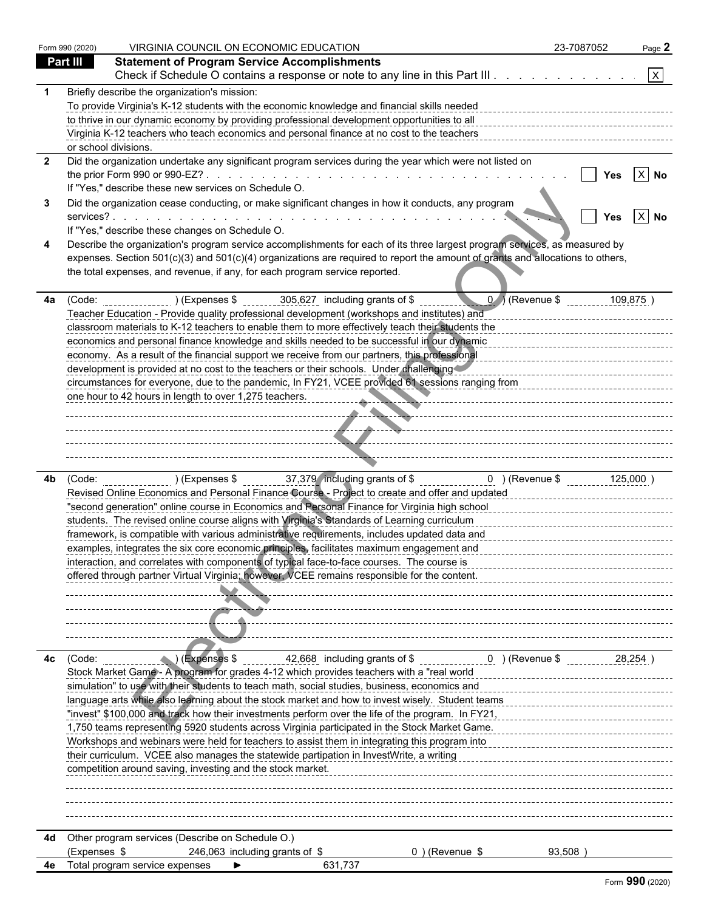| Part III<br><b>Statement of Program Service Accomplishments</b><br>$\mathsf{X}$<br>Check if Schedule O contains a response or note to any line in this Part III<br>Briefly describe the organization's mission:<br>To provide Virginia's K-12 students with the economic knowledge and financial skills needed<br>to thrive in our dynamic economy by providing professional development opportunities to all<br>Virginia K-12 teachers who teach economics and personal finance at no cost to the teachers<br>or school divisions.<br>Did the organization undertake any significant program services during the year which were not listed on<br>$X$ No<br>If "Yes," describe these new services on Schedule O.<br>Did the organization cease conducting, or make significant changes in how it conducts, any program<br>$ X $ No<br><b>Yes</b><br>If "Yes," describe these changes on Schedule O.<br>Describe the organization's program service accomplishments for each of its three largest program services, as measured by<br>expenses. Section 501(c)(3) and 501(c)(4) organizations are required to report the amount of grants and allocations to others,<br>the total expenses, and revenue, if any, for each program service reported.<br>$0$ / (Revenue \$<br>305,627 including grants of \$<br>(Code: ) (Expenses \$<br>109,875<br>Teacher Education - Provide quality professional development (workshops and institutes) and<br>classroom materials to K-12 teachers to enable them to more effectively teach their students the<br>economics and personal finance knowledge and skills needed to be successful in our dynamic<br>economy. As a result of the financial support we receive from our partners, this professional<br>development is provided at no cost to the teachers or their schools. Under challenging<br>circumstances for everyone, due to the pandemic, In FY21, VCEE provided 61 sessions ranging from<br>one hour to 42 hours in length to over 1,275 teachers.<br>. <u>.</u><br>--------------- <del>---------------</del> -<br>4b.<br>Revised Online Economics and Personal Finance Course - Project to create and offer and updated<br>"second generation" online course in Economics and Personal Finance for Virginia high school<br>students. The revised online course aligns with Virginia's Standards of Learning curriculum<br>-------------------------------<br>framework, is compatible with various administrative requirements, includes updated data and<br>examples, integrates the six core economic principles, facilitates maximum engagement and<br>interaction, and correlates with components of typical face-to-face courses. The course is<br>offered through partner Virtual Virginia; however, VCEE remains responsible for the content.<br>$\left($ $\blacksquare$ $\right)$ (Expenses \$<br>42,668 including grants of \$ _______________0 ) (Revenue \$<br>(Code:<br>28,254<br>Stock Market Game - A program for grades 4-12 which provides teachers with a "real world<br>simulation" to use with their students to teach math, social studies, business, economics and<br>language arts while also learning about the stock market and how to invest wisely. Student teams<br>"invest" \$100,000 and track how their investments perform over the life of the program. In FY21,<br>1,750 teams representing 5920 students across Virginia participated in the Stock Market Game.<br>Workshops and webinars were held for teachers to assist them in integrating this program into<br>their curriculum. VCEE also manages the statewide partipation in InvestWrite, a writing<br>competition around saving, investing and the stock market.<br>Other program services (Describe on Schedule O.)<br>246,063 including grants of \$<br>(Expenses \$<br>0) (Revenue \$<br>93,508)<br>Total program service expenses<br>631,737 |                         | Form 990 (2020) | VIRGINIA COUNCIL ON ECONOMIC EDUCATION | 23-7087052 | Page 2 |
|-----------------------------------------------------------------------------------------------------------------------------------------------------------------------------------------------------------------------------------------------------------------------------------------------------------------------------------------------------------------------------------------------------------------------------------------------------------------------------------------------------------------------------------------------------------------------------------------------------------------------------------------------------------------------------------------------------------------------------------------------------------------------------------------------------------------------------------------------------------------------------------------------------------------------------------------------------------------------------------------------------------------------------------------------------------------------------------------------------------------------------------------------------------------------------------------------------------------------------------------------------------------------------------------------------------------------------------------------------------------------------------------------------------------------------------------------------------------------------------------------------------------------------------------------------------------------------------------------------------------------------------------------------------------------------------------------------------------------------------------------------------------------------------------------------------------------------------------------------------------------------------------------------------------------------------------------------------------------------------------------------------------------------------------------------------------------------------------------------------------------------------------------------------------------------------------------------------------------------------------------------------------------------------------------------------------------------------------------------------------------------------------------------------------------------------------------------------------------------------------------------------------------------------------------------------------------------------------------------------------------------------------------------------------------------------------------------------------------------------------------------------------------------------------------------------------------------------------------------------------------------------------------------------------------------------------------------------------------------------------------------------------------------------------------------------------------------------------------------------------------------------------------------------------------------------------------------------------------------------------------------------------------------------------------------------------------------------------------------------------------------------------------------------------------------------------------------------------------------------------------------------------------------------------------------------------------------------------------------------------------------------------------------------------------------------------------------------------------------------------------------------------------------------------------------------------------------------------------------------------------------------------------------|-------------------------|-----------------|----------------------------------------|------------|--------|
|                                                                                                                                                                                                                                                                                                                                                                                                                                                                                                                                                                                                                                                                                                                                                                                                                                                                                                                                                                                                                                                                                                                                                                                                                                                                                                                                                                                                                                                                                                                                                                                                                                                                                                                                                                                                                                                                                                                                                                                                                                                                                                                                                                                                                                                                                                                                                                                                                                                                                                                                                                                                                                                                                                                                                                                                                                                                                                                                                                                                                                                                                                                                                                                                                                                                                                                                                                                                                                                                                                                                                                                                                                                                                                                                                                                                                                                                                                     |                         |                 |                                        |            |        |
|                                                                                                                                                                                                                                                                                                                                                                                                                                                                                                                                                                                                                                                                                                                                                                                                                                                                                                                                                                                                                                                                                                                                                                                                                                                                                                                                                                                                                                                                                                                                                                                                                                                                                                                                                                                                                                                                                                                                                                                                                                                                                                                                                                                                                                                                                                                                                                                                                                                                                                                                                                                                                                                                                                                                                                                                                                                                                                                                                                                                                                                                                                                                                                                                                                                                                                                                                                                                                                                                                                                                                                                                                                                                                                                                                                                                                                                                                                     |                         |                 |                                        |            |        |
|                                                                                                                                                                                                                                                                                                                                                                                                                                                                                                                                                                                                                                                                                                                                                                                                                                                                                                                                                                                                                                                                                                                                                                                                                                                                                                                                                                                                                                                                                                                                                                                                                                                                                                                                                                                                                                                                                                                                                                                                                                                                                                                                                                                                                                                                                                                                                                                                                                                                                                                                                                                                                                                                                                                                                                                                                                                                                                                                                                                                                                                                                                                                                                                                                                                                                                                                                                                                                                                                                                                                                                                                                                                                                                                                                                                                                                                                                                     |                         |                 |                                        |            |        |
|                                                                                                                                                                                                                                                                                                                                                                                                                                                                                                                                                                                                                                                                                                                                                                                                                                                                                                                                                                                                                                                                                                                                                                                                                                                                                                                                                                                                                                                                                                                                                                                                                                                                                                                                                                                                                                                                                                                                                                                                                                                                                                                                                                                                                                                                                                                                                                                                                                                                                                                                                                                                                                                                                                                                                                                                                                                                                                                                                                                                                                                                                                                                                                                                                                                                                                                                                                                                                                                                                                                                                                                                                                                                                                                                                                                                                                                                                                     |                         |                 |                                        |            |        |
|                                                                                                                                                                                                                                                                                                                                                                                                                                                                                                                                                                                                                                                                                                                                                                                                                                                                                                                                                                                                                                                                                                                                                                                                                                                                                                                                                                                                                                                                                                                                                                                                                                                                                                                                                                                                                                                                                                                                                                                                                                                                                                                                                                                                                                                                                                                                                                                                                                                                                                                                                                                                                                                                                                                                                                                                                                                                                                                                                                                                                                                                                                                                                                                                                                                                                                                                                                                                                                                                                                                                                                                                                                                                                                                                                                                                                                                                                                     |                         |                 |                                        |            |        |
|                                                                                                                                                                                                                                                                                                                                                                                                                                                                                                                                                                                                                                                                                                                                                                                                                                                                                                                                                                                                                                                                                                                                                                                                                                                                                                                                                                                                                                                                                                                                                                                                                                                                                                                                                                                                                                                                                                                                                                                                                                                                                                                                                                                                                                                                                                                                                                                                                                                                                                                                                                                                                                                                                                                                                                                                                                                                                                                                                                                                                                                                                                                                                                                                                                                                                                                                                                                                                                                                                                                                                                                                                                                                                                                                                                                                                                                                                                     |                         |                 |                                        |            |        |
|                                                                                                                                                                                                                                                                                                                                                                                                                                                                                                                                                                                                                                                                                                                                                                                                                                                                                                                                                                                                                                                                                                                                                                                                                                                                                                                                                                                                                                                                                                                                                                                                                                                                                                                                                                                                                                                                                                                                                                                                                                                                                                                                                                                                                                                                                                                                                                                                                                                                                                                                                                                                                                                                                                                                                                                                                                                                                                                                                                                                                                                                                                                                                                                                                                                                                                                                                                                                                                                                                                                                                                                                                                                                                                                                                                                                                                                                                                     |                         |                 |                                        |            |        |
|                                                                                                                                                                                                                                                                                                                                                                                                                                                                                                                                                                                                                                                                                                                                                                                                                                                                                                                                                                                                                                                                                                                                                                                                                                                                                                                                                                                                                                                                                                                                                                                                                                                                                                                                                                                                                                                                                                                                                                                                                                                                                                                                                                                                                                                                                                                                                                                                                                                                                                                                                                                                                                                                                                                                                                                                                                                                                                                                                                                                                                                                                                                                                                                                                                                                                                                                                                                                                                                                                                                                                                                                                                                                                                                                                                                                                                                                                                     | $\overline{\mathbf{2}}$ |                 |                                        |            |        |
|                                                                                                                                                                                                                                                                                                                                                                                                                                                                                                                                                                                                                                                                                                                                                                                                                                                                                                                                                                                                                                                                                                                                                                                                                                                                                                                                                                                                                                                                                                                                                                                                                                                                                                                                                                                                                                                                                                                                                                                                                                                                                                                                                                                                                                                                                                                                                                                                                                                                                                                                                                                                                                                                                                                                                                                                                                                                                                                                                                                                                                                                                                                                                                                                                                                                                                                                                                                                                                                                                                                                                                                                                                                                                                                                                                                                                                                                                                     |                         |                 |                                        |            |        |
|                                                                                                                                                                                                                                                                                                                                                                                                                                                                                                                                                                                                                                                                                                                                                                                                                                                                                                                                                                                                                                                                                                                                                                                                                                                                                                                                                                                                                                                                                                                                                                                                                                                                                                                                                                                                                                                                                                                                                                                                                                                                                                                                                                                                                                                                                                                                                                                                                                                                                                                                                                                                                                                                                                                                                                                                                                                                                                                                                                                                                                                                                                                                                                                                                                                                                                                                                                                                                                                                                                                                                                                                                                                                                                                                                                                                                                                                                                     |                         |                 |                                        |            |        |
|                                                                                                                                                                                                                                                                                                                                                                                                                                                                                                                                                                                                                                                                                                                                                                                                                                                                                                                                                                                                                                                                                                                                                                                                                                                                                                                                                                                                                                                                                                                                                                                                                                                                                                                                                                                                                                                                                                                                                                                                                                                                                                                                                                                                                                                                                                                                                                                                                                                                                                                                                                                                                                                                                                                                                                                                                                                                                                                                                                                                                                                                                                                                                                                                                                                                                                                                                                                                                                                                                                                                                                                                                                                                                                                                                                                                                                                                                                     |                         |                 |                                        |            |        |
|                                                                                                                                                                                                                                                                                                                                                                                                                                                                                                                                                                                                                                                                                                                                                                                                                                                                                                                                                                                                                                                                                                                                                                                                                                                                                                                                                                                                                                                                                                                                                                                                                                                                                                                                                                                                                                                                                                                                                                                                                                                                                                                                                                                                                                                                                                                                                                                                                                                                                                                                                                                                                                                                                                                                                                                                                                                                                                                                                                                                                                                                                                                                                                                                                                                                                                                                                                                                                                                                                                                                                                                                                                                                                                                                                                                                                                                                                                     |                         |                 |                                        |            |        |
|                                                                                                                                                                                                                                                                                                                                                                                                                                                                                                                                                                                                                                                                                                                                                                                                                                                                                                                                                                                                                                                                                                                                                                                                                                                                                                                                                                                                                                                                                                                                                                                                                                                                                                                                                                                                                                                                                                                                                                                                                                                                                                                                                                                                                                                                                                                                                                                                                                                                                                                                                                                                                                                                                                                                                                                                                                                                                                                                                                                                                                                                                                                                                                                                                                                                                                                                                                                                                                                                                                                                                                                                                                                                                                                                                                                                                                                                                                     |                         |                 |                                        |            |        |
|                                                                                                                                                                                                                                                                                                                                                                                                                                                                                                                                                                                                                                                                                                                                                                                                                                                                                                                                                                                                                                                                                                                                                                                                                                                                                                                                                                                                                                                                                                                                                                                                                                                                                                                                                                                                                                                                                                                                                                                                                                                                                                                                                                                                                                                                                                                                                                                                                                                                                                                                                                                                                                                                                                                                                                                                                                                                                                                                                                                                                                                                                                                                                                                                                                                                                                                                                                                                                                                                                                                                                                                                                                                                                                                                                                                                                                                                                                     |                         |                 |                                        |            |        |
|                                                                                                                                                                                                                                                                                                                                                                                                                                                                                                                                                                                                                                                                                                                                                                                                                                                                                                                                                                                                                                                                                                                                                                                                                                                                                                                                                                                                                                                                                                                                                                                                                                                                                                                                                                                                                                                                                                                                                                                                                                                                                                                                                                                                                                                                                                                                                                                                                                                                                                                                                                                                                                                                                                                                                                                                                                                                                                                                                                                                                                                                                                                                                                                                                                                                                                                                                                                                                                                                                                                                                                                                                                                                                                                                                                                                                                                                                                     |                         |                 |                                        |            |        |
|                                                                                                                                                                                                                                                                                                                                                                                                                                                                                                                                                                                                                                                                                                                                                                                                                                                                                                                                                                                                                                                                                                                                                                                                                                                                                                                                                                                                                                                                                                                                                                                                                                                                                                                                                                                                                                                                                                                                                                                                                                                                                                                                                                                                                                                                                                                                                                                                                                                                                                                                                                                                                                                                                                                                                                                                                                                                                                                                                                                                                                                                                                                                                                                                                                                                                                                                                                                                                                                                                                                                                                                                                                                                                                                                                                                                                                                                                                     |                         |                 |                                        |            |        |
|                                                                                                                                                                                                                                                                                                                                                                                                                                                                                                                                                                                                                                                                                                                                                                                                                                                                                                                                                                                                                                                                                                                                                                                                                                                                                                                                                                                                                                                                                                                                                                                                                                                                                                                                                                                                                                                                                                                                                                                                                                                                                                                                                                                                                                                                                                                                                                                                                                                                                                                                                                                                                                                                                                                                                                                                                                                                                                                                                                                                                                                                                                                                                                                                                                                                                                                                                                                                                                                                                                                                                                                                                                                                                                                                                                                                                                                                                                     |                         |                 |                                        |            |        |
|                                                                                                                                                                                                                                                                                                                                                                                                                                                                                                                                                                                                                                                                                                                                                                                                                                                                                                                                                                                                                                                                                                                                                                                                                                                                                                                                                                                                                                                                                                                                                                                                                                                                                                                                                                                                                                                                                                                                                                                                                                                                                                                                                                                                                                                                                                                                                                                                                                                                                                                                                                                                                                                                                                                                                                                                                                                                                                                                                                                                                                                                                                                                                                                                                                                                                                                                                                                                                                                                                                                                                                                                                                                                                                                                                                                                                                                                                                     | 4a                      |                 |                                        |            |        |
|                                                                                                                                                                                                                                                                                                                                                                                                                                                                                                                                                                                                                                                                                                                                                                                                                                                                                                                                                                                                                                                                                                                                                                                                                                                                                                                                                                                                                                                                                                                                                                                                                                                                                                                                                                                                                                                                                                                                                                                                                                                                                                                                                                                                                                                                                                                                                                                                                                                                                                                                                                                                                                                                                                                                                                                                                                                                                                                                                                                                                                                                                                                                                                                                                                                                                                                                                                                                                                                                                                                                                                                                                                                                                                                                                                                                                                                                                                     |                         |                 |                                        |            |        |
|                                                                                                                                                                                                                                                                                                                                                                                                                                                                                                                                                                                                                                                                                                                                                                                                                                                                                                                                                                                                                                                                                                                                                                                                                                                                                                                                                                                                                                                                                                                                                                                                                                                                                                                                                                                                                                                                                                                                                                                                                                                                                                                                                                                                                                                                                                                                                                                                                                                                                                                                                                                                                                                                                                                                                                                                                                                                                                                                                                                                                                                                                                                                                                                                                                                                                                                                                                                                                                                                                                                                                                                                                                                                                                                                                                                                                                                                                                     |                         |                 |                                        |            |        |
|                                                                                                                                                                                                                                                                                                                                                                                                                                                                                                                                                                                                                                                                                                                                                                                                                                                                                                                                                                                                                                                                                                                                                                                                                                                                                                                                                                                                                                                                                                                                                                                                                                                                                                                                                                                                                                                                                                                                                                                                                                                                                                                                                                                                                                                                                                                                                                                                                                                                                                                                                                                                                                                                                                                                                                                                                                                                                                                                                                                                                                                                                                                                                                                                                                                                                                                                                                                                                                                                                                                                                                                                                                                                                                                                                                                                                                                                                                     |                         |                 |                                        |            |        |
|                                                                                                                                                                                                                                                                                                                                                                                                                                                                                                                                                                                                                                                                                                                                                                                                                                                                                                                                                                                                                                                                                                                                                                                                                                                                                                                                                                                                                                                                                                                                                                                                                                                                                                                                                                                                                                                                                                                                                                                                                                                                                                                                                                                                                                                                                                                                                                                                                                                                                                                                                                                                                                                                                                                                                                                                                                                                                                                                                                                                                                                                                                                                                                                                                                                                                                                                                                                                                                                                                                                                                                                                                                                                                                                                                                                                                                                                                                     |                         |                 |                                        |            |        |
|                                                                                                                                                                                                                                                                                                                                                                                                                                                                                                                                                                                                                                                                                                                                                                                                                                                                                                                                                                                                                                                                                                                                                                                                                                                                                                                                                                                                                                                                                                                                                                                                                                                                                                                                                                                                                                                                                                                                                                                                                                                                                                                                                                                                                                                                                                                                                                                                                                                                                                                                                                                                                                                                                                                                                                                                                                                                                                                                                                                                                                                                                                                                                                                                                                                                                                                                                                                                                                                                                                                                                                                                                                                                                                                                                                                                                                                                                                     |                         |                 |                                        |            |        |
|                                                                                                                                                                                                                                                                                                                                                                                                                                                                                                                                                                                                                                                                                                                                                                                                                                                                                                                                                                                                                                                                                                                                                                                                                                                                                                                                                                                                                                                                                                                                                                                                                                                                                                                                                                                                                                                                                                                                                                                                                                                                                                                                                                                                                                                                                                                                                                                                                                                                                                                                                                                                                                                                                                                                                                                                                                                                                                                                                                                                                                                                                                                                                                                                                                                                                                                                                                                                                                                                                                                                                                                                                                                                                                                                                                                                                                                                                                     |                         |                 |                                        |            |        |
|                                                                                                                                                                                                                                                                                                                                                                                                                                                                                                                                                                                                                                                                                                                                                                                                                                                                                                                                                                                                                                                                                                                                                                                                                                                                                                                                                                                                                                                                                                                                                                                                                                                                                                                                                                                                                                                                                                                                                                                                                                                                                                                                                                                                                                                                                                                                                                                                                                                                                                                                                                                                                                                                                                                                                                                                                                                                                                                                                                                                                                                                                                                                                                                                                                                                                                                                                                                                                                                                                                                                                                                                                                                                                                                                                                                                                                                                                                     |                         |                 |                                        |            |        |
|                                                                                                                                                                                                                                                                                                                                                                                                                                                                                                                                                                                                                                                                                                                                                                                                                                                                                                                                                                                                                                                                                                                                                                                                                                                                                                                                                                                                                                                                                                                                                                                                                                                                                                                                                                                                                                                                                                                                                                                                                                                                                                                                                                                                                                                                                                                                                                                                                                                                                                                                                                                                                                                                                                                                                                                                                                                                                                                                                                                                                                                                                                                                                                                                                                                                                                                                                                                                                                                                                                                                                                                                                                                                                                                                                                                                                                                                                                     |                         |                 |                                        |            |        |
|                                                                                                                                                                                                                                                                                                                                                                                                                                                                                                                                                                                                                                                                                                                                                                                                                                                                                                                                                                                                                                                                                                                                                                                                                                                                                                                                                                                                                                                                                                                                                                                                                                                                                                                                                                                                                                                                                                                                                                                                                                                                                                                                                                                                                                                                                                                                                                                                                                                                                                                                                                                                                                                                                                                                                                                                                                                                                                                                                                                                                                                                                                                                                                                                                                                                                                                                                                                                                                                                                                                                                                                                                                                                                                                                                                                                                                                                                                     |                         |                 |                                        |            |        |
|                                                                                                                                                                                                                                                                                                                                                                                                                                                                                                                                                                                                                                                                                                                                                                                                                                                                                                                                                                                                                                                                                                                                                                                                                                                                                                                                                                                                                                                                                                                                                                                                                                                                                                                                                                                                                                                                                                                                                                                                                                                                                                                                                                                                                                                                                                                                                                                                                                                                                                                                                                                                                                                                                                                                                                                                                                                                                                                                                                                                                                                                                                                                                                                                                                                                                                                                                                                                                                                                                                                                                                                                                                                                                                                                                                                                                                                                                                     |                         |                 |                                        |            |        |
|                                                                                                                                                                                                                                                                                                                                                                                                                                                                                                                                                                                                                                                                                                                                                                                                                                                                                                                                                                                                                                                                                                                                                                                                                                                                                                                                                                                                                                                                                                                                                                                                                                                                                                                                                                                                                                                                                                                                                                                                                                                                                                                                                                                                                                                                                                                                                                                                                                                                                                                                                                                                                                                                                                                                                                                                                                                                                                                                                                                                                                                                                                                                                                                                                                                                                                                                                                                                                                                                                                                                                                                                                                                                                                                                                                                                                                                                                                     |                         |                 |                                        |            |        |
|                                                                                                                                                                                                                                                                                                                                                                                                                                                                                                                                                                                                                                                                                                                                                                                                                                                                                                                                                                                                                                                                                                                                                                                                                                                                                                                                                                                                                                                                                                                                                                                                                                                                                                                                                                                                                                                                                                                                                                                                                                                                                                                                                                                                                                                                                                                                                                                                                                                                                                                                                                                                                                                                                                                                                                                                                                                                                                                                                                                                                                                                                                                                                                                                                                                                                                                                                                                                                                                                                                                                                                                                                                                                                                                                                                                                                                                                                                     |                         |                 |                                        |            |        |
|                                                                                                                                                                                                                                                                                                                                                                                                                                                                                                                                                                                                                                                                                                                                                                                                                                                                                                                                                                                                                                                                                                                                                                                                                                                                                                                                                                                                                                                                                                                                                                                                                                                                                                                                                                                                                                                                                                                                                                                                                                                                                                                                                                                                                                                                                                                                                                                                                                                                                                                                                                                                                                                                                                                                                                                                                                                                                                                                                                                                                                                                                                                                                                                                                                                                                                                                                                                                                                                                                                                                                                                                                                                                                                                                                                                                                                                                                                     |                         |                 |                                        |            |        |
|                                                                                                                                                                                                                                                                                                                                                                                                                                                                                                                                                                                                                                                                                                                                                                                                                                                                                                                                                                                                                                                                                                                                                                                                                                                                                                                                                                                                                                                                                                                                                                                                                                                                                                                                                                                                                                                                                                                                                                                                                                                                                                                                                                                                                                                                                                                                                                                                                                                                                                                                                                                                                                                                                                                                                                                                                                                                                                                                                                                                                                                                                                                                                                                                                                                                                                                                                                                                                                                                                                                                                                                                                                                                                                                                                                                                                                                                                                     |                         |                 |                                        |            |        |
|                                                                                                                                                                                                                                                                                                                                                                                                                                                                                                                                                                                                                                                                                                                                                                                                                                                                                                                                                                                                                                                                                                                                                                                                                                                                                                                                                                                                                                                                                                                                                                                                                                                                                                                                                                                                                                                                                                                                                                                                                                                                                                                                                                                                                                                                                                                                                                                                                                                                                                                                                                                                                                                                                                                                                                                                                                                                                                                                                                                                                                                                                                                                                                                                                                                                                                                                                                                                                                                                                                                                                                                                                                                                                                                                                                                                                                                                                                     |                         |                 |                                        |            |        |
|                                                                                                                                                                                                                                                                                                                                                                                                                                                                                                                                                                                                                                                                                                                                                                                                                                                                                                                                                                                                                                                                                                                                                                                                                                                                                                                                                                                                                                                                                                                                                                                                                                                                                                                                                                                                                                                                                                                                                                                                                                                                                                                                                                                                                                                                                                                                                                                                                                                                                                                                                                                                                                                                                                                                                                                                                                                                                                                                                                                                                                                                                                                                                                                                                                                                                                                                                                                                                                                                                                                                                                                                                                                                                                                                                                                                                                                                                                     |                         |                 |                                        |            |        |
|                                                                                                                                                                                                                                                                                                                                                                                                                                                                                                                                                                                                                                                                                                                                                                                                                                                                                                                                                                                                                                                                                                                                                                                                                                                                                                                                                                                                                                                                                                                                                                                                                                                                                                                                                                                                                                                                                                                                                                                                                                                                                                                                                                                                                                                                                                                                                                                                                                                                                                                                                                                                                                                                                                                                                                                                                                                                                                                                                                                                                                                                                                                                                                                                                                                                                                                                                                                                                                                                                                                                                                                                                                                                                                                                                                                                                                                                                                     |                         |                 |                                        |            |        |
|                                                                                                                                                                                                                                                                                                                                                                                                                                                                                                                                                                                                                                                                                                                                                                                                                                                                                                                                                                                                                                                                                                                                                                                                                                                                                                                                                                                                                                                                                                                                                                                                                                                                                                                                                                                                                                                                                                                                                                                                                                                                                                                                                                                                                                                                                                                                                                                                                                                                                                                                                                                                                                                                                                                                                                                                                                                                                                                                                                                                                                                                                                                                                                                                                                                                                                                                                                                                                                                                                                                                                                                                                                                                                                                                                                                                                                                                                                     |                         |                 |                                        |            |        |
|                                                                                                                                                                                                                                                                                                                                                                                                                                                                                                                                                                                                                                                                                                                                                                                                                                                                                                                                                                                                                                                                                                                                                                                                                                                                                                                                                                                                                                                                                                                                                                                                                                                                                                                                                                                                                                                                                                                                                                                                                                                                                                                                                                                                                                                                                                                                                                                                                                                                                                                                                                                                                                                                                                                                                                                                                                                                                                                                                                                                                                                                                                                                                                                                                                                                                                                                                                                                                                                                                                                                                                                                                                                                                                                                                                                                                                                                                                     |                         |                 |                                        |            |        |
|                                                                                                                                                                                                                                                                                                                                                                                                                                                                                                                                                                                                                                                                                                                                                                                                                                                                                                                                                                                                                                                                                                                                                                                                                                                                                                                                                                                                                                                                                                                                                                                                                                                                                                                                                                                                                                                                                                                                                                                                                                                                                                                                                                                                                                                                                                                                                                                                                                                                                                                                                                                                                                                                                                                                                                                                                                                                                                                                                                                                                                                                                                                                                                                                                                                                                                                                                                                                                                                                                                                                                                                                                                                                                                                                                                                                                                                                                                     |                         |                 |                                        |            |        |
|                                                                                                                                                                                                                                                                                                                                                                                                                                                                                                                                                                                                                                                                                                                                                                                                                                                                                                                                                                                                                                                                                                                                                                                                                                                                                                                                                                                                                                                                                                                                                                                                                                                                                                                                                                                                                                                                                                                                                                                                                                                                                                                                                                                                                                                                                                                                                                                                                                                                                                                                                                                                                                                                                                                                                                                                                                                                                                                                                                                                                                                                                                                                                                                                                                                                                                                                                                                                                                                                                                                                                                                                                                                                                                                                                                                                                                                                                                     |                         |                 |                                        |            |        |
|                                                                                                                                                                                                                                                                                                                                                                                                                                                                                                                                                                                                                                                                                                                                                                                                                                                                                                                                                                                                                                                                                                                                                                                                                                                                                                                                                                                                                                                                                                                                                                                                                                                                                                                                                                                                                                                                                                                                                                                                                                                                                                                                                                                                                                                                                                                                                                                                                                                                                                                                                                                                                                                                                                                                                                                                                                                                                                                                                                                                                                                                                                                                                                                                                                                                                                                                                                                                                                                                                                                                                                                                                                                                                                                                                                                                                                                                                                     |                         |                 |                                        |            |        |
|                                                                                                                                                                                                                                                                                                                                                                                                                                                                                                                                                                                                                                                                                                                                                                                                                                                                                                                                                                                                                                                                                                                                                                                                                                                                                                                                                                                                                                                                                                                                                                                                                                                                                                                                                                                                                                                                                                                                                                                                                                                                                                                                                                                                                                                                                                                                                                                                                                                                                                                                                                                                                                                                                                                                                                                                                                                                                                                                                                                                                                                                                                                                                                                                                                                                                                                                                                                                                                                                                                                                                                                                                                                                                                                                                                                                                                                                                                     |                         |                 |                                        |            |        |
|                                                                                                                                                                                                                                                                                                                                                                                                                                                                                                                                                                                                                                                                                                                                                                                                                                                                                                                                                                                                                                                                                                                                                                                                                                                                                                                                                                                                                                                                                                                                                                                                                                                                                                                                                                                                                                                                                                                                                                                                                                                                                                                                                                                                                                                                                                                                                                                                                                                                                                                                                                                                                                                                                                                                                                                                                                                                                                                                                                                                                                                                                                                                                                                                                                                                                                                                                                                                                                                                                                                                                                                                                                                                                                                                                                                                                                                                                                     |                         |                 |                                        |            |        |
|                                                                                                                                                                                                                                                                                                                                                                                                                                                                                                                                                                                                                                                                                                                                                                                                                                                                                                                                                                                                                                                                                                                                                                                                                                                                                                                                                                                                                                                                                                                                                                                                                                                                                                                                                                                                                                                                                                                                                                                                                                                                                                                                                                                                                                                                                                                                                                                                                                                                                                                                                                                                                                                                                                                                                                                                                                                                                                                                                                                                                                                                                                                                                                                                                                                                                                                                                                                                                                                                                                                                                                                                                                                                                                                                                                                                                                                                                                     | 4с                      |                 |                                        |            |        |
|                                                                                                                                                                                                                                                                                                                                                                                                                                                                                                                                                                                                                                                                                                                                                                                                                                                                                                                                                                                                                                                                                                                                                                                                                                                                                                                                                                                                                                                                                                                                                                                                                                                                                                                                                                                                                                                                                                                                                                                                                                                                                                                                                                                                                                                                                                                                                                                                                                                                                                                                                                                                                                                                                                                                                                                                                                                                                                                                                                                                                                                                                                                                                                                                                                                                                                                                                                                                                                                                                                                                                                                                                                                                                                                                                                                                                                                                                                     |                         |                 |                                        |            |        |
|                                                                                                                                                                                                                                                                                                                                                                                                                                                                                                                                                                                                                                                                                                                                                                                                                                                                                                                                                                                                                                                                                                                                                                                                                                                                                                                                                                                                                                                                                                                                                                                                                                                                                                                                                                                                                                                                                                                                                                                                                                                                                                                                                                                                                                                                                                                                                                                                                                                                                                                                                                                                                                                                                                                                                                                                                                                                                                                                                                                                                                                                                                                                                                                                                                                                                                                                                                                                                                                                                                                                                                                                                                                                                                                                                                                                                                                                                                     |                         |                 |                                        |            |        |
|                                                                                                                                                                                                                                                                                                                                                                                                                                                                                                                                                                                                                                                                                                                                                                                                                                                                                                                                                                                                                                                                                                                                                                                                                                                                                                                                                                                                                                                                                                                                                                                                                                                                                                                                                                                                                                                                                                                                                                                                                                                                                                                                                                                                                                                                                                                                                                                                                                                                                                                                                                                                                                                                                                                                                                                                                                                                                                                                                                                                                                                                                                                                                                                                                                                                                                                                                                                                                                                                                                                                                                                                                                                                                                                                                                                                                                                                                                     |                         |                 |                                        |            |        |
|                                                                                                                                                                                                                                                                                                                                                                                                                                                                                                                                                                                                                                                                                                                                                                                                                                                                                                                                                                                                                                                                                                                                                                                                                                                                                                                                                                                                                                                                                                                                                                                                                                                                                                                                                                                                                                                                                                                                                                                                                                                                                                                                                                                                                                                                                                                                                                                                                                                                                                                                                                                                                                                                                                                                                                                                                                                                                                                                                                                                                                                                                                                                                                                                                                                                                                                                                                                                                                                                                                                                                                                                                                                                                                                                                                                                                                                                                                     |                         |                 |                                        |            |        |
|                                                                                                                                                                                                                                                                                                                                                                                                                                                                                                                                                                                                                                                                                                                                                                                                                                                                                                                                                                                                                                                                                                                                                                                                                                                                                                                                                                                                                                                                                                                                                                                                                                                                                                                                                                                                                                                                                                                                                                                                                                                                                                                                                                                                                                                                                                                                                                                                                                                                                                                                                                                                                                                                                                                                                                                                                                                                                                                                                                                                                                                                                                                                                                                                                                                                                                                                                                                                                                                                                                                                                                                                                                                                                                                                                                                                                                                                                                     |                         |                 |                                        |            |        |
|                                                                                                                                                                                                                                                                                                                                                                                                                                                                                                                                                                                                                                                                                                                                                                                                                                                                                                                                                                                                                                                                                                                                                                                                                                                                                                                                                                                                                                                                                                                                                                                                                                                                                                                                                                                                                                                                                                                                                                                                                                                                                                                                                                                                                                                                                                                                                                                                                                                                                                                                                                                                                                                                                                                                                                                                                                                                                                                                                                                                                                                                                                                                                                                                                                                                                                                                                                                                                                                                                                                                                                                                                                                                                                                                                                                                                                                                                                     |                         |                 |                                        |            |        |
|                                                                                                                                                                                                                                                                                                                                                                                                                                                                                                                                                                                                                                                                                                                                                                                                                                                                                                                                                                                                                                                                                                                                                                                                                                                                                                                                                                                                                                                                                                                                                                                                                                                                                                                                                                                                                                                                                                                                                                                                                                                                                                                                                                                                                                                                                                                                                                                                                                                                                                                                                                                                                                                                                                                                                                                                                                                                                                                                                                                                                                                                                                                                                                                                                                                                                                                                                                                                                                                                                                                                                                                                                                                                                                                                                                                                                                                                                                     |                         |                 |                                        |            |        |
|                                                                                                                                                                                                                                                                                                                                                                                                                                                                                                                                                                                                                                                                                                                                                                                                                                                                                                                                                                                                                                                                                                                                                                                                                                                                                                                                                                                                                                                                                                                                                                                                                                                                                                                                                                                                                                                                                                                                                                                                                                                                                                                                                                                                                                                                                                                                                                                                                                                                                                                                                                                                                                                                                                                                                                                                                                                                                                                                                                                                                                                                                                                                                                                                                                                                                                                                                                                                                                                                                                                                                                                                                                                                                                                                                                                                                                                                                                     |                         |                 |                                        |            |        |
|                                                                                                                                                                                                                                                                                                                                                                                                                                                                                                                                                                                                                                                                                                                                                                                                                                                                                                                                                                                                                                                                                                                                                                                                                                                                                                                                                                                                                                                                                                                                                                                                                                                                                                                                                                                                                                                                                                                                                                                                                                                                                                                                                                                                                                                                                                                                                                                                                                                                                                                                                                                                                                                                                                                                                                                                                                                                                                                                                                                                                                                                                                                                                                                                                                                                                                                                                                                                                                                                                                                                                                                                                                                                                                                                                                                                                                                                                                     |                         |                 |                                        |            |        |
|                                                                                                                                                                                                                                                                                                                                                                                                                                                                                                                                                                                                                                                                                                                                                                                                                                                                                                                                                                                                                                                                                                                                                                                                                                                                                                                                                                                                                                                                                                                                                                                                                                                                                                                                                                                                                                                                                                                                                                                                                                                                                                                                                                                                                                                                                                                                                                                                                                                                                                                                                                                                                                                                                                                                                                                                                                                                                                                                                                                                                                                                                                                                                                                                                                                                                                                                                                                                                                                                                                                                                                                                                                                                                                                                                                                                                                                                                                     |                         |                 |                                        |            |        |
|                                                                                                                                                                                                                                                                                                                                                                                                                                                                                                                                                                                                                                                                                                                                                                                                                                                                                                                                                                                                                                                                                                                                                                                                                                                                                                                                                                                                                                                                                                                                                                                                                                                                                                                                                                                                                                                                                                                                                                                                                                                                                                                                                                                                                                                                                                                                                                                                                                                                                                                                                                                                                                                                                                                                                                                                                                                                                                                                                                                                                                                                                                                                                                                                                                                                                                                                                                                                                                                                                                                                                                                                                                                                                                                                                                                                                                                                                                     |                         |                 |                                        |            |        |
|                                                                                                                                                                                                                                                                                                                                                                                                                                                                                                                                                                                                                                                                                                                                                                                                                                                                                                                                                                                                                                                                                                                                                                                                                                                                                                                                                                                                                                                                                                                                                                                                                                                                                                                                                                                                                                                                                                                                                                                                                                                                                                                                                                                                                                                                                                                                                                                                                                                                                                                                                                                                                                                                                                                                                                                                                                                                                                                                                                                                                                                                                                                                                                                                                                                                                                                                                                                                                                                                                                                                                                                                                                                                                                                                                                                                                                                                                                     |                         |                 |                                        |            |        |
|                                                                                                                                                                                                                                                                                                                                                                                                                                                                                                                                                                                                                                                                                                                                                                                                                                                                                                                                                                                                                                                                                                                                                                                                                                                                                                                                                                                                                                                                                                                                                                                                                                                                                                                                                                                                                                                                                                                                                                                                                                                                                                                                                                                                                                                                                                                                                                                                                                                                                                                                                                                                                                                                                                                                                                                                                                                                                                                                                                                                                                                                                                                                                                                                                                                                                                                                                                                                                                                                                                                                                                                                                                                                                                                                                                                                                                                                                                     | 4d                      |                 |                                        |            |        |
|                                                                                                                                                                                                                                                                                                                                                                                                                                                                                                                                                                                                                                                                                                                                                                                                                                                                                                                                                                                                                                                                                                                                                                                                                                                                                                                                                                                                                                                                                                                                                                                                                                                                                                                                                                                                                                                                                                                                                                                                                                                                                                                                                                                                                                                                                                                                                                                                                                                                                                                                                                                                                                                                                                                                                                                                                                                                                                                                                                                                                                                                                                                                                                                                                                                                                                                                                                                                                                                                                                                                                                                                                                                                                                                                                                                                                                                                                                     |                         |                 |                                        |            |        |
|                                                                                                                                                                                                                                                                                                                                                                                                                                                                                                                                                                                                                                                                                                                                                                                                                                                                                                                                                                                                                                                                                                                                                                                                                                                                                                                                                                                                                                                                                                                                                                                                                                                                                                                                                                                                                                                                                                                                                                                                                                                                                                                                                                                                                                                                                                                                                                                                                                                                                                                                                                                                                                                                                                                                                                                                                                                                                                                                                                                                                                                                                                                                                                                                                                                                                                                                                                                                                                                                                                                                                                                                                                                                                                                                                                                                                                                                                                     | 4e                      |                 |                                        |            |        |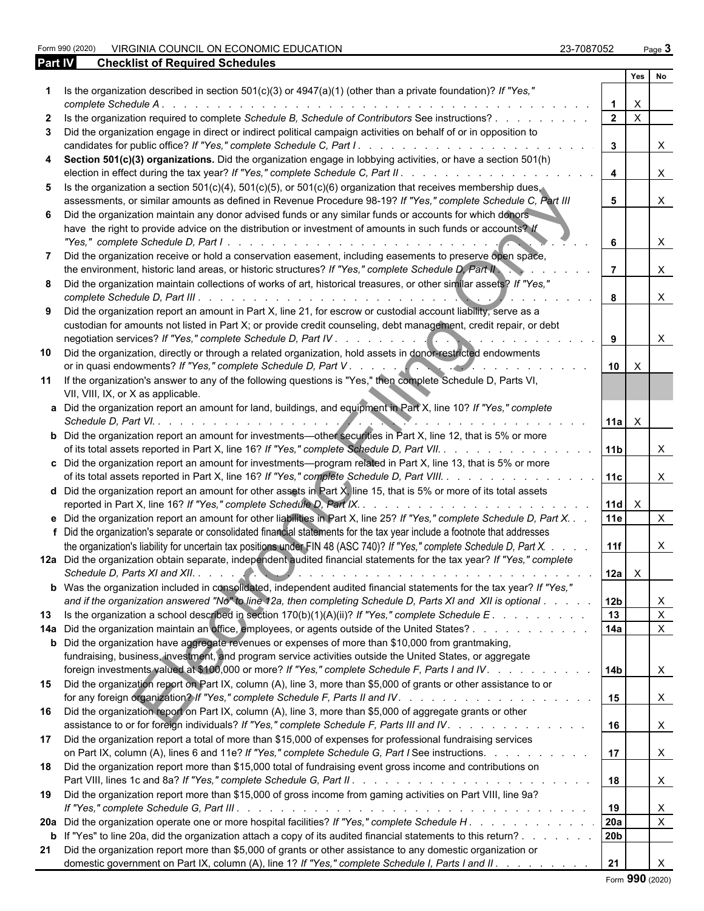Form 990 (2020) VIRGINIA COUNCIL ON ECONOMIC EDUCATION 23-7087052 Page **3**

| <b>Part IV</b> | <b>Checklist of Required Schedules</b>                                                                                                                                                                                                                                                                                    |                 |                |                           |  |
|----------------|---------------------------------------------------------------------------------------------------------------------------------------------------------------------------------------------------------------------------------------------------------------------------------------------------------------------------|-----------------|----------------|---------------------------|--|
|                |                                                                                                                                                                                                                                                                                                                           |                 | Yes            | No                        |  |
|                | Is the organization described in section 501(c)(3) or 4947(a)(1) (other than a private foundation)? If "Yes,"<br>complete Schedule A.                                                                                                                                                                                     |                 | X              |                           |  |
| $\mathbf{2}$   | Is the organization required to complete Schedule B, Schedule of Contributors See instructions?                                                                                                                                                                                                                           | $\overline{2}$  | $\mathsf{X}$   |                           |  |
| 3              | Did the organization engage in direct or indirect political campaign activities on behalf of or in opposition to                                                                                                                                                                                                          |                 |                |                           |  |
|                |                                                                                                                                                                                                                                                                                                                           | $\mathbf{3}$    |                | X                         |  |
| 4              | Section 501(c)(3) organizations. Did the organization engage in lobbying activities, or have a section 501(h)                                                                                                                                                                                                             | $\overline{4}$  |                | $\times$                  |  |
| 5.             | Is the organization a section 501(c)(4), 501(c)(5), or 501(c)(6) organization that receives membership dues.<br>assessments, or similar amounts as defined in Revenue Procedure 98-19? If "Yes," complete Schedule C, Part III                                                                                            | 5               |                | $\times$                  |  |
| 6.             | Did the organization maintain any donor advised funds or any similar funds or accounts for which donors<br>have the right to provide advice on the distribution or investment of amounts in such funds or accounts? If                                                                                                    |                 |                |                           |  |
|                |                                                                                                                                                                                                                                                                                                                           | 6               |                | X                         |  |
| 7              | Did the organization receive or hold a conservation easement, including easements to preserve open space,<br>the environment, historic land areas, or historic structures? If "Yes," complete Schedule D, Part II                                                                                                         | $\overline{7}$  |                | X                         |  |
| 8              | Did the organization maintain collections of works of art, historical treasures, or other similar assets? If "Yes,"                                                                                                                                                                                                       | 8               |                | X                         |  |
| 9              | Did the organization report an amount in Part X, line 21, for escrow or custodial account liability, serve as a<br>custodian for amounts not listed in Part X; or provide credit counseling, debt management, credit repair, or debt                                                                                      |                 |                |                           |  |
|                |                                                                                                                                                                                                                                                                                                                           | 9               |                | X                         |  |
| 10             | Did the organization, directly or through a related organization, hold assets in donor-restricted endowments                                                                                                                                                                                                              | 10              | X              |                           |  |
|                | 11 If the organization's answer to any of the following questions is "Yes," then complete Schedule D, Parts VI,<br>VII, VIII, IX, or X as applicable.                                                                                                                                                                     |                 |                |                           |  |
|                | a Did the organization report an amount for land, buildings, and equipment in Part X, line 10? If "Yes," complete                                                                                                                                                                                                         |                 | $11a$ $\times$ |                           |  |
|                | <b>b</b> Did the organization report an amount for investments—other securities in Part X, line 12, that is 5% or more<br>of its total assets reported in Part X, line 16? If "Yes," complete Schedule D, Part VII.                                                                                                       | 11 <sub>b</sub> |                | X                         |  |
|                | c Did the organization report an amount for investments—program related in Part X, line 13, that is 5% or more<br>of its total assets reported in Part X, line 16? If "Yes," complete Schedule D, Part VIII.                                                                                                              | 11c             |                | $\times$                  |  |
|                | <b>d</b> Did the organization report an amount for other assets in Part $\chi$ , line 15, that is 5% or more of its total assets                                                                                                                                                                                          | $11d \times$    |                |                           |  |
|                | e Did the organization report an amount for other liabilities in Part X, line 25? If "Yes," complete Schedule D, Part X.<br>f Did the organization's separate or consolidated financial statements for the tax year include a footnote that addresses                                                                     | <b>11e</b>      |                | $\times$                  |  |
|                | the organization's liability for uncertain tax positions under FIN 48 (ASC 740)? If "Yes," complete Schedule D, Part X.                                                                                                                                                                                                   | 11f             |                | X                         |  |
|                | 12a Did the organization obtain separate, independent audited financial statements for the tax year? If "Yes," complete                                                                                                                                                                                                   |                 | $12a \mid X$   |                           |  |
|                | b Was the organization included in consolidated, independent audited financial statements for the tax year? If "Yes,"                                                                                                                                                                                                     |                 |                |                           |  |
|                | and if the organization answered "No" to line 12a, then completing Schedule D, Parts XI and XII is optional                                                                                                                                                                                                               | 12 <sub>b</sub> |                | $\boldsymbol{\mathsf{X}}$ |  |
| 13             | Is the organization a school described in section $170(b)(1)(A)(ii)$ ? If "Yes," complete Schedule E.                                                                                                                                                                                                                     | 13              |                | $\mathsf{X}$              |  |
|                | 14a Did the organization maintain an office, employees, or agents outside of the United States?                                                                                                                                                                                                                           | 14a             |                | $\mathsf{X}$              |  |
|                | <b>b</b> Did the organization have aggregate revenues or expenses of more than \$10,000 from grantmaking,<br>fundraising, business, investment, and program service activities outside the United States, or aggregate<br>foreign investments valued at \$100,000 or more? If "Yes," complete Schedule F, Parts I and IV. | 14 <sub>b</sub> |                | $\mathsf{X}$              |  |
|                | 15 Did the organization report on Part IX, column (A), line 3, more than \$5,000 of grants or other assistance to or                                                                                                                                                                                                      | 15              |                | $\mathsf{X}$              |  |
|                | 16 Did the organization report on Part IX, column (A), line 3, more than \$5,000 of aggregate grants or other<br>assistance to or for foreign individuals? If "Yes," complete Schedule F, Parts III and IV.                                                                                                               | 16              |                | $\mathsf{X}$              |  |
|                | 17 Did the organization report a total of more than \$15,000 of expenses for professional fundraising services<br>on Part IX, column (A), lines 6 and 11e? If "Yes," complete Schedule G, Part I See instructions.                                                                                                        | 17              |                | $\mathsf{X}$              |  |
|                | 18 Did the organization report more than \$15,000 total of fundraising event gross income and contributions on                                                                                                                                                                                                            | 18              |                | $\mathsf{X}$              |  |
| 19             | Did the organization report more than \$15,000 of gross income from gaming activities on Part VIII, line 9a?                                                                                                                                                                                                              | 19              |                | X                         |  |
|                | 20a Did the organization operate one or more hospital facilities? If "Yes," complete Schedule H.                                                                                                                                                                                                                          | <b>20a</b>      |                | $\mathsf{X}$              |  |
|                | b If "Yes" to line 20a, did the organization attach a copy of its audited financial statements to this return?                                                                                                                                                                                                            | 20 <sub>b</sub> |                |                           |  |
| 21             | Did the organization report more than \$5,000 of grants or other assistance to any domestic organization or                                                                                                                                                                                                               |                 |                |                           |  |
|                | domestic government on Part IX, column (A), line 1? If "Yes," complete Schedule I, Parts I and II.                                                                                                                                                                                                                        | 21              |                | $\times$                  |  |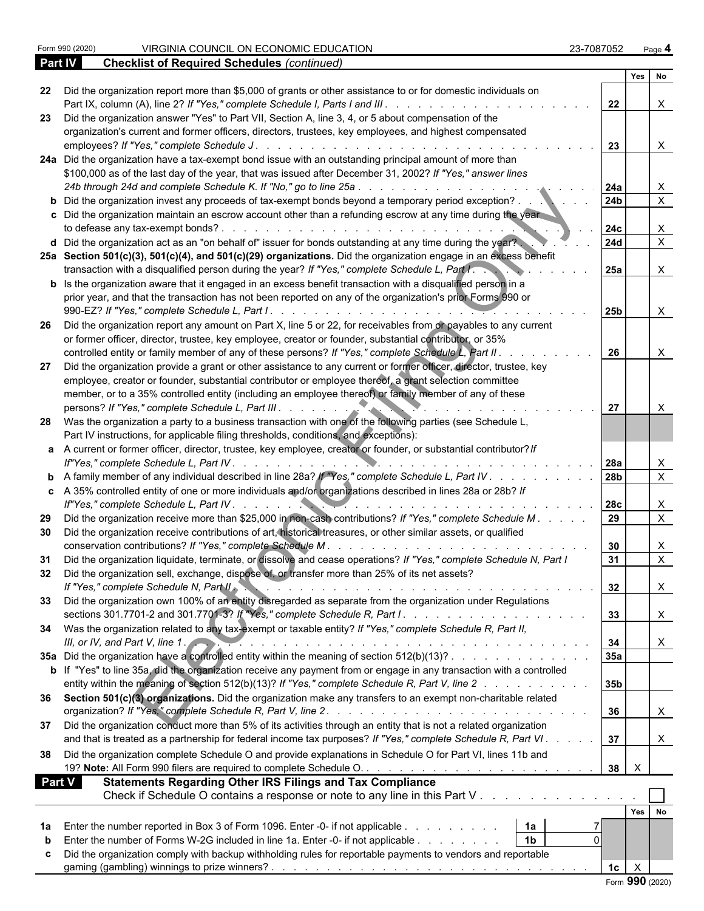**Checklist of Required Schedules** *(continued)* 

|        |                                                                                                                                                                                                                | Yes No                         |              |                |
|--------|----------------------------------------------------------------------------------------------------------------------------------------------------------------------------------------------------------------|--------------------------------|--------------|----------------|
| 22     | Did the organization report more than \$5,000 of grants or other assistance to or for domestic individuals on<br>Part IX, column (A), line 2? If "Yes," complete Schedule I, Parts I and III.                  | 22                             | X            |                |
| 23     | Did the organization answer "Yes" to Part VII, Section A, line 3, 4, or 5 about compensation of the<br>organization's current and former officers, directors, trustees, key employees, and highest compensated |                                |              |                |
|        | employees? If "Yes," complete Schedule J.                                                                                                                                                                      | 23                             | X            |                |
|        | 24a Did the organization have a tax-exempt bond issue with an outstanding principal amount of more than                                                                                                        |                                |              |                |
|        | \$100,000 as of the last day of the year, that was issued after December 31, 2002? If "Yes," answer lines                                                                                                      |                                |              |                |
|        | 24b through 24d and complete Schedule K. If "No," go to line 25a<br>and the state of the state of the state of the state of the state of the state of the state of the state of the                            | 24a                            | X            |                |
|        | <b>b</b> Did the organization invest any proceeds of tax-exempt bonds beyond a temporary period exception?                                                                                                     | 24 <sub>b</sub>                |              | $\overline{X}$ |
|        | c Did the organization maintain an escrow account other than a refunding escrow at any time during the year                                                                                                    |                                |              |                |
|        | to defease any tax-exempt bonds?.                                                                                                                                                                              | 24c                            | X            |                |
|        | d Did the organization act as an "on behalf of" issuer for bonds outstanding at any time during the year?                                                                                                      | <b>24d</b>                     |              | $\mathsf{X}$   |
|        | 25a Section 501(c)(3), 501(c)(4), and 501(c)(29) organizations. Did the organization engage in an excess benefit                                                                                               |                                |              |                |
|        | transaction with a disqualified person during the year? If "Yes," complete Schedule L, Part I.                                                                                                                 | <b>25a</b>                     | $\mathsf{X}$ |                |
|        |                                                                                                                                                                                                                |                                |              |                |
|        | <b>b</b> Is the organization aware that it engaged in an excess benefit transaction with a disqualified person in a                                                                                            |                                |              |                |
|        | prior year, and that the transaction has not been reported on any of the organization's prior Forms 990 or                                                                                                     |                                |              |                |
|        |                                                                                                                                                                                                                | <b>25b</b>                     | $\mathsf{X}$ |                |
| -26    | Did the organization report any amount on Part X, line 5 or 22, for receivables from or payables to any current                                                                                                |                                |              |                |
|        | or former officer, director, trustee, key employee, creator or founder, substantial contributor, or 35%                                                                                                        |                                |              |                |
|        | controlled entity or family member of any of these persons? If "Yes," complete Schedule L, Part II.                                                                                                            | 26                             | X            |                |
| 27     | Did the organization provide a grant or other assistance to any current or former officer, director, trustee, key                                                                                              |                                |              |                |
|        | employee, creator or founder, substantial contributor or employee thereof, a grant selection committee                                                                                                         |                                |              |                |
|        | member, or to a 35% controlled entity (including an employee thereof) or family member of any of these                                                                                                         |                                |              |                |
|        | persons? If "Yes," complete Schedule L, Part III.                                                                                                                                                              | 27                             | X            |                |
|        | 28 Was the organization a party to a business transaction with one of the following parties (see Schedule L,                                                                                                   |                                |              |                |
|        | Part IV instructions, for applicable filing thresholds, conditions, and exceptions):                                                                                                                           |                                |              |                |
|        | a A current or former officer, director, trustee, key employee, creator or founder, or substantial contributor? If                                                                                             |                                |              |                |
|        |                                                                                                                                                                                                                | l 28a                          | X            |                |
|        | <b>b</b> A family member of any individual described in line 28a? If "Yes," complete Schedule L, Part IV                                                                                                       | 28b                            |              | $\overline{X}$ |
|        |                                                                                                                                                                                                                |                                |              |                |
|        | c A 35% controlled entity of one or more individuals and/or organizations described in lines 28a or 28b? If                                                                                                    |                                |              |                |
|        |                                                                                                                                                                                                                | 28c                            | X            |                |
| 29     | Did the organization receive more than \$25,000 in non-cash contributions? If "Yes," complete Schedule M.                                                                                                      | 29                             |              | $\overline{X}$ |
| 30     | Did the organization receive contributions of art, historical treasures, or other similar assets, or qualified                                                                                                 |                                |              |                |
|        | conservation contributions? If "Yes," complete Schedule M.                                                                                                                                                     | 30                             | X            |                |
| 31     | Did the organization liquidate, terminate, or dissolve and cease operations? If "Yes," complete Schedule N, Part I                                                                                             | 31                             |              | $\times$       |
| 32     | Did the organization sell, exchange, dispose of, or transfer more than 25% of its net assets?                                                                                                                  |                                |              |                |
|        | If "Yes," complete Schedule N, Part II.                                                                                                                                                                        | 32                             |              |                |
|        | 33 Did the organization own 100% of an entity disregarded as separate from the organization under Regulations                                                                                                  |                                |              |                |
|        |                                                                                                                                                                                                                | 33                             |              |                |
|        | 34 Was the organization related to any tax-exempt or taxable entity? If "Yes," complete Schedule R, Part II,                                                                                                   |                                |              |                |
|        | III, or IV, and Part V, line 1.                                                                                                                                                                                | 34                             | X            |                |
|        | 35a Did the organization have a controlled entity within the meaning of section 512(b)(13)?                                                                                                                    | 35a                            |              |                |
|        |                                                                                                                                                                                                                |                                |              |                |
|        | b If "Yes" to line 35a, did the organization receive any payment from or engage in any transaction with a controlled                                                                                           |                                |              |                |
|        | entity within the meaning of section 512(b)(13)? If "Yes," complete Schedule R, Part V, line 2                                                                                                                 | 35b                            |              |                |
|        | 36 Section 501(c)(3) organizations. Did the organization make any transfers to an exempt non-charitable related                                                                                                |                                |              |                |
|        |                                                                                                                                                                                                                | 36                             | X            |                |
|        | 37 Did the organization conduct more than 5% of its activities through an entity that is not a related organization                                                                                            |                                |              |                |
|        | and that is treated as a partnership for federal income tax purposes? If "Yes," complete Schedule R, Part VI.                                                                                                  | 37                             |              |                |
| 38     | Did the organization complete Schedule O and provide explanations in Schedule O for Part VI, lines 11b and                                                                                                     |                                |              |                |
|        |                                                                                                                                                                                                                | $\mathsf{X}$<br>38             |              |                |
| Part V |                                                                                                                                                                                                                |                                |              |                |
|        | <b>Statements Regarding Other IRS Filings and Tax Compliance</b>                                                                                                                                               |                                |              |                |
|        | Check if Schedule O contains a response or note to any line in this Part V                                                                                                                                     |                                |              |                |
|        |                                                                                                                                                                                                                | Yes No                         |              |                |
| 1a     | Enter the number reported in Box 3 of Form 1096. Enter -0- if not applicable<br>  1a                                                                                                                           |                                |              |                |
|        | 1 <sub>b</sub><br>Enter the number of Forms W-2G included in line 1a. Enter -0- if not applicable<br>$\Omega$                                                                                                  |                                |              |                |
|        | Did the organization comply with backup withholding rules for reportable payments to vendors and reportable                                                                                                    |                                |              |                |
|        |                                                                                                                                                                                                                | 1 <sub>c</sub><br>$\mathsf{X}$ |              |                |
|        |                                                                                                                                                                                                                | Form 990 (2020)                |              |                |
|        |                                                                                                                                                                                                                |                                |              |                |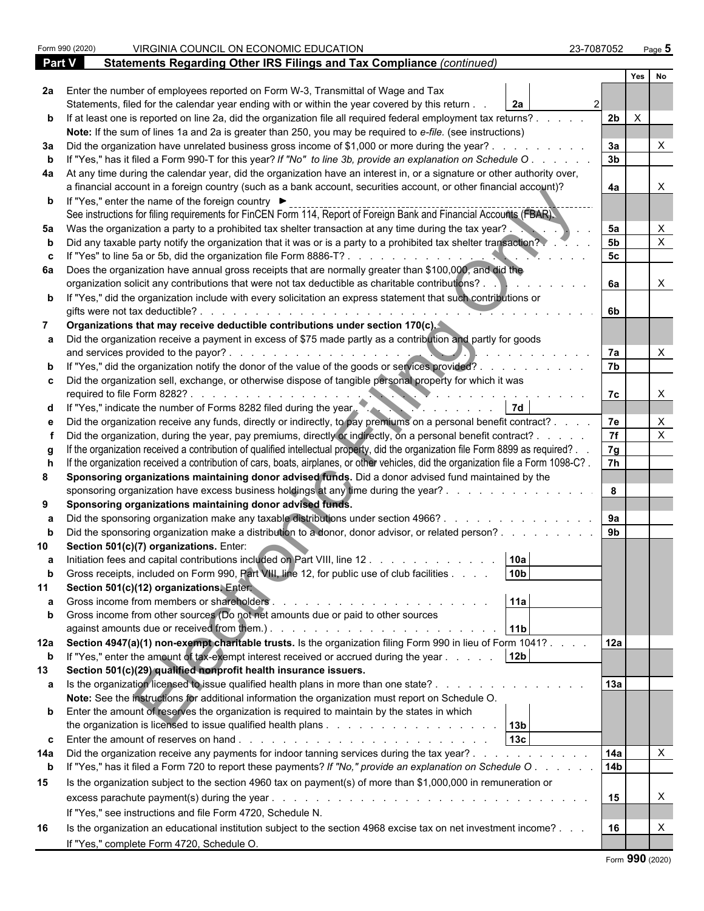|               | Form 990 (2020) | VIRGINIA COUNCIL ON ECONOMIC EDUCATION                                                                                                                                                      | 23-7087052     | Page 5   |                           |  |
|---------------|-----------------|---------------------------------------------------------------------------------------------------------------------------------------------------------------------------------------------|----------------|----------|---------------------------|--|
| <b>Part V</b> |                 | Statements Regarding Other IRS Filings and Tax Compliance (continued)                                                                                                                       |                |          |                           |  |
|               |                 |                                                                                                                                                                                             |                | Yes      | No                        |  |
|               |                 | 2a Enter the number of employees reported on Form W-3, Transmittal of Wage and Tax                                                                                                          |                |          |                           |  |
|               |                 | Statements, filed for the calendar year ending with or within the year covered by this return.<br>2a                                                                                        |                |          |                           |  |
|               |                 | b If at least one is reported on line 2a, did the organization file all required federal employment tax returns?.                                                                           | 2 <sub>b</sub> | $\times$ |                           |  |
|               |                 | Note: If the sum of lines 1a and 2a is greater than 250, you may be required to e-file. (see instructions)                                                                                  |                |          |                           |  |
| За            |                 | Did the organization have unrelated business gross income of \$1,000 or more during the year?.                                                                                              | За             |          |                           |  |
|               |                 | If "Yes," has it filed a Form 990-T for this year? If "No" to line 3b, provide an explanation on Schedule O                                                                                 | 3 <sub>b</sub> |          |                           |  |
| 4a            |                 | At any time during the calendar year, did the organization have an interest in, or a signature or other authority over,                                                                     |                |          |                           |  |
|               |                 | a financial account in a foreign country (such as a bank account, securities account, or other financial account)?                                                                          | 4a             |          |                           |  |
|               |                 | <b>b</b> If "Yes," enter the name of the foreign country ▶                                                                                                                                  |                |          |                           |  |
|               |                 | See instructions for filing requirements for FinCEN Form 114, Report of Foreign Bank and Financial Accounts (FBAR).                                                                         |                |          |                           |  |
| 5а            |                 | Was the organization a party to a prohibited tax shelter transaction at any time during the tax year?.                                                                                      | 5a             |          |                           |  |
|               |                 | Did any taxable party notify the organization that it was or is a party to a prohibited tax shelter transaction?                                                                            | 5 <sub>b</sub> |          | $\times$                  |  |
|               |                 | If "Yes" to line 5a or 5b, did the organization file Form 8886-T?.                                                                                                                          | 5 <sub>c</sub> |          |                           |  |
|               |                 | 6a Does the organization have annual gross receipts that are normally greater than \$100,000, and did the                                                                                   |                |          |                           |  |
|               |                 | organization solicit any contributions that were not tax deductible as charitable contributions? .                                                                                          | 6a             |          |                           |  |
|               |                 | b If "Yes," did the organization include with every solicitation an express statement that such contributions or                                                                            |                |          |                           |  |
|               |                 | gifts were not tax deductible?.                                                                                                                                                             | 6b             |          |                           |  |
|               |                 | Organizations that may receive deductible contributions under section 170(c).                                                                                                               |                |          |                           |  |
|               |                 | Did the organization receive a payment in excess of \$75 made partly as a contribution and partly for goods                                                                                 |                |          |                           |  |
|               |                 | and services provided to the payor?.                                                                                                                                                        | 7a             |          |                           |  |
|               |                 | If "Yes," did the organization notify the donor of the value of the goods or services provided?.                                                                                            | 7b             |          |                           |  |
|               |                 | c  Did the organization sell, exchange, or otherwise dispose of tangible personal property for which it was                                                                                 |                |          |                           |  |
|               |                 | required to file Form 8282?                                                                                                                                                                 | 7c             |          |                           |  |
|               |                 | If "Yes," indicate the number of Forms 8282 filed during the year.                                                                                                                          |                |          |                           |  |
|               |                 | Did the organization receive any funds, directly or indirectly, to pay premiums on a personal benefit contract?.                                                                            | 7e             |          | $\times$                  |  |
|               |                 | Did the organization, during the year, pay premiums, directly or indirectly, on a personal benefit contract? .                                                                              | 7f             |          | $\boldsymbol{\mathsf{X}}$ |  |
|               |                 | If the organization received a contribution of qualified intellectual property, did the organization file Form 8899 as required? .                                                          | 7g             |          |                           |  |
|               |                 | If the organization received a contribution of cars, boats, airplanes, or other vehicles, did the organization file a Form 1098-C?.                                                         | 7 <sup>h</sup> |          |                           |  |
| 8             |                 | Sponsoring organizations maintaining donor advised funds. Did a donor advised fund maintained by the                                                                                        |                |          |                           |  |
|               |                 | sponsoring organization have excess business holdings at any time during the year?.                                                                                                         | 8              |          |                           |  |
| 9             |                 | Sponsoring organizations maintaining donor advised funds.                                                                                                                                   |                |          |                           |  |
|               |                 | Did the sponsoring organization make any taxable distributions under section 4966?.                                                                                                         | 9a             |          |                           |  |
|               |                 | Did the sponsoring organization make a distribution to a donor, donor advisor, or related person?.                                                                                          | 9 <sub>b</sub> |          |                           |  |
|               |                 | Section 501(c)(7) organizations. Enter:                                                                                                                                                     |                |          |                           |  |
|               |                 | 10a                                                                                                                                                                                         |                |          |                           |  |
|               |                 | Initiation fees and capital contributions included on Part VIII, line 12<br>10 <sub>b</sub><br>Gross receipts, included on Form 990, Part VIII, line 12, for public use of club facilities. |                |          |                           |  |
| 11            |                 | Section 501(c)(12) organizations, Enter                                                                                                                                                     |                |          |                           |  |
|               |                 | 11a<br>Gross income from members or shareholders.                                                                                                                                           |                |          |                           |  |
| b             |                 | Gross income from other sources (Do not net amounts due or paid to other sources                                                                                                            |                |          |                           |  |
|               |                 | 11 <sub>b</sub>                                                                                                                                                                             |                |          |                           |  |
|               |                 | 12a Section 4947(a)(1) non-exempt charitable trusts. Is the organization filing Form 990 in lieu of Form 1041?.                                                                             | 12a            |          |                           |  |
|               |                 | 12 <sub>b</sub>                                                                                                                                                                             |                |          |                           |  |
| b             |                 | If "Yes," enter the amount of tax-exempt interest received or accrued during the year                                                                                                       |                |          |                           |  |
| 13            |                 | Section 501(c)(29) qualified nonprofit health insurance issuers.                                                                                                                            |                |          |                           |  |
| a             |                 | Is the organization licensed to issue qualified health plans in more than one state?.                                                                                                       | 13a            |          |                           |  |
|               |                 | Note: See the instructions for additional information the organization must report on Schedule O.                                                                                           |                |          |                           |  |
|               |                 | <b>b</b> Enter the amount of reserves the organization is required to maintain by the states in which                                                                                       |                |          |                           |  |
|               |                 | 13 <sub>b</sub>                                                                                                                                                                             |                |          |                           |  |
|               |                 | 13c                                                                                                                                                                                         |                |          |                           |  |
| 14a           |                 | Did the organization receive any payments for indoor tanning services during the tax year? .<br>$\sim$ $\sim$ $\sim$ $\sim$ $\sim$                                                          | 14a            |          | $\boldsymbol{\mathsf{X}}$ |  |
| $\mathbf b$   |                 | If "Yes," has it filed a Form 720 to report these payments? If "No," provide an explanation on Schedule O.                                                                                  | <b>14b</b>     |          |                           |  |
| 15            |                 | Is the organization subject to the section 4960 tax on payment(s) of more than \$1,000,000 in remuneration or                                                                               |                |          |                           |  |
|               |                 |                                                                                                                                                                                             | 15             |          | X                         |  |
|               |                 | If "Yes," see instructions and file Form 4720, Schedule N.                                                                                                                                  |                |          |                           |  |
| 16            |                 | Is the organization an educational institution subject to the section 4968 excise tax on net investment income?                                                                             | 16             |          | X                         |  |
|               |                 | If "Yes," complete Form 4720, Schedule O.                                                                                                                                                   |                |          |                           |  |
|               |                 |                                                                                                                                                                                             |                | $\sim$   |                           |  |

|  | Form 990 (2020) |  |
|--|-----------------|--|
|--|-----------------|--|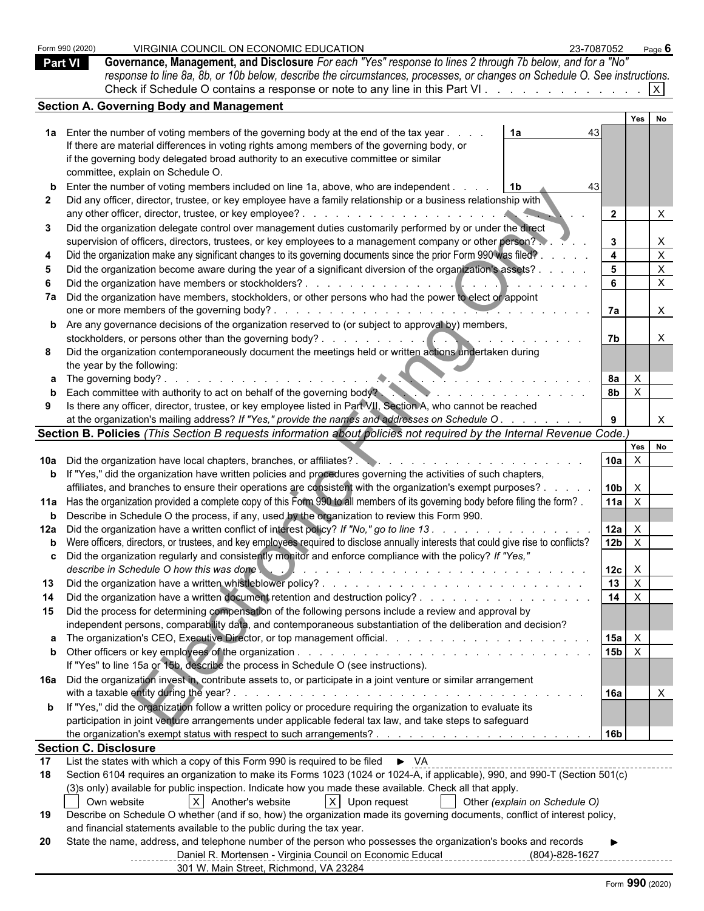|    | Form 990 (2020) | VIRGINIA COUNCIL ON ECONOMIC EDUCATION<br>23-7087052                                                                                                                                                                                                                                                                                                                                                                                                                                                                                         |                   |              | Page $6$                  |  |
|----|-----------------|----------------------------------------------------------------------------------------------------------------------------------------------------------------------------------------------------------------------------------------------------------------------------------------------------------------------------------------------------------------------------------------------------------------------------------------------------------------------------------------------------------------------------------------------|-------------------|--------------|---------------------------|--|
|    | <b>Part VI</b>  | Governance, Management, and Disclosure For each "Yes" response to lines 2 through 7b below, and for a "No"                                                                                                                                                                                                                                                                                                                                                                                                                                   |                   |              |                           |  |
|    |                 | response to line 8a, 8b, or 10b below, describe the circumstances, processes, or changes on Schedule O. See instructions.                                                                                                                                                                                                                                                                                                                                                                                                                    |                   |              |                           |  |
|    |                 | Check if Schedule O contains a response or note to any line in this Part VI                                                                                                                                                                                                                                                                                                                                                                                                                                                                  |                   |              | X                         |  |
|    |                 | <b>Section A. Governing Body and Management</b>                                                                                                                                                                                                                                                                                                                                                                                                                                                                                              |                   | Yes          | No                        |  |
|    |                 | 1a Enter the number of voting members of the governing body at the end of the tax year.<br>1a<br>43                                                                                                                                                                                                                                                                                                                                                                                                                                          |                   |              |                           |  |
|    |                 | If there are material differences in voting rights among members of the governing body, or                                                                                                                                                                                                                                                                                                                                                                                                                                                   |                   |              |                           |  |
|    |                 | if the governing body delegated broad authority to an executive committee or similar                                                                                                                                                                                                                                                                                                                                                                                                                                                         |                   |              |                           |  |
|    |                 | committee, explain on Schedule O.                                                                                                                                                                                                                                                                                                                                                                                                                                                                                                            |                   |              |                           |  |
|    |                 | <b>b</b> Enter the number of voting members included on line 1a, above, who are independent.<br>- 1 b                                                                                                                                                                                                                                                                                                                                                                                                                                        |                   |              |                           |  |
|    |                 | Did any officer, director, trustee, or key employee have a family relationship or a business relationship with                                                                                                                                                                                                                                                                                                                                                                                                                               |                   |              |                           |  |
| 3  |                 | Did the organization delegate control over management duties customarily performed by or under the direct                                                                                                                                                                                                                                                                                                                                                                                                                                    | $\overline{2}$    |              |                           |  |
|    |                 | supervision of officers, directors, trustees, or key employees to a management company or other person?                                                                                                                                                                                                                                                                                                                                                                                                                                      | $\mathbf{3}$      |              | $\mathsf{X}$              |  |
|    |                 | Did the organization make any significant changes to its governing documents since the prior Form 990 was filed?                                                                                                                                                                                                                                                                                                                                                                                                                             | $\overline{4}$    |              | $\boldsymbol{\mathsf{X}}$ |  |
|    |                 | Did the organization become aware during the year of a significant diversion of the organization's assets?                                                                                                                                                                                                                                                                                                                                                                                                                                   | $5^{\circ}$       |              | $\boldsymbol{\mathsf{X}}$ |  |
|    |                 | Did the organization have members or stockholders?.<br>$\mathbf{1} \quad \mathbf{1} \quad \mathbf{1} \quad \mathbf{1} \quad \mathbf{1} \quad \mathbf{1} \quad \mathbf{1} \quad \mathbf{1} \quad \mathbf{1} \quad \mathbf{1} \quad \mathbf{1} \quad \mathbf{1} \quad \mathbf{1} \quad \mathbf{1} \quad \mathbf{1} \quad \mathbf{1} \quad \mathbf{1} \quad \mathbf{1} \quad \mathbf{1} \quad \mathbf{1} \quad \mathbf{1} \quad \mathbf{1} \quad \mathbf{1} \quad \mathbf{1} \quad \mathbf{1} \quad \mathbf{1} \quad \mathbf{1} \quad \mathbf{$ | 6                 |              | $\boldsymbol{\mathsf{X}}$ |  |
|    |                 | 7a Did the organization have members, stockholders, or other persons who had the power to elect or appoint                                                                                                                                                                                                                                                                                                                                                                                                                                   |                   |              |                           |  |
|    |                 | one or more members of the governing body?.                                                                                                                                                                                                                                                                                                                                                                                                                                                                                                  | 7a                |              | $\boldsymbol{\mathsf{X}}$ |  |
|    |                 | <b>b</b> Are any governance decisions of the organization reserved to (or subject to approval by) members,                                                                                                                                                                                                                                                                                                                                                                                                                                   |                   |              |                           |  |
|    |                 | stockholders, or persons other than the governing body?.<br>$\ldots$ $\blacksquare$                                                                                                                                                                                                                                                                                                                                                                                                                                                          | 7b                |              |                           |  |
| 8  |                 | Did the organization contemporaneously document the meetings held or written actions undertaken during<br>the year by the following:                                                                                                                                                                                                                                                                                                                                                                                                         |                   |              |                           |  |
|    |                 |                                                                                                                                                                                                                                                                                                                                                                                                                                                                                                                                              | <b>8a</b>         | $\mathsf{X}$ |                           |  |
|    |                 | <b>b</b> Each committee with authority to act on behalf of the governing body?                                                                                                                                                                                                                                                                                                                                                                                                                                                               | <b>8b</b>         | $\mathsf{X}$ |                           |  |
|    |                 | Is there any officer, director, trustee, or key employee listed in Part VII, Section A, who cannot be reached                                                                                                                                                                                                                                                                                                                                                                                                                                |                   |              |                           |  |
|    |                 | at the organization's mailing address? If "Yes," provide the names and addresses on Schedule O.                                                                                                                                                                                                                                                                                                                                                                                                                                              | 9                 |              | $\times$                  |  |
|    |                 | Section B. Policies (This Section B requests information about policies not required by the Internal Revenue Code.)                                                                                                                                                                                                                                                                                                                                                                                                                          |                   |              |                           |  |
|    |                 |                                                                                                                                                                                                                                                                                                                                                                                                                                                                                                                                              |                   | Yes          | No                        |  |
|    |                 |                                                                                                                                                                                                                                                                                                                                                                                                                                                                                                                                              | 10a               | $\mathsf{X}$ |                           |  |
|    |                 | <b>b</b> If "Yes," did the organization have written policies and procedures governing the activities of such chapters,<br>affiliates, and branches to ensure their operations are consistent with the organization's exempt purposes? .                                                                                                                                                                                                                                                                                                     | 10 <sub>b</sub>   | X            |                           |  |
|    |                 | 11a Has the organization provided a complete copy of this Form 990 to all members of its governing body before filing the form?.                                                                                                                                                                                                                                                                                                                                                                                                             | 11a $\times$      |              |                           |  |
|    |                 | <b>b</b> Describe in Schedule O the process, if any, used by the organization to review this Form 990.                                                                                                                                                                                                                                                                                                                                                                                                                                       |                   |              |                           |  |
|    |                 | 12a Did the organization have a written conflict of interest policy? If "No," go to line 13.                                                                                                                                                                                                                                                                                                                                                                                                                                                 | 12a               | X            |                           |  |
|    |                 | b Were officers, directors, or trustees, and key employees required to disclose annually interests that could give rise to conflicts?                                                                                                                                                                                                                                                                                                                                                                                                        | 12 <sub>b</sub>   | $\mathsf{X}$ |                           |  |
|    |                 | c Did the organization regularly and consistently monitor and enforce compliance with the policy? If "Yes,"                                                                                                                                                                                                                                                                                                                                                                                                                                  |                   |              |                           |  |
|    |                 | describe in Schedule O how this was done.                                                                                                                                                                                                                                                                                                                                                                                                                                                                                                    | $12c \mid X$      |              |                           |  |
|    |                 |                                                                                                                                                                                                                                                                                                                                                                                                                                                                                                                                              | 13<br>$14 \mid X$ | $\mathsf{X}$ |                           |  |
|    |                 | Did the organization have a written document retention and destruction policy?<br>15 Did the process for determining compensation of the following persons include a review and approval by                                                                                                                                                                                                                                                                                                                                                  |                   |              |                           |  |
|    |                 | independent persons, comparability data, and contemporaneous substantiation of the deliberation and decision?                                                                                                                                                                                                                                                                                                                                                                                                                                |                   |              |                           |  |
|    |                 |                                                                                                                                                                                                                                                                                                                                                                                                                                                                                                                                              | $15a \times$      |              |                           |  |
|    |                 |                                                                                                                                                                                                                                                                                                                                                                                                                                                                                                                                              | $15b \times$      |              |                           |  |
|    |                 | If "Yes" to line 15a or 15b, describe the process in Schedule O (see instructions).                                                                                                                                                                                                                                                                                                                                                                                                                                                          |                   |              |                           |  |
|    |                 | 16a Did the organization invest in, contribute assets to, or participate in a joint venture or similar arrangement                                                                                                                                                                                                                                                                                                                                                                                                                           |                   |              |                           |  |
|    |                 |                                                                                                                                                                                                                                                                                                                                                                                                                                                                                                                                              | 16a               |              |                           |  |
|    |                 | b If "Yes," did the organization follow a written policy or procedure requiring the organization to evaluate its                                                                                                                                                                                                                                                                                                                                                                                                                             |                   |              |                           |  |
|    |                 | participation in joint venture arrangements under applicable federal tax law, and take steps to safeguard                                                                                                                                                                                                                                                                                                                                                                                                                                    | 16 <sub>b</sub>   |              |                           |  |
|    |                 | <b>Section C. Disclosure</b>                                                                                                                                                                                                                                                                                                                                                                                                                                                                                                                 |                   |              |                           |  |
| 17 |                 | List the states with which a copy of this Form 990 is required to be filed ► VA                                                                                                                                                                                                                                                                                                                                                                                                                                                              |                   |              |                           |  |
| 18 |                 | Section 6104 requires an organization to make its Forms 1023 (1024 or 1024-A, if applicable), 990, and 990-T (Section 501(c)                                                                                                                                                                                                                                                                                                                                                                                                                 |                   |              |                           |  |
|    |                 | (3)s only) available for public inspection. Indicate how you made these available. Check all that apply.                                                                                                                                                                                                                                                                                                                                                                                                                                     |                   |              |                           |  |
|    |                 | $X$ Another's website<br>X Upon request<br>Other (explain on Schedule O)<br>Own website                                                                                                                                                                                                                                                                                                                                                                                                                                                      |                   |              |                           |  |
| 19 |                 | Describe on Schedule O whether (and if so, how) the organization made its governing documents, conflict of interest policy,                                                                                                                                                                                                                                                                                                                                                                                                                  |                   |              |                           |  |
|    |                 | and financial statements available to the public during the tax year.                                                                                                                                                                                                                                                                                                                                                                                                                                                                        |                   |              |                           |  |
| 20 |                 | State the name, address, and telephone number of the person who possesses the organization's books and records<br>Daniel R. Mortensen - Virginia Council on Economic Educat<br>(804)-828-1627                                                                                                                                                                                                                                                                                                                                                |                   |              |                           |  |
|    |                 | 301 W. Main Street, Richmond, VA 23284                                                                                                                                                                                                                                                                                                                                                                                                                                                                                                       |                   |              |                           |  |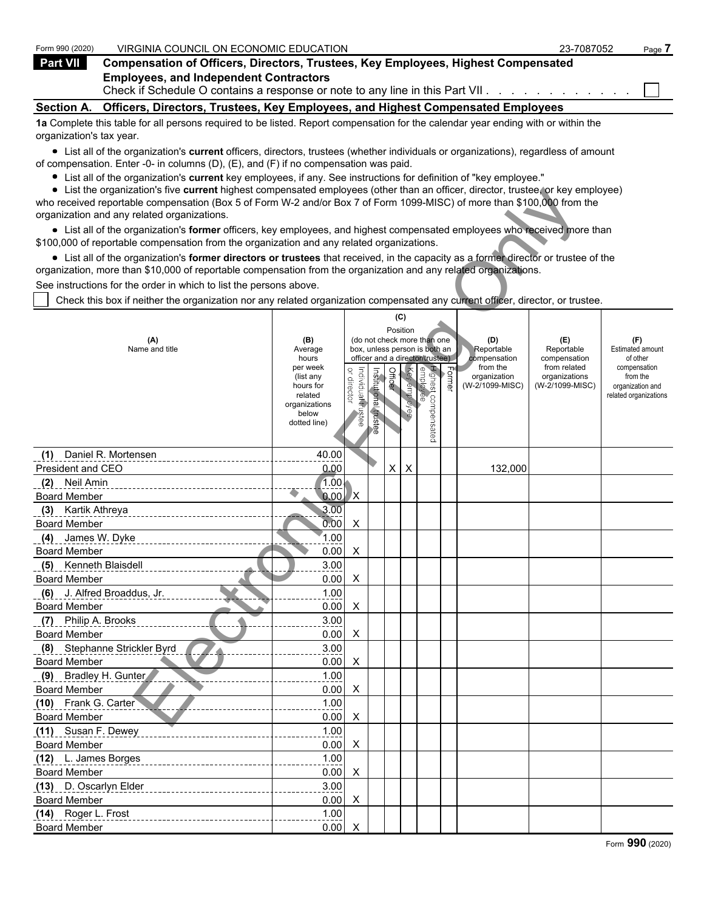| Form 990 (2020)          | VIRGINIA COUNCIL ON ECONOMIC EDUCATION                                                                                            | 23-7087052 | Page 7 |
|--------------------------|-----------------------------------------------------------------------------------------------------------------------------------|------------|--------|
| <b>Part VII</b>          | Compensation of Officers, Directors, Trustees, Key Employees, Highest Compensated                                                 |            |        |
|                          | <b>Employees, and Independent Contractors</b><br>Check if Schedule O contains a response or note to any line in this Part VII.    |            |        |
| <b>Section A.</b>        | Officers, Directors, Trustees, Key Employees, and Highest Compensated Employees                                                   |            |        |
|                          | 1a Complete this table for all persons required to be listed. Report compensation for the calendar year ending with or within the |            |        |
| organization's tax year. |                                                                                                                                   |            |        |
|                          | a Lintallat the exemployment officers directed trustees (upother individuals as exemployed searchers of the lin                   |            |        |

List all of the organization's **current** officers, directors, trustees (whether individuals or organizations), regardless of amount of compensation. Enter -0- in columns (D), (E), and (F) if no compensation was paid.

- List all of the organization's **current** key employees, if any. See instructions for definition of "key employee."
- List the organization's five **current** highest compensated employees (other than an officer, director, trustee, or key employee)

| $\bullet$ List the organization's five current highest compensated employees (other than an officer, director, trustee, or key employee)<br>who received reportable compensation (Box 5 of Form W-2 and/or Box 7 of Form 1099-MISC) of more than \$100,000 from the |                          |                    |               |          |              |                                                              |        |                          |                               |                          |
|---------------------------------------------------------------------------------------------------------------------------------------------------------------------------------------------------------------------------------------------------------------------|--------------------------|--------------------|---------------|----------|--------------|--------------------------------------------------------------|--------|--------------------------|-------------------------------|--------------------------|
| organization and any related organizations.                                                                                                                                                                                                                         |                          |                    |               |          |              |                                                              |        |                          |                               |                          |
| • List all of the organization's former officers, key employees, and highest compensated employees who received more than                                                                                                                                           |                          |                    |               |          |              |                                                              |        |                          |                               |                          |
| \$100,000 of reportable compensation from the organization and any related organizations.                                                                                                                                                                           |                          |                    |               |          |              |                                                              |        |                          |                               |                          |
| • List all of the organization's former directors or trustees that received, in the capacity as a former director or trustee of the                                                                                                                                 |                          |                    |               |          |              |                                                              |        |                          |                               |                          |
| organization, more than \$10,000 of reportable compensation from the organization and any related organizations.                                                                                                                                                    |                          |                    |               |          |              |                                                              |        |                          |                               |                          |
| See instructions for the order in which to list the persons above.                                                                                                                                                                                                  |                          |                    |               |          |              |                                                              |        |                          |                               |                          |
| Check this box if neither the organization nor any related organization compensated any current officer, director, or trustee.                                                                                                                                      |                          |                    |               |          |              |                                                              |        |                          |                               |                          |
|                                                                                                                                                                                                                                                                     |                          |                    |               |          | (C)          |                                                              |        |                          |                               |                          |
|                                                                                                                                                                                                                                                                     |                          |                    |               | Position |              |                                                              |        |                          |                               |                          |
| (A)<br>Name and title                                                                                                                                                                                                                                               | (B)<br>Average           |                    |               |          |              | (do not check more than one<br>box, unless person is both an |        | (D)<br>Reportable        | (E)<br>Reportable             | (F)<br>Estimated amount  |
|                                                                                                                                                                                                                                                                     | hours                    |                    |               |          |              | officer and a director/trustee)                              |        | compensation             | compensation                  | of other                 |
|                                                                                                                                                                                                                                                                     | per week<br>(list any    |                    |               | Officer  |              |                                                              | Former | from the<br>organization | from related<br>organizations | compensation<br>from the |
|                                                                                                                                                                                                                                                                     | hours for                | or director        |               |          |              |                                                              |        | (W-2/1099-MISC)          | (W-2/1099-MISC)               | organization and         |
|                                                                                                                                                                                                                                                                     | related<br>organizations |                    | Institutional |          | Key employee |                                                              |        |                          |                               | related organizations    |
|                                                                                                                                                                                                                                                                     | below                    | Individual frustee |               |          |              |                                                              |        |                          |                               |                          |
|                                                                                                                                                                                                                                                                     | dotted line)             |                    | trustee       |          |              | Highest compensated<br>employee                              |        |                          |                               |                          |
|                                                                                                                                                                                                                                                                     |                          |                    |               |          |              |                                                              |        |                          |                               |                          |
| Daniel R. Mortensen<br>(1)                                                                                                                                                                                                                                          | 40.00                    |                    |               |          |              |                                                              |        |                          |                               |                          |
| President and CEO                                                                                                                                                                                                                                                   | 0.00                     |                    |               | X        | X            |                                                              |        | 132,000                  |                               |                          |
| (2) Neil Amin                                                                                                                                                                                                                                                       | 1.00.                    |                    |               |          |              |                                                              |        |                          |                               |                          |
| <b>Board Member</b>                                                                                                                                                                                                                                                 | 0.00                     | X,                 |               |          |              |                                                              |        |                          |                               |                          |
| (3) Kartik Athreya                                                                                                                                                                                                                                                  | 3.00                     |                    |               |          |              |                                                              |        |                          |                               |                          |
| <b>Board Member</b>                                                                                                                                                                                                                                                 | 0.00                     | X                  |               |          |              |                                                              |        |                          |                               |                          |
| (4) James W. Dyke                                                                                                                                                                                                                                                   | 1.00                     |                    |               |          |              |                                                              |        |                          |                               |                          |
| <b>Board Member</b>                                                                                                                                                                                                                                                 | 0.00                     | X                  |               |          |              |                                                              |        |                          |                               |                          |
| (5) Kenneth Blaisdell                                                                                                                                                                                                                                               | 3.00                     |                    |               |          |              |                                                              |        |                          |                               |                          |
| <b>Board Member</b>                                                                                                                                                                                                                                                 | 0.00                     | X                  |               |          |              |                                                              |        |                          |                               |                          |
| (6) J. Alfred Broaddus, Jr.                                                                                                                                                                                                                                         | 1.00                     |                    |               |          |              |                                                              |        |                          |                               |                          |
| <b>Board Member</b>                                                                                                                                                                                                                                                 | 0.00                     | X                  |               |          |              |                                                              |        |                          |                               |                          |
| (7) Philip A. Brooks                                                                                                                                                                                                                                                | 3.00                     |                    |               |          |              |                                                              |        |                          |                               |                          |
| <b>Board Member</b>                                                                                                                                                                                                                                                 | 0.00                     | X                  |               |          |              |                                                              |        |                          |                               |                          |
| (8) Stephanne Strickler Byrd                                                                                                                                                                                                                                        | 3.00                     |                    |               |          |              |                                                              |        |                          |                               |                          |
| <b>Board Member</b>                                                                                                                                                                                                                                                 | 0.00                     | X                  |               |          |              |                                                              |        |                          |                               |                          |
| (9) Bradley H. Gunter                                                                                                                                                                                                                                               | 1.00                     |                    |               |          |              |                                                              |        |                          |                               |                          |
| <b>Board Member</b>                                                                                                                                                                                                                                                 | 0.00                     | X                  |               |          |              |                                                              |        |                          |                               |                          |
| (10) Frank G. Carter                                                                                                                                                                                                                                                | 1.00                     |                    |               |          |              |                                                              |        |                          |                               |                          |
| <b>Board Member</b>                                                                                                                                                                                                                                                 | 0.00                     | $\mathsf{X}$       |               |          |              |                                                              |        |                          |                               |                          |
| (11) Susan F. Dewey                                                                                                                                                                                                                                                 | 1.00                     |                    |               |          |              |                                                              |        |                          |                               |                          |
| <b>Board Member</b>                                                                                                                                                                                                                                                 | 0.00                     | X                  |               |          |              |                                                              |        |                          |                               |                          |
| (12) L. James Borges                                                                                                                                                                                                                                                | 1.00                     |                    |               |          |              |                                                              |        |                          |                               |                          |
| <b>Board Member</b>                                                                                                                                                                                                                                                 | 0.00                     | X                  |               |          |              |                                                              |        |                          |                               |                          |
| (13) D. Oscarlyn Elder                                                                                                                                                                                                                                              | 3.00                     |                    |               |          |              |                                                              |        |                          |                               |                          |
| <b>Board Member</b>                                                                                                                                                                                                                                                 | 0.00                     | X                  |               |          |              |                                                              |        |                          |                               |                          |
| (14) Roger L. Frost                                                                                                                                                                                                                                                 | 1.00                     |                    |               |          |              |                                                              |        |                          |                               |                          |
| <b>Board Member</b>                                                                                                                                                                                                                                                 | 0.00                     | X                  |               |          |              |                                                              |        |                          |                               |                          |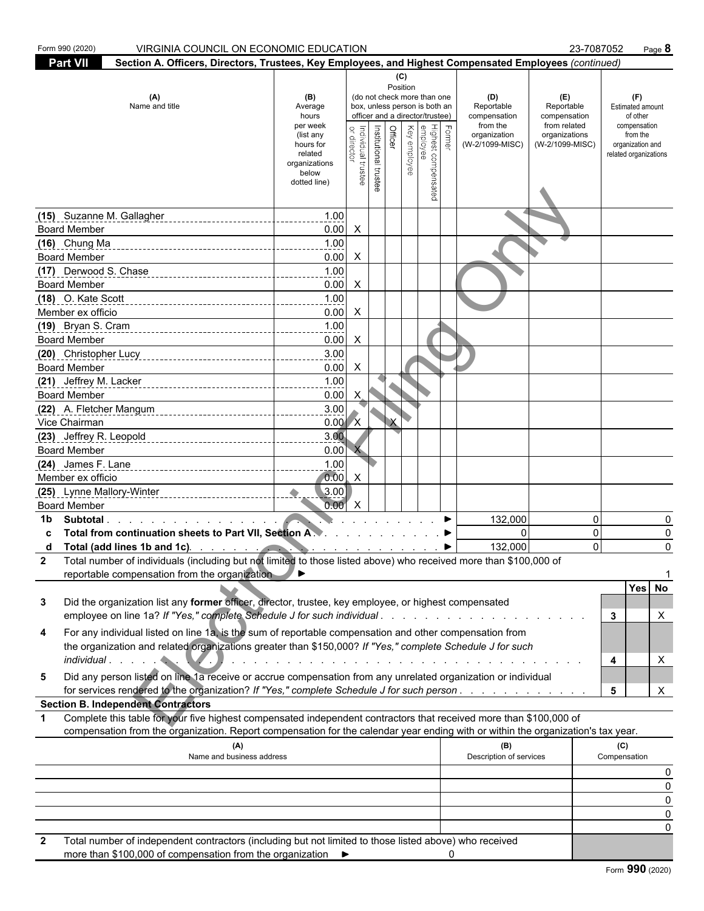| Form 990 (2020)<br>VIRGINIA COUNCIL ON ECONOMIC EDUCATION                                                                                                                                                                                                             |                          |                    |                       |         |              |                                 |               |                          |                              | 23-7087052               | Page 8   |
|-----------------------------------------------------------------------------------------------------------------------------------------------------------------------------------------------------------------------------------------------------------------------|--------------------------|--------------------|-----------------------|---------|--------------|---------------------------------|---------------|--------------------------|------------------------------|--------------------------|----------|
| <b>Part VII</b>                                                                                                                                                                                                                                                       |                          |                    |                       |         |              |                                 |               |                          |                              |                          |          |
| Section A. Officers, Directors, Trustees, Key Employees, and Highest Compensated Employees (continued)<br>(C)<br>Position                                                                                                                                             |                          |                    |                       |         |              |                                 |               |                          |                              |                          |          |
| (A)                                                                                                                                                                                                                                                                   | (B)                      |                    |                       |         |              | (do not check more than one     |               | (D)                      | (E)                          | (F)                      |          |
| Name and title                                                                                                                                                                                                                                                        | Average                  |                    |                       |         |              | box, unless person is both an   |               | Reportable               | Reportable                   | Estimated amount         |          |
|                                                                                                                                                                                                                                                                       | hours                    |                    |                       |         |              | officer and a director/trustee) |               | compensation<br>from the | compensation<br>from related | of other                 |          |
|                                                                                                                                                                                                                                                                       | per week<br>(list any    |                    |                       | Officer | Key employee |                                 | <b>Former</b> | organization             | organizations                | compensation<br>from the |          |
|                                                                                                                                                                                                                                                                       | hours for                |                    |                       |         |              |                                 |               | (W-2/1099-MISC)          | (W-2/1099-MISC)              | organization and         |          |
|                                                                                                                                                                                                                                                                       | related<br>organizations |                    |                       |         |              |                                 |               |                          |                              | related organizations    |          |
|                                                                                                                                                                                                                                                                       | below                    | Individual trustee | Institutional trustee |         |              |                                 |               |                          |                              |                          |          |
|                                                                                                                                                                                                                                                                       | dotted line)             |                    |                       |         |              | Highest compensated<br>employee |               |                          |                              |                          |          |
|                                                                                                                                                                                                                                                                       |                          |                    |                       |         |              |                                 |               |                          |                              |                          |          |
| (15) Suzanne M. Gallagher                                                                                                                                                                                                                                             | 1.00                     |                    |                       |         |              |                                 |               |                          |                              |                          |          |
| <b>Board Member</b>                                                                                                                                                                                                                                                   | 0.00                     | $\mathsf{X}$       |                       |         |              |                                 |               |                          |                              |                          |          |
| $(16)$ Chung Ma<br>-------------------------------------                                                                                                                                                                                                              | 1.00                     |                    |                       |         |              |                                 |               |                          |                              |                          |          |
| <b>Board Member</b>                                                                                                                                                                                                                                                   | 0.00                     | $\mathsf{X}$       |                       |         |              |                                 |               |                          |                              |                          |          |
| (17) Derwood S. Chase 2014 1771 Derwood S. Chase                                                                                                                                                                                                                      | 1.00                     |                    |                       |         |              |                                 |               |                          |                              |                          |          |
| <b>Board Member</b>                                                                                                                                                                                                                                                   | 0.00                     | $\mathsf{X}$       |                       |         |              |                                 |               |                          |                              |                          |          |
| (18) O. Kate Scott                                                                                                                                                                                                                                                    | 1.00                     |                    |                       |         |              |                                 |               |                          |                              |                          |          |
| Member ex officio                                                                                                                                                                                                                                                     | 0.00                     | $\mathsf{X}$       |                       |         |              |                                 |               |                          |                              |                          |          |
| (19) Bryan S. Cram<br>19) Bryan S. Cram<br>2010 - 2020 - 2020 - 2021 - 2021 - 2021 - 2021 - 2021 - 2021 - 2021 - 2021 - 2022 - 2022 - 2022 - 2022 - 2022                                                                                                              | 1.00                     |                    |                       |         |              |                                 |               |                          |                              |                          |          |
| <b>Board Member</b>                                                                                                                                                                                                                                                   | 0.00                     | $\mathsf{X}$       |                       |         |              |                                 |               |                          |                              |                          |          |
|                                                                                                                                                                                                                                                                       | 3.00                     |                    |                       |         |              |                                 |               |                          |                              |                          |          |
| <b>Board Member</b>                                                                                                                                                                                                                                                   | 0.00                     | $\mathsf{X}$       |                       |         |              |                                 |               |                          |                              |                          |          |
|                                                                                                                                                                                                                                                                       | 1.00                     |                    |                       |         |              |                                 |               |                          |                              |                          |          |
| <b>Board Member</b>                                                                                                                                                                                                                                                   | 0.00                     | $\mathsf{X}$       |                       |         |              |                                 |               |                          |                              |                          |          |
| (22) A. Fletcher Mangum                                                                                                                                                                                                                                               | 3.00                     |                    |                       |         |              |                                 |               |                          |                              |                          |          |
| Vice Chairman                                                                                                                                                                                                                                                         | $0.00\,$ X               |                    |                       |         |              |                                 |               |                          |                              |                          |          |
| (23) Jeffrey R. Leopold ________________________________                                                                                                                                                                                                              | 3.00                     |                    |                       |         |              |                                 |               |                          |                              |                          |          |
| <b>Board Member</b>                                                                                                                                                                                                                                                   | 0.00                     |                    |                       |         |              |                                 |               |                          |                              |                          |          |
|                                                                                                                                                                                                                                                                       | 1.00                     |                    |                       |         |              |                                 |               |                          |                              |                          |          |
| Member ex officio                                                                                                                                                                                                                                                     | 0.00                     | $\mathsf{X}$       |                       |         |              |                                 |               |                          |                              |                          |          |
|                                                                                                                                                                                                                                                                       | 3.00                     |                    |                       |         |              |                                 |               |                          |                              |                          |          |
| <b>Board Member</b>                                                                                                                                                                                                                                                   | 0.00                     | $\mathsf{X}$       |                       |         |              |                                 |               |                          |                              |                          |          |
| Subtotal.<br>1b                                                                                                                                                                                                                                                       |                          |                    |                       |         |              |                                 |               | 132,000                  |                              | 0                        | 0        |
| Total from continuation sheets to Part VII, Section A.                                                                                                                                                                                                                |                          |                    |                       |         |              |                                 |               | $\Omega$                 |                              | 0                        | 0        |
| Total (add lines 1b and 1c). The state of the state of the state of the state of the state of the state of the state of the state of the state of the state of the state of the state of the state of the state of the state o<br>d                                   |                          |                    |                       |         |              |                                 |               | 132,000                  |                              | $\Omega$                 | 0        |
| Total number of individuals (including but not limited to those listed above) who received more than \$100,000 of<br>2                                                                                                                                                |                          |                    |                       |         |              |                                 |               |                          |                              |                          |          |
| reportable compensation from the organization                                                                                                                                                                                                                         |                          |                    |                       |         |              |                                 |               |                          |                              |                          |          |
|                                                                                                                                                                                                                                                                       |                          |                    |                       |         |              |                                 |               |                          |                              |                          | Yes No   |
| Did the organization list any former officer, director, trustee, key employee, or highest compensated<br>3                                                                                                                                                            |                          |                    |                       |         |              |                                 |               |                          |                              |                          |          |
|                                                                                                                                                                                                                                                                       |                          |                    |                       |         |              |                                 |               |                          |                              | 3                        | X        |
| For any individual listed on line 1a, is the sum of reportable compensation and other compensation from<br>4                                                                                                                                                          |                          |                    |                       |         |              |                                 |               |                          |                              |                          |          |
| the organization and related organizations greater than \$150,000? If "Yes," complete Schedule J for such                                                                                                                                                             |                          |                    |                       |         |              |                                 |               |                          |                              |                          |          |
|                                                                                                                                                                                                                                                                       |                          |                    |                       |         |              |                                 |               |                          |                              | 4                        | X        |
| Did any person listed on line 1a receive or accrue compensation from any unrelated organization or individual<br>5                                                                                                                                                    |                          |                    |                       |         |              |                                 |               |                          |                              |                          |          |
| for services rendered to the organization? If "Yes," complete Schedule J for such person                                                                                                                                                                              |                          |                    |                       |         |              |                                 |               |                          |                              | 5                        | X        |
| <b>Section B. Independent Contractors</b>                                                                                                                                                                                                                             |                          |                    |                       |         |              |                                 |               |                          |                              |                          |          |
| Complete this table for your five highest compensated independent contractors that received more than \$100,000 of<br>$\mathbf 1$<br>compensation from the organization. Report compensation for the calendar year ending with or within the organization's tax year. |                          |                    |                       |         |              |                                 |               |                          |                              |                          |          |
| (A)                                                                                                                                                                                                                                                                   |                          |                    |                       |         |              |                                 |               | (B)                      |                              | (C)                      |          |
| Name and business address                                                                                                                                                                                                                                             |                          |                    |                       |         |              |                                 |               | Description of services  |                              | Compensation             |          |
|                                                                                                                                                                                                                                                                       |                          |                    |                       |         |              |                                 |               |                          |                              |                          |          |
|                                                                                                                                                                                                                                                                       |                          |                    |                       |         |              |                                 |               |                          |                              |                          | O        |
|                                                                                                                                                                                                                                                                       |                          |                    |                       |         |              |                                 |               |                          |                              |                          | $\Omega$ |
|                                                                                                                                                                                                                                                                       |                          |                    |                       |         |              |                                 |               |                          |                              |                          |          |
|                                                                                                                                                                                                                                                                       |                          |                    |                       |         |              |                                 |               |                          |                              |                          |          |
|                                                                                                                                                                                                                                                                       |                          |                    |                       |         |              |                                 |               |                          |                              |                          |          |

 **2** Total number of independent contractors (including but not limited to those listed above) who received more than \$100,000 of compensation from the organization  $\rightarrow$  0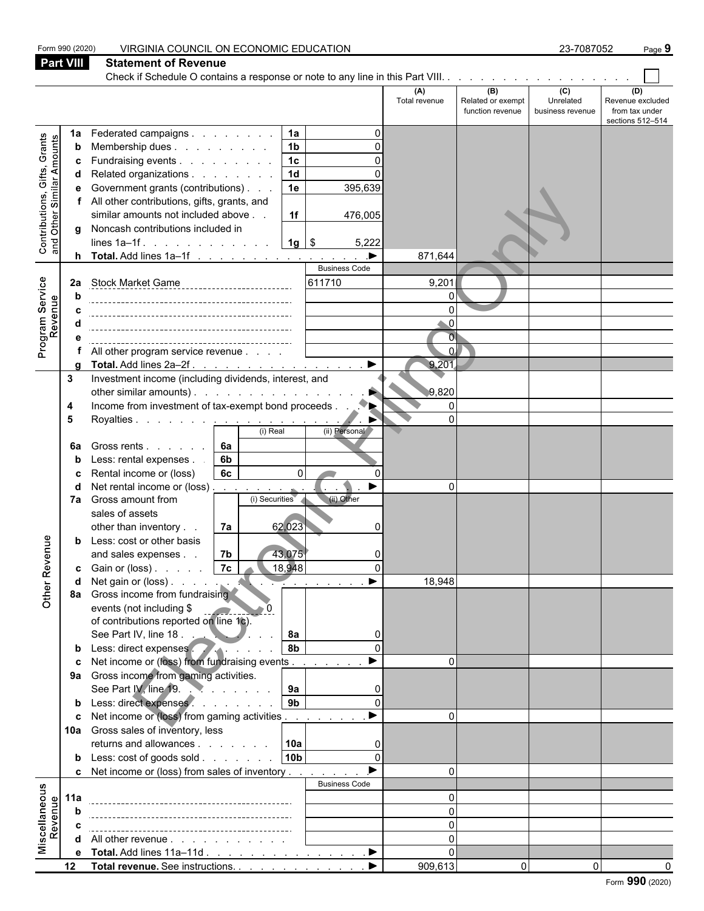| <b>Part VIII</b><br><b>Statement of Revenue</b><br>Check if Schedule O contains a response or note to any line in this Part VIII.<br>(B)<br>$\overline{c}$<br>(A)<br>(D)<br>Unrelated<br>Revenue excluded<br>Total revenue<br>Related or exempt<br>function revenue<br>from tax under<br>business revenue<br>sections 512-514<br>Federated campaigns<br>1a<br>1a<br>Grants<br>Contributions, Gifts, Grants<br>and Other Similar Amounts<br>1 <sub>b</sub><br>Membership dues<br>b<br>1c<br>Fundraising events<br>n<br>c<br>1d<br>Related organizations<br>d<br>Government grants (contributions)<br>1e<br>395,639<br>All other contributions, gifts, grants, and<br>similar amounts not included above<br>1f<br>476,005<br>g Noncash contributions included in<br>$1g$ \$<br>5,222<br>lines $1a-1f$ .<br>▶<br>871,644<br><b>Business Code</b><br>611710<br>9,201<br>Stock Market Game<br>2a<br>$\Omega$<br>$\Omega$<br>$\overline{O}$<br>$\Omega$<br>All other program service revenue<br>$\blacktriangleright$<br>9,201<br>Total. Add lines 2a-2f.<br>Investment income (including dividends, interest, and<br>3<br>other similar amounts). $\ldots$ $\ldots$ $\ldots$ $\ldots$ $\ldots$<br>9,820<br>Income from investment of tax-exempt bond proceeds.<br>$\overline{0}$<br>4<br>$\Omega$<br>Royalties <u>.</u><br>5<br>(i) Real<br>(ii) Personal<br><b>6a</b><br>Gross rents<br>6a<br>Less: rental expenses.<br>6b<br>6c<br>$\Omega$<br>Rental income or (loss)<br>c<br>Net rental income or (loss) $\ldots$ $\ldots$ $\ldots$<br>$\Omega$<br>d<br>(ii) Other<br>Gross amount from<br>(i) Securities<br>7a<br>sales of assets<br>62,023<br>other than inventory<br>7a<br>nue<br>Less: cost or other basis<br>b<br>7 <sub>b</sub><br>43.075<br>and sales expenses<br>Other Rev<br> 7c <br>18,948<br><b>c</b> Gain or (loss) $\ldots$<br>18,948<br>▶<br>$\sim$ $\sim$ $\sim$ $\sim$ $\sim$ $\sim$ $\sim$ $\sim$<br>Gross income from fundraising<br>8a<br>events (not including \$<br>of contributions reported on line 1c).<br>See Part IV, line 18.<br>8а<br>O<br>8 <sub>b</sub><br>Less: direct expenses<br>b<br>Net income or (loss) from fundraising events.<br>$\Omega$<br>Gross income from gaming activities.<br>9а<br>See Part IV, line 19.<br>9a<br>9 <sub>b</sub><br>b Less: direct expenses<br>Net income or (loss) from gaming activities<br>$\Omega$<br>10a Gross sales of inventory, less<br>10a<br>returns and allowances<br>10 <sub>b</sub><br><b>b</b> Less: $\cosh$ of goods $\sinh$<br>$\cap$<br>c Net income or (loss) from sales of inventory<br>$\Omega$<br><b>Business Code</b><br>Miscellaneous<br>Revenue<br>$\Omega$<br>11a<br>$\Omega$<br>b<br>$\Omega$<br>$\Omega$<br><b>d</b> All other revenue $\ldots$ $\ldots$ $\ldots$ $\ldots$<br>e Total. Add lines 11a-11d ▶<br>$\Omega$<br>909,613<br>$\Omega$<br>12 Total revenue. See instructions.<br>$\Omega$ |                                     | Form 990 (2020) | VIRGINIA COUNCIL ON ECONOMIC EDUCATION |  | 23-7087052 | Page 9 |  |  |  |
|-------------------------------------------------------------------------------------------------------------------------------------------------------------------------------------------------------------------------------------------------------------------------------------------------------------------------------------------------------------------------------------------------------------------------------------------------------------------------------------------------------------------------------------------------------------------------------------------------------------------------------------------------------------------------------------------------------------------------------------------------------------------------------------------------------------------------------------------------------------------------------------------------------------------------------------------------------------------------------------------------------------------------------------------------------------------------------------------------------------------------------------------------------------------------------------------------------------------------------------------------------------------------------------------------------------------------------------------------------------------------------------------------------------------------------------------------------------------------------------------------------------------------------------------------------------------------------------------------------------------------------------------------------------------------------------------------------------------------------------------------------------------------------------------------------------------------------------------------------------------------------------------------------------------------------------------------------------------------------------------------------------------------------------------------------------------------------------------------------------------------------------------------------------------------------------------------------------------------------------------------------------------------------------------------------------------------------------------------------------------------------------------------------------------------------------------------------------------------------------------------------------------------------------------------------------------------------------------------------------------------------------------------------------------------------------------------------------------------------------------------------------------------------------------------------------------------------------------------------------------------------------------|-------------------------------------|-----------------|----------------------------------------|--|------------|--------|--|--|--|
|                                                                                                                                                                                                                                                                                                                                                                                                                                                                                                                                                                                                                                                                                                                                                                                                                                                                                                                                                                                                                                                                                                                                                                                                                                                                                                                                                                                                                                                                                                                                                                                                                                                                                                                                                                                                                                                                                                                                                                                                                                                                                                                                                                                                                                                                                                                                                                                                                                                                                                                                                                                                                                                                                                                                                                                                                                                                                           |                                     |                 |                                        |  |            |        |  |  |  |
|                                                                                                                                                                                                                                                                                                                                                                                                                                                                                                                                                                                                                                                                                                                                                                                                                                                                                                                                                                                                                                                                                                                                                                                                                                                                                                                                                                                                                                                                                                                                                                                                                                                                                                                                                                                                                                                                                                                                                                                                                                                                                                                                                                                                                                                                                                                                                                                                                                                                                                                                                                                                                                                                                                                                                                                                                                                                                           |                                     |                 |                                        |  |            |        |  |  |  |
|                                                                                                                                                                                                                                                                                                                                                                                                                                                                                                                                                                                                                                                                                                                                                                                                                                                                                                                                                                                                                                                                                                                                                                                                                                                                                                                                                                                                                                                                                                                                                                                                                                                                                                                                                                                                                                                                                                                                                                                                                                                                                                                                                                                                                                                                                                                                                                                                                                                                                                                                                                                                                                                                                                                                                                                                                                                                                           |                                     |                 |                                        |  |            |        |  |  |  |
|                                                                                                                                                                                                                                                                                                                                                                                                                                                                                                                                                                                                                                                                                                                                                                                                                                                                                                                                                                                                                                                                                                                                                                                                                                                                                                                                                                                                                                                                                                                                                                                                                                                                                                                                                                                                                                                                                                                                                                                                                                                                                                                                                                                                                                                                                                                                                                                                                                                                                                                                                                                                                                                                                                                                                                                                                                                                                           |                                     |                 |                                        |  |            |        |  |  |  |
|                                                                                                                                                                                                                                                                                                                                                                                                                                                                                                                                                                                                                                                                                                                                                                                                                                                                                                                                                                                                                                                                                                                                                                                                                                                                                                                                                                                                                                                                                                                                                                                                                                                                                                                                                                                                                                                                                                                                                                                                                                                                                                                                                                                                                                                                                                                                                                                                                                                                                                                                                                                                                                                                                                                                                                                                                                                                                           |                                     |                 |                                        |  |            |        |  |  |  |
|                                                                                                                                                                                                                                                                                                                                                                                                                                                                                                                                                                                                                                                                                                                                                                                                                                                                                                                                                                                                                                                                                                                                                                                                                                                                                                                                                                                                                                                                                                                                                                                                                                                                                                                                                                                                                                                                                                                                                                                                                                                                                                                                                                                                                                                                                                                                                                                                                                                                                                                                                                                                                                                                                                                                                                                                                                                                                           |                                     |                 |                                        |  |            |        |  |  |  |
|                                                                                                                                                                                                                                                                                                                                                                                                                                                                                                                                                                                                                                                                                                                                                                                                                                                                                                                                                                                                                                                                                                                                                                                                                                                                                                                                                                                                                                                                                                                                                                                                                                                                                                                                                                                                                                                                                                                                                                                                                                                                                                                                                                                                                                                                                                                                                                                                                                                                                                                                                                                                                                                                                                                                                                                                                                                                                           |                                     |                 |                                        |  |            |        |  |  |  |
|                                                                                                                                                                                                                                                                                                                                                                                                                                                                                                                                                                                                                                                                                                                                                                                                                                                                                                                                                                                                                                                                                                                                                                                                                                                                                                                                                                                                                                                                                                                                                                                                                                                                                                                                                                                                                                                                                                                                                                                                                                                                                                                                                                                                                                                                                                                                                                                                                                                                                                                                                                                                                                                                                                                                                                                                                                                                                           |                                     |                 |                                        |  |            |        |  |  |  |
|                                                                                                                                                                                                                                                                                                                                                                                                                                                                                                                                                                                                                                                                                                                                                                                                                                                                                                                                                                                                                                                                                                                                                                                                                                                                                                                                                                                                                                                                                                                                                                                                                                                                                                                                                                                                                                                                                                                                                                                                                                                                                                                                                                                                                                                                                                                                                                                                                                                                                                                                                                                                                                                                                                                                                                                                                                                                                           |                                     |                 |                                        |  |            |        |  |  |  |
|                                                                                                                                                                                                                                                                                                                                                                                                                                                                                                                                                                                                                                                                                                                                                                                                                                                                                                                                                                                                                                                                                                                                                                                                                                                                                                                                                                                                                                                                                                                                                                                                                                                                                                                                                                                                                                                                                                                                                                                                                                                                                                                                                                                                                                                                                                                                                                                                                                                                                                                                                                                                                                                                                                                                                                                                                                                                                           |                                     |                 |                                        |  |            |        |  |  |  |
|                                                                                                                                                                                                                                                                                                                                                                                                                                                                                                                                                                                                                                                                                                                                                                                                                                                                                                                                                                                                                                                                                                                                                                                                                                                                                                                                                                                                                                                                                                                                                                                                                                                                                                                                                                                                                                                                                                                                                                                                                                                                                                                                                                                                                                                                                                                                                                                                                                                                                                                                                                                                                                                                                                                                                                                                                                                                                           |                                     |                 |                                        |  |            |        |  |  |  |
|                                                                                                                                                                                                                                                                                                                                                                                                                                                                                                                                                                                                                                                                                                                                                                                                                                                                                                                                                                                                                                                                                                                                                                                                                                                                                                                                                                                                                                                                                                                                                                                                                                                                                                                                                                                                                                                                                                                                                                                                                                                                                                                                                                                                                                                                                                                                                                                                                                                                                                                                                                                                                                                                                                                                                                                                                                                                                           |                                     |                 |                                        |  |            |        |  |  |  |
|                                                                                                                                                                                                                                                                                                                                                                                                                                                                                                                                                                                                                                                                                                                                                                                                                                                                                                                                                                                                                                                                                                                                                                                                                                                                                                                                                                                                                                                                                                                                                                                                                                                                                                                                                                                                                                                                                                                                                                                                                                                                                                                                                                                                                                                                                                                                                                                                                                                                                                                                                                                                                                                                                                                                                                                                                                                                                           |                                     |                 |                                        |  |            |        |  |  |  |
|                                                                                                                                                                                                                                                                                                                                                                                                                                                                                                                                                                                                                                                                                                                                                                                                                                                                                                                                                                                                                                                                                                                                                                                                                                                                                                                                                                                                                                                                                                                                                                                                                                                                                                                                                                                                                                                                                                                                                                                                                                                                                                                                                                                                                                                                                                                                                                                                                                                                                                                                                                                                                                                                                                                                                                                                                                                                                           |                                     |                 |                                        |  |            |        |  |  |  |
|                                                                                                                                                                                                                                                                                                                                                                                                                                                                                                                                                                                                                                                                                                                                                                                                                                                                                                                                                                                                                                                                                                                                                                                                                                                                                                                                                                                                                                                                                                                                                                                                                                                                                                                                                                                                                                                                                                                                                                                                                                                                                                                                                                                                                                                                                                                                                                                                                                                                                                                                                                                                                                                                                                                                                                                                                                                                                           |                                     |                 |                                        |  |            |        |  |  |  |
|                                                                                                                                                                                                                                                                                                                                                                                                                                                                                                                                                                                                                                                                                                                                                                                                                                                                                                                                                                                                                                                                                                                                                                                                                                                                                                                                                                                                                                                                                                                                                                                                                                                                                                                                                                                                                                                                                                                                                                                                                                                                                                                                                                                                                                                                                                                                                                                                                                                                                                                                                                                                                                                                                                                                                                                                                                                                                           |                                     |                 |                                        |  |            |        |  |  |  |
|                                                                                                                                                                                                                                                                                                                                                                                                                                                                                                                                                                                                                                                                                                                                                                                                                                                                                                                                                                                                                                                                                                                                                                                                                                                                                                                                                                                                                                                                                                                                                                                                                                                                                                                                                                                                                                                                                                                                                                                                                                                                                                                                                                                                                                                                                                                                                                                                                                                                                                                                                                                                                                                                                                                                                                                                                                                                                           |                                     |                 |                                        |  |            |        |  |  |  |
|                                                                                                                                                                                                                                                                                                                                                                                                                                                                                                                                                                                                                                                                                                                                                                                                                                                                                                                                                                                                                                                                                                                                                                                                                                                                                                                                                                                                                                                                                                                                                                                                                                                                                                                                                                                                                                                                                                                                                                                                                                                                                                                                                                                                                                                                                                                                                                                                                                                                                                                                                                                                                                                                                                                                                                                                                                                                                           |                                     |                 |                                        |  |            |        |  |  |  |
|                                                                                                                                                                                                                                                                                                                                                                                                                                                                                                                                                                                                                                                                                                                                                                                                                                                                                                                                                                                                                                                                                                                                                                                                                                                                                                                                                                                                                                                                                                                                                                                                                                                                                                                                                                                                                                                                                                                                                                                                                                                                                                                                                                                                                                                                                                                                                                                                                                                                                                                                                                                                                                                                                                                                                                                                                                                                                           |                                     |                 |                                        |  |            |        |  |  |  |
|                                                                                                                                                                                                                                                                                                                                                                                                                                                                                                                                                                                                                                                                                                                                                                                                                                                                                                                                                                                                                                                                                                                                                                                                                                                                                                                                                                                                                                                                                                                                                                                                                                                                                                                                                                                                                                                                                                                                                                                                                                                                                                                                                                                                                                                                                                                                                                                                                                                                                                                                                                                                                                                                                                                                                                                                                                                                                           |                                     |                 |                                        |  |            |        |  |  |  |
|                                                                                                                                                                                                                                                                                                                                                                                                                                                                                                                                                                                                                                                                                                                                                                                                                                                                                                                                                                                                                                                                                                                                                                                                                                                                                                                                                                                                                                                                                                                                                                                                                                                                                                                                                                                                                                                                                                                                                                                                                                                                                                                                                                                                                                                                                                                                                                                                                                                                                                                                                                                                                                                                                                                                                                                                                                                                                           |                                     |                 |                                        |  |            |        |  |  |  |
|                                                                                                                                                                                                                                                                                                                                                                                                                                                                                                                                                                                                                                                                                                                                                                                                                                                                                                                                                                                                                                                                                                                                                                                                                                                                                                                                                                                                                                                                                                                                                                                                                                                                                                                                                                                                                                                                                                                                                                                                                                                                                                                                                                                                                                                                                                                                                                                                                                                                                                                                                                                                                                                                                                                                                                                                                                                                                           | Service<br>Program Servi<br>Revenue |                 |                                        |  |            |        |  |  |  |
|                                                                                                                                                                                                                                                                                                                                                                                                                                                                                                                                                                                                                                                                                                                                                                                                                                                                                                                                                                                                                                                                                                                                                                                                                                                                                                                                                                                                                                                                                                                                                                                                                                                                                                                                                                                                                                                                                                                                                                                                                                                                                                                                                                                                                                                                                                                                                                                                                                                                                                                                                                                                                                                                                                                                                                                                                                                                                           |                                     |                 |                                        |  |            |        |  |  |  |
|                                                                                                                                                                                                                                                                                                                                                                                                                                                                                                                                                                                                                                                                                                                                                                                                                                                                                                                                                                                                                                                                                                                                                                                                                                                                                                                                                                                                                                                                                                                                                                                                                                                                                                                                                                                                                                                                                                                                                                                                                                                                                                                                                                                                                                                                                                                                                                                                                                                                                                                                                                                                                                                                                                                                                                                                                                                                                           |                                     |                 |                                        |  |            |        |  |  |  |
|                                                                                                                                                                                                                                                                                                                                                                                                                                                                                                                                                                                                                                                                                                                                                                                                                                                                                                                                                                                                                                                                                                                                                                                                                                                                                                                                                                                                                                                                                                                                                                                                                                                                                                                                                                                                                                                                                                                                                                                                                                                                                                                                                                                                                                                                                                                                                                                                                                                                                                                                                                                                                                                                                                                                                                                                                                                                                           |                                     |                 |                                        |  |            |        |  |  |  |
|                                                                                                                                                                                                                                                                                                                                                                                                                                                                                                                                                                                                                                                                                                                                                                                                                                                                                                                                                                                                                                                                                                                                                                                                                                                                                                                                                                                                                                                                                                                                                                                                                                                                                                                                                                                                                                                                                                                                                                                                                                                                                                                                                                                                                                                                                                                                                                                                                                                                                                                                                                                                                                                                                                                                                                                                                                                                                           |                                     |                 |                                        |  |            |        |  |  |  |
|                                                                                                                                                                                                                                                                                                                                                                                                                                                                                                                                                                                                                                                                                                                                                                                                                                                                                                                                                                                                                                                                                                                                                                                                                                                                                                                                                                                                                                                                                                                                                                                                                                                                                                                                                                                                                                                                                                                                                                                                                                                                                                                                                                                                                                                                                                                                                                                                                                                                                                                                                                                                                                                                                                                                                                                                                                                                                           |                                     |                 |                                        |  |            |        |  |  |  |
|                                                                                                                                                                                                                                                                                                                                                                                                                                                                                                                                                                                                                                                                                                                                                                                                                                                                                                                                                                                                                                                                                                                                                                                                                                                                                                                                                                                                                                                                                                                                                                                                                                                                                                                                                                                                                                                                                                                                                                                                                                                                                                                                                                                                                                                                                                                                                                                                                                                                                                                                                                                                                                                                                                                                                                                                                                                                                           |                                     |                 |                                        |  |            |        |  |  |  |
|                                                                                                                                                                                                                                                                                                                                                                                                                                                                                                                                                                                                                                                                                                                                                                                                                                                                                                                                                                                                                                                                                                                                                                                                                                                                                                                                                                                                                                                                                                                                                                                                                                                                                                                                                                                                                                                                                                                                                                                                                                                                                                                                                                                                                                                                                                                                                                                                                                                                                                                                                                                                                                                                                                                                                                                                                                                                                           |                                     |                 |                                        |  |            |        |  |  |  |
|                                                                                                                                                                                                                                                                                                                                                                                                                                                                                                                                                                                                                                                                                                                                                                                                                                                                                                                                                                                                                                                                                                                                                                                                                                                                                                                                                                                                                                                                                                                                                                                                                                                                                                                                                                                                                                                                                                                                                                                                                                                                                                                                                                                                                                                                                                                                                                                                                                                                                                                                                                                                                                                                                                                                                                                                                                                                                           |                                     |                 |                                        |  |            |        |  |  |  |
|                                                                                                                                                                                                                                                                                                                                                                                                                                                                                                                                                                                                                                                                                                                                                                                                                                                                                                                                                                                                                                                                                                                                                                                                                                                                                                                                                                                                                                                                                                                                                                                                                                                                                                                                                                                                                                                                                                                                                                                                                                                                                                                                                                                                                                                                                                                                                                                                                                                                                                                                                                                                                                                                                                                                                                                                                                                                                           |                                     |                 |                                        |  |            |        |  |  |  |
|                                                                                                                                                                                                                                                                                                                                                                                                                                                                                                                                                                                                                                                                                                                                                                                                                                                                                                                                                                                                                                                                                                                                                                                                                                                                                                                                                                                                                                                                                                                                                                                                                                                                                                                                                                                                                                                                                                                                                                                                                                                                                                                                                                                                                                                                                                                                                                                                                                                                                                                                                                                                                                                                                                                                                                                                                                                                                           |                                     |                 |                                        |  |            |        |  |  |  |
|                                                                                                                                                                                                                                                                                                                                                                                                                                                                                                                                                                                                                                                                                                                                                                                                                                                                                                                                                                                                                                                                                                                                                                                                                                                                                                                                                                                                                                                                                                                                                                                                                                                                                                                                                                                                                                                                                                                                                                                                                                                                                                                                                                                                                                                                                                                                                                                                                                                                                                                                                                                                                                                                                                                                                                                                                                                                                           |                                     |                 |                                        |  |            |        |  |  |  |
|                                                                                                                                                                                                                                                                                                                                                                                                                                                                                                                                                                                                                                                                                                                                                                                                                                                                                                                                                                                                                                                                                                                                                                                                                                                                                                                                                                                                                                                                                                                                                                                                                                                                                                                                                                                                                                                                                                                                                                                                                                                                                                                                                                                                                                                                                                                                                                                                                                                                                                                                                                                                                                                                                                                                                                                                                                                                                           |                                     |                 |                                        |  |            |        |  |  |  |
|                                                                                                                                                                                                                                                                                                                                                                                                                                                                                                                                                                                                                                                                                                                                                                                                                                                                                                                                                                                                                                                                                                                                                                                                                                                                                                                                                                                                                                                                                                                                                                                                                                                                                                                                                                                                                                                                                                                                                                                                                                                                                                                                                                                                                                                                                                                                                                                                                                                                                                                                                                                                                                                                                                                                                                                                                                                                                           |                                     |                 |                                        |  |            |        |  |  |  |
|                                                                                                                                                                                                                                                                                                                                                                                                                                                                                                                                                                                                                                                                                                                                                                                                                                                                                                                                                                                                                                                                                                                                                                                                                                                                                                                                                                                                                                                                                                                                                                                                                                                                                                                                                                                                                                                                                                                                                                                                                                                                                                                                                                                                                                                                                                                                                                                                                                                                                                                                                                                                                                                                                                                                                                                                                                                                                           |                                     |                 |                                        |  |            |        |  |  |  |
|                                                                                                                                                                                                                                                                                                                                                                                                                                                                                                                                                                                                                                                                                                                                                                                                                                                                                                                                                                                                                                                                                                                                                                                                                                                                                                                                                                                                                                                                                                                                                                                                                                                                                                                                                                                                                                                                                                                                                                                                                                                                                                                                                                                                                                                                                                                                                                                                                                                                                                                                                                                                                                                                                                                                                                                                                                                                                           |                                     |                 |                                        |  |            |        |  |  |  |
|                                                                                                                                                                                                                                                                                                                                                                                                                                                                                                                                                                                                                                                                                                                                                                                                                                                                                                                                                                                                                                                                                                                                                                                                                                                                                                                                                                                                                                                                                                                                                                                                                                                                                                                                                                                                                                                                                                                                                                                                                                                                                                                                                                                                                                                                                                                                                                                                                                                                                                                                                                                                                                                                                                                                                                                                                                                                                           |                                     |                 |                                        |  |            |        |  |  |  |
|                                                                                                                                                                                                                                                                                                                                                                                                                                                                                                                                                                                                                                                                                                                                                                                                                                                                                                                                                                                                                                                                                                                                                                                                                                                                                                                                                                                                                                                                                                                                                                                                                                                                                                                                                                                                                                                                                                                                                                                                                                                                                                                                                                                                                                                                                                                                                                                                                                                                                                                                                                                                                                                                                                                                                                                                                                                                                           |                                     |                 |                                        |  |            |        |  |  |  |
|                                                                                                                                                                                                                                                                                                                                                                                                                                                                                                                                                                                                                                                                                                                                                                                                                                                                                                                                                                                                                                                                                                                                                                                                                                                                                                                                                                                                                                                                                                                                                                                                                                                                                                                                                                                                                                                                                                                                                                                                                                                                                                                                                                                                                                                                                                                                                                                                                                                                                                                                                                                                                                                                                                                                                                                                                                                                                           |                                     |                 |                                        |  |            |        |  |  |  |
|                                                                                                                                                                                                                                                                                                                                                                                                                                                                                                                                                                                                                                                                                                                                                                                                                                                                                                                                                                                                                                                                                                                                                                                                                                                                                                                                                                                                                                                                                                                                                                                                                                                                                                                                                                                                                                                                                                                                                                                                                                                                                                                                                                                                                                                                                                                                                                                                                                                                                                                                                                                                                                                                                                                                                                                                                                                                                           |                                     |                 |                                        |  |            |        |  |  |  |
|                                                                                                                                                                                                                                                                                                                                                                                                                                                                                                                                                                                                                                                                                                                                                                                                                                                                                                                                                                                                                                                                                                                                                                                                                                                                                                                                                                                                                                                                                                                                                                                                                                                                                                                                                                                                                                                                                                                                                                                                                                                                                                                                                                                                                                                                                                                                                                                                                                                                                                                                                                                                                                                                                                                                                                                                                                                                                           |                                     |                 |                                        |  |            |        |  |  |  |
|                                                                                                                                                                                                                                                                                                                                                                                                                                                                                                                                                                                                                                                                                                                                                                                                                                                                                                                                                                                                                                                                                                                                                                                                                                                                                                                                                                                                                                                                                                                                                                                                                                                                                                                                                                                                                                                                                                                                                                                                                                                                                                                                                                                                                                                                                                                                                                                                                                                                                                                                                                                                                                                                                                                                                                                                                                                                                           |                                     |                 |                                        |  |            |        |  |  |  |
|                                                                                                                                                                                                                                                                                                                                                                                                                                                                                                                                                                                                                                                                                                                                                                                                                                                                                                                                                                                                                                                                                                                                                                                                                                                                                                                                                                                                                                                                                                                                                                                                                                                                                                                                                                                                                                                                                                                                                                                                                                                                                                                                                                                                                                                                                                                                                                                                                                                                                                                                                                                                                                                                                                                                                                                                                                                                                           |                                     |                 |                                        |  |            |        |  |  |  |
|                                                                                                                                                                                                                                                                                                                                                                                                                                                                                                                                                                                                                                                                                                                                                                                                                                                                                                                                                                                                                                                                                                                                                                                                                                                                                                                                                                                                                                                                                                                                                                                                                                                                                                                                                                                                                                                                                                                                                                                                                                                                                                                                                                                                                                                                                                                                                                                                                                                                                                                                                                                                                                                                                                                                                                                                                                                                                           |                                     |                 |                                        |  |            |        |  |  |  |
|                                                                                                                                                                                                                                                                                                                                                                                                                                                                                                                                                                                                                                                                                                                                                                                                                                                                                                                                                                                                                                                                                                                                                                                                                                                                                                                                                                                                                                                                                                                                                                                                                                                                                                                                                                                                                                                                                                                                                                                                                                                                                                                                                                                                                                                                                                                                                                                                                                                                                                                                                                                                                                                                                                                                                                                                                                                                                           |                                     |                 |                                        |  |            |        |  |  |  |
|                                                                                                                                                                                                                                                                                                                                                                                                                                                                                                                                                                                                                                                                                                                                                                                                                                                                                                                                                                                                                                                                                                                                                                                                                                                                                                                                                                                                                                                                                                                                                                                                                                                                                                                                                                                                                                                                                                                                                                                                                                                                                                                                                                                                                                                                                                                                                                                                                                                                                                                                                                                                                                                                                                                                                                                                                                                                                           |                                     |                 |                                        |  |            |        |  |  |  |
|                                                                                                                                                                                                                                                                                                                                                                                                                                                                                                                                                                                                                                                                                                                                                                                                                                                                                                                                                                                                                                                                                                                                                                                                                                                                                                                                                                                                                                                                                                                                                                                                                                                                                                                                                                                                                                                                                                                                                                                                                                                                                                                                                                                                                                                                                                                                                                                                                                                                                                                                                                                                                                                                                                                                                                                                                                                                                           |                                     |                 |                                        |  |            |        |  |  |  |
|                                                                                                                                                                                                                                                                                                                                                                                                                                                                                                                                                                                                                                                                                                                                                                                                                                                                                                                                                                                                                                                                                                                                                                                                                                                                                                                                                                                                                                                                                                                                                                                                                                                                                                                                                                                                                                                                                                                                                                                                                                                                                                                                                                                                                                                                                                                                                                                                                                                                                                                                                                                                                                                                                                                                                                                                                                                                                           |                                     |                 |                                        |  |            |        |  |  |  |
|                                                                                                                                                                                                                                                                                                                                                                                                                                                                                                                                                                                                                                                                                                                                                                                                                                                                                                                                                                                                                                                                                                                                                                                                                                                                                                                                                                                                                                                                                                                                                                                                                                                                                                                                                                                                                                                                                                                                                                                                                                                                                                                                                                                                                                                                                                                                                                                                                                                                                                                                                                                                                                                                                                                                                                                                                                                                                           |                                     |                 |                                        |  |            |        |  |  |  |
|                                                                                                                                                                                                                                                                                                                                                                                                                                                                                                                                                                                                                                                                                                                                                                                                                                                                                                                                                                                                                                                                                                                                                                                                                                                                                                                                                                                                                                                                                                                                                                                                                                                                                                                                                                                                                                                                                                                                                                                                                                                                                                                                                                                                                                                                                                                                                                                                                                                                                                                                                                                                                                                                                                                                                                                                                                                                                           |                                     |                 |                                        |  |            |        |  |  |  |
|                                                                                                                                                                                                                                                                                                                                                                                                                                                                                                                                                                                                                                                                                                                                                                                                                                                                                                                                                                                                                                                                                                                                                                                                                                                                                                                                                                                                                                                                                                                                                                                                                                                                                                                                                                                                                                                                                                                                                                                                                                                                                                                                                                                                                                                                                                                                                                                                                                                                                                                                                                                                                                                                                                                                                                                                                                                                                           |                                     |                 |                                        |  |            |        |  |  |  |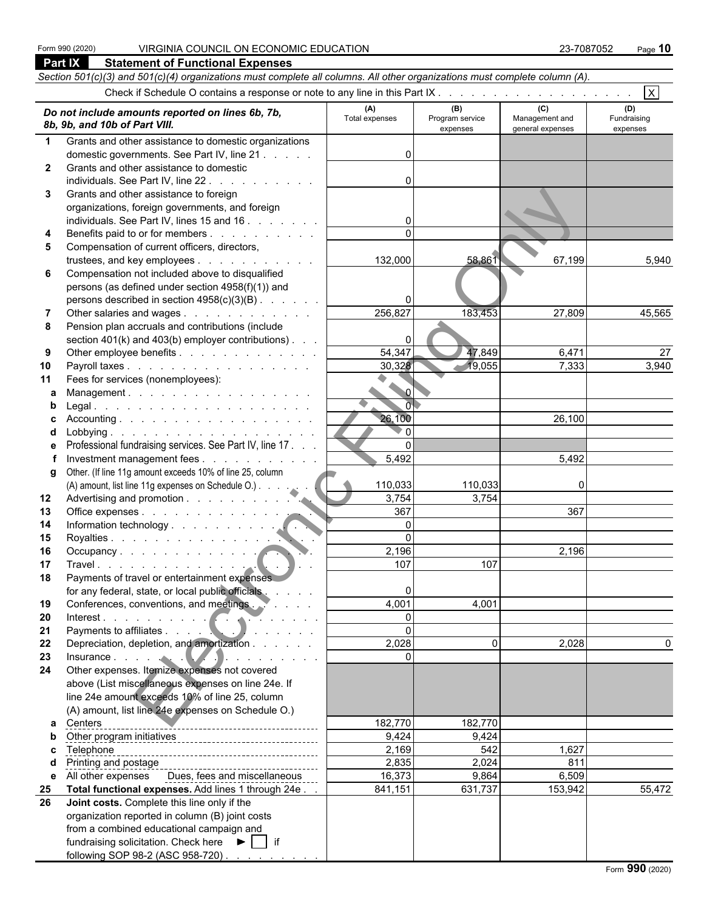| <b>Part IX</b><br><b>Statement of Functional Expenses</b> |                                                                                                                            |                       |                                    |                                    |                                |  |  |  |  |
|-----------------------------------------------------------|----------------------------------------------------------------------------------------------------------------------------|-----------------------|------------------------------------|------------------------------------|--------------------------------|--|--|--|--|
|                                                           | Section 501(c)(3) and 501(c)(4) organizations must complete all columns. All other organizations must complete column (A). |                       |                                    |                                    |                                |  |  |  |  |
|                                                           |                                                                                                                            |                       |                                    |                                    | $\overline{\mathsf{x}}$        |  |  |  |  |
|                                                           |                                                                                                                            |                       |                                    | (C)                                |                                |  |  |  |  |
|                                                           | Do not include amounts reported on lines 6b, 7b,<br>8b, 9b, and 10b of Part VIII.                                          | (A)<br>Total expenses | (B)<br>Program service<br>expenses | Management and<br>general expenses | (D)<br>Fundraising<br>expenses |  |  |  |  |
| $\mathbf 1$                                               | Grants and other assistance to domestic organizations                                                                      |                       |                                    |                                    |                                |  |  |  |  |
|                                                           | domestic governments. See Part IV, line 21                                                                                 |                       |                                    |                                    |                                |  |  |  |  |
| $\mathbf{2}$                                              | Grants and other assistance to domestic                                                                                    |                       |                                    |                                    |                                |  |  |  |  |
|                                                           | individuals. See Part IV, line 22.                                                                                         |                       |                                    |                                    |                                |  |  |  |  |
| 3                                                         | Grants and other assistance to foreign                                                                                     |                       |                                    |                                    |                                |  |  |  |  |
|                                                           | organizations, foreign governments, and foreign                                                                            |                       |                                    |                                    |                                |  |  |  |  |
|                                                           | individuals. See Part IV, lines 15 and 16                                                                                  |                       |                                    |                                    |                                |  |  |  |  |
| 4                                                         | Benefits paid to or for members                                                                                            | $\Omega$              |                                    |                                    |                                |  |  |  |  |
| 5                                                         | Compensation of current officers, directors,                                                                               |                       |                                    |                                    |                                |  |  |  |  |
|                                                           | trustees, and key employees                                                                                                | 132,000               | 58,861                             | 67,199                             | 5,940                          |  |  |  |  |
| 6                                                         | Compensation not included above to disqualified                                                                            |                       |                                    |                                    |                                |  |  |  |  |
|                                                           | persons (as defined under section 4958(f)(1)) and                                                                          |                       |                                    |                                    |                                |  |  |  |  |
|                                                           | persons described in section 4958(c)(3)(B)                                                                                 |                       |                                    |                                    |                                |  |  |  |  |
| 7                                                         | Other salaries and wages                                                                                                   | 256,827               | 183,453                            | 27,809                             | 45,565                         |  |  |  |  |
| 8                                                         | Pension plan accruals and contributions (include                                                                           | 0                     |                                    |                                    |                                |  |  |  |  |
| 9                                                         | section $401(k)$ and $403(b)$ employer contributions).<br>Other employee benefits                                          | 54,347                | 47,849                             | 6,471                              | 27                             |  |  |  |  |
| 10                                                        | Payroll taxes                                                                                                              | 30,328                | 19,055                             | 7,333                              | 3,940                          |  |  |  |  |
| 11                                                        | Fees for services (nonemployees):                                                                                          |                       |                                    |                                    |                                |  |  |  |  |
| a                                                         | Management.                                                                                                                | $\sim$ $\sigma$       |                                    |                                    |                                |  |  |  |  |
| b                                                         |                                                                                                                            | $\overline{0}$        |                                    |                                    |                                |  |  |  |  |
| c                                                         | Accounting.                                                                                                                | 26,100                |                                    | 26,100                             |                                |  |  |  |  |
| d                                                         |                                                                                                                            | $\overline{0}$        |                                    |                                    |                                |  |  |  |  |
| е                                                         | Professional fundraising services. See Part IV, line 17.                                                                   | $\mathbf{0}$          |                                    |                                    |                                |  |  |  |  |
|                                                           | Investment management fees                                                                                                 | 5,492                 |                                    | 5,492                              |                                |  |  |  |  |
| g                                                         | Other. (If line 11g amount exceeds 10% of line 25, column                                                                  |                       |                                    |                                    |                                |  |  |  |  |
|                                                           | (A) amount, list line 11g expenses on Schedule O.)                                                                         | 110,033               | 110,033                            | $\mathbf{0}$                       |                                |  |  |  |  |
| 12                                                        |                                                                                                                            | 3,754                 | 3,754                              |                                    |                                |  |  |  |  |
| 13                                                        | Office expenses                                                                                                            | 367                   |                                    | 367                                |                                |  |  |  |  |
| 14                                                        |                                                                                                                            | 0                     |                                    |                                    |                                |  |  |  |  |
| 15                                                        | Royalties                                                                                                                  | $\Omega$              |                                    |                                    |                                |  |  |  |  |
| 16                                                        |                                                                                                                            | 2,196                 |                                    | 2,196                              |                                |  |  |  |  |
| 17                                                        | Travel.                                                                                                                    | 107                   | 107                                |                                    |                                |  |  |  |  |
| 18                                                        | Payments of travel or entertainment expenses<br>for any federal, state, or local public officials                          | 0                     |                                    |                                    |                                |  |  |  |  |
| 19                                                        | Conferences, conventions, and meetings.                                                                                    | 4,001                 | 4,001                              |                                    |                                |  |  |  |  |
| 20                                                        | Interest.                                                                                                                  | $\overline{0}$        |                                    |                                    |                                |  |  |  |  |
| 21                                                        | Payments to affiliates                                                                                                     | $\mathbf 0$           |                                    |                                    |                                |  |  |  |  |
| 22                                                        | Depreciation, depletion, and amortization                                                                                  | 2,028                 | $\Omega$                           | 2,028                              | 0                              |  |  |  |  |
| 23                                                        |                                                                                                                            | $\overline{0}$        |                                    |                                    |                                |  |  |  |  |
| 24                                                        | Insurance<br>Other expenses. Itemize expenses not covered                                                                  |                       |                                    |                                    |                                |  |  |  |  |
|                                                           | above (List miscellaneous expenses on line 24e. If                                                                         |                       |                                    |                                    |                                |  |  |  |  |
|                                                           | line 24e amount exceeds 10% of line 25, column                                                                             |                       |                                    |                                    |                                |  |  |  |  |
|                                                           | (A) amount, list line 24e expenses on Schedule O.)                                                                         |                       |                                    |                                    |                                |  |  |  |  |
| a                                                         | Centers                                                                                                                    | 182,770               | 182,770                            |                                    |                                |  |  |  |  |
| b                                                         |                                                                                                                            | 9,424                 | 9,424                              |                                    |                                |  |  |  |  |
| c                                                         | Telephone                                                                                                                  | 2,169                 | 542                                | 1,627                              |                                |  |  |  |  |
| d                                                         | Printing and postage                                                                                                       | 2,835                 | 2,024                              | 811                                |                                |  |  |  |  |
|                                                           | e All other expenses Dues, fees and miscellaneous                                                                          | 16,373                | 9,864                              | 6,509                              |                                |  |  |  |  |
| 25                                                        | Total functional expenses. Add lines 1 through 24e.                                                                        | 841,151               | 631,737                            | 153,942                            | 55,472                         |  |  |  |  |
| 26                                                        | Joint costs. Complete this line only if the                                                                                |                       |                                    |                                    |                                |  |  |  |  |
|                                                           | organization reported in column (B) joint costs                                                                            |                       |                                    |                                    |                                |  |  |  |  |
|                                                           | from a combined educational campaign and                                                                                   |                       |                                    |                                    |                                |  |  |  |  |
|                                                           | fundraising solicitation. Check here $\blacktriangleright$   if                                                            |                       |                                    |                                    |                                |  |  |  |  |
|                                                           | following SOP 98-2 (ASC 958-720)                                                                                           |                       |                                    |                                    |                                |  |  |  |  |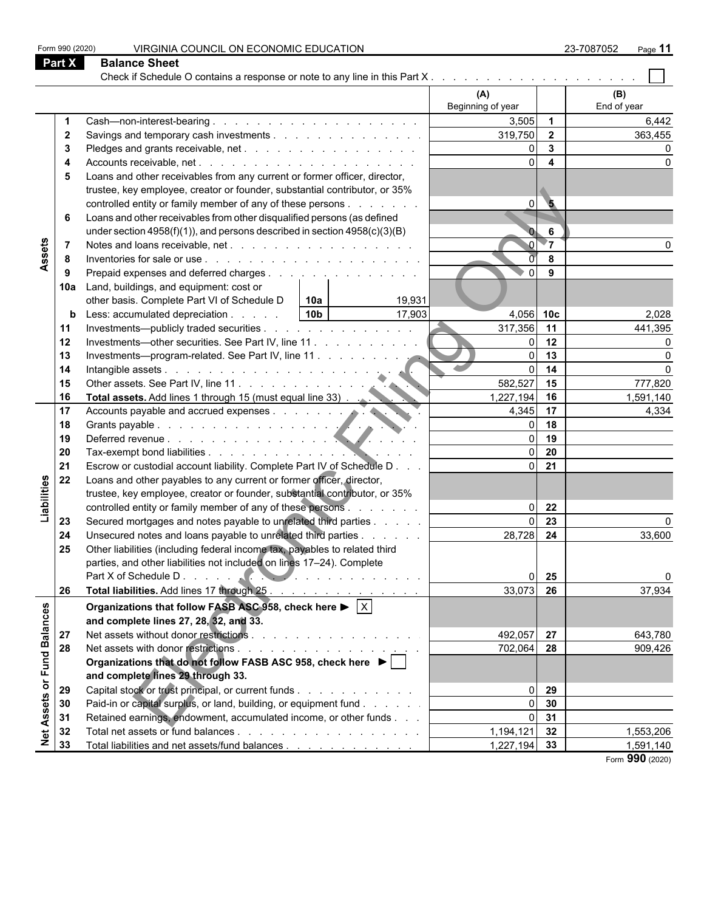|                   | Form 990 (2020) | VIRGINIA COUNCIL ON ECONOMIC EDUCATION                                                            |                   |                          | 23-7087052<br>Page 11 |
|-------------------|-----------------|---------------------------------------------------------------------------------------------------|-------------------|--------------------------|-----------------------|
|                   | <b>Part X</b>   | <b>Balance Sheet</b>                                                                              |                   |                          |                       |
|                   |                 |                                                                                                   |                   |                          |                       |
|                   |                 |                                                                                                   | (A)               |                          | (B)                   |
|                   |                 |                                                                                                   | Beginning of year |                          | End of year           |
|                   |                 |                                                                                                   | 3,505             | $\overline{\mathbf{1}}$  | 6,442                 |
|                   | $\mathbf{2}$    | Savings and temporary cash investments                                                            | 319,750           | $\overline{2}$           | 363,455               |
|                   | 3               |                                                                                                   |                   | $\mathbf{3}$             |                       |
|                   | 4               |                                                                                                   | $\Omega$          | $\overline{\mathbf{4}}$  |                       |
|                   | 5               | Loans and other receivables from any current or former officer, director,                         |                   |                          |                       |
|                   |                 | trustee, key employee, creator or founder, substantial contributor, or 35%                        |                   |                          |                       |
|                   |                 | controlled entity or family member of any of these persons                                        | $\Omega$          | $\overline{\phantom{a}}$ |                       |
|                   | 6               | Loans and other receivables from other disqualified persons (as defined                           |                   |                          |                       |
|                   |                 | under section $4958(f)(1)$ , and persons described in section $4958(c)(3)(B)$                     |                   | 6                        |                       |
|                   |                 |                                                                                                   |                   | $\overline{\ }$          |                       |
| Assets            | -8              |                                                                                                   |                   | 8                        |                       |
|                   | 9               | Prepaid expenses and deferred charges                                                             | $\Omega$          | 9                        |                       |
|                   | 10a             | Land, buildings, and equipment: cost or                                                           |                   |                          |                       |
|                   |                 | other basis. Complete Part VI of Schedule D<br>19,931<br>10a                                      |                   |                          |                       |
|                   | b               | 10 <sub>b</sub><br>17,903<br>Less: accumulated depreciation                                       | 4,056 10c         |                          | 2,028                 |
|                   | 11              | Investments—publicly traded securities                                                            | 317,356           | 11                       | 441,395               |
|                   | 12              | Investments—other securities. See Part IV, line 11.                                               |                   | 12                       | O                     |
|                   | 13              | Investments—program-related. See Part IV, line 11                                                 | $\Omega$          | 13                       | $\Omega$              |
|                   | 14              |                                                                                                   | $\mathbf{0}$      | 14                       | $\Omega$              |
|                   | 15              |                                                                                                   | 582,527           | 15                       | 777,820               |
|                   | 16              | Other assets. See Part IV, line 11.<br>Total assets. Add lines 1 through 15 (must equal line 33). | 1,227,194         | 16                       | 1,591,140             |
|                   | 17              |                                                                                                   | 4,345             | 17                       | 4,334                 |
|                   | 18              | Accounts payable and accrued expenses.                                                            |                   | 18                       |                       |
|                   | 19              |                                                                                                   |                   | 19                       |                       |
|                   | 20              |                                                                                                   |                   | 20                       |                       |
|                   | 21              | Escrow or custodial account liability. Complete Part IV of Schedule D                             | $\overline{0}$    | 21                       |                       |
|                   | 22              | Loans and other payables to any current or former officer, director,                              |                   |                          |                       |
| Liabilities       |                 | trustee, key employee, creator or founder, substantial contributor, or 35%                        |                   |                          |                       |
|                   |                 | controlled entity or family member of any of these persons                                        | $\Omega$          | 22                       |                       |
|                   | 23              | Secured mortgages and notes payable to unrelated third parties                                    |                   | 23                       |                       |
|                   | 24              | Unsecured notes and loans payable to unrelated third parties                                      | 28,728            | 24                       | 33,600                |
|                   | 25              | Other liabilities (including federal income tax, payables to related third                        |                   |                          |                       |
|                   |                 | parties, and other liabilities not included on lines 17-24). Complete                             |                   |                          |                       |
|                   |                 |                                                                                                   |                   | 25                       | 0                     |
|                   | 26              | Total liabilities. Add lines 17 through 25.                                                       | 33,073            | 26                       | 37,934                |
|                   |                 | Organizations that follow FASB ASC 958, check here $\blacktriangleright$ $\vert \times \vert$     |                   |                          |                       |
|                   |                 | and complete lines 27, 28, 32, and 33.                                                            |                   |                          |                       |
|                   | 27              |                                                                                                   | 492,057           | 27                       | 643,780               |
| or Fund Balances  | 28              |                                                                                                   | 702,064           | 28                       | 909,426               |
|                   |                 | Organizations that do not follow FASB ASC 958, check here ▶                                       |                   |                          |                       |
|                   |                 | and complete lines 29 through 33.                                                                 |                   |                          |                       |
|                   | 29              | Capital stock or trust principal, or current funds                                                |                   | 29                       |                       |
|                   | 30              | Paid-in or capital surplus, or land, building, or equipment fund                                  |                   | 30                       |                       |
|                   | 31              | Retained earnings, endowment, accumulated income, or other funds                                  |                   | 31                       |                       |
| <b>Net Assets</b> | 32              |                                                                                                   | 1,194,121         | 32                       | 1,553,206             |
|                   | 33              | Total liabilities and net assets/fund balances                                                    | 1,227,194 33      |                          | 1,591,140             |
|                   |                 |                                                                                                   |                   |                          | Form 990 (2020)       |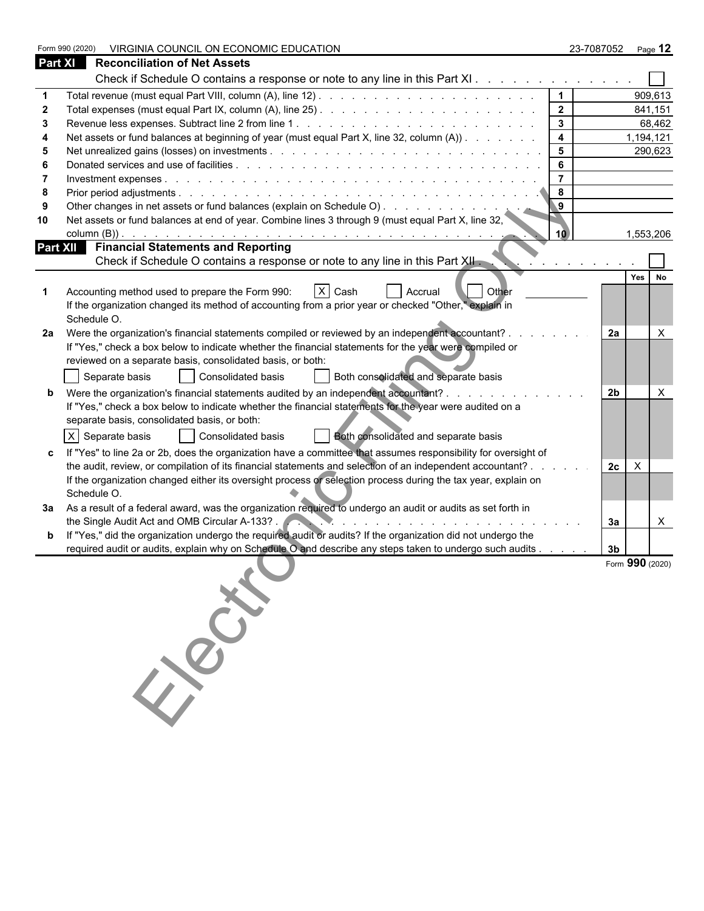|                | VIRGINIA COUNCIL ON ECONOMIC EDUCATION<br>Form 990 (2020)                                                             |                              |                | 23-7087052 Page 12        |
|----------------|-----------------------------------------------------------------------------------------------------------------------|------------------------------|----------------|---------------------------|
| <b>Part XI</b> | <b>Reconciliation of Net Assets</b>                                                                                   |                              |                |                           |
|                | Check if Schedule O contains a response or note to any line in this Part XI.                                          |                              |                |                           |
|                |                                                                                                                       | $\mathbf 1$                  |                | 909,613                   |
|                |                                                                                                                       | $\overline{2}$               |                | 841,151                   |
|                |                                                                                                                       | $\mathbf{3}$                 |                | 68,462                    |
|                | Net assets or fund balances at beginning of year (must equal Part X, line 32, column (A))                             | $\overline{\mathbf{4}}$      |                | 1,194,121                 |
|                |                                                                                                                       | $5\phantom{.0}$              |                | 290,623                   |
|                |                                                                                                                       | 6                            |                |                           |
|                |                                                                                                                       | $\overline{7}$               |                |                           |
|                |                                                                                                                       | 8<br>$\overline{9}$          |                |                           |
| 9              | Other changes in net assets or fund balances (explain on Schedule O)                                                  |                              |                |                           |
| 10             | Net assets or fund balances at end of year. Combine lines 3 through 9 (must equal Part X, line 32,<br>column $(B)$ ). | 10                           |                | 1,553,206                 |
|                | <b>Financial Statements and Reporting</b><br>Part XII                                                                 |                              |                |                           |
|                | Check if Schedule O contains a response or note to any line in this Part XII                                          | the contract of the contract |                |                           |
|                |                                                                                                                       |                              |                | Yes No                    |
|                | $X$ Cash<br>Accounting method used to prepare the Form 990:<br>  Other<br>Accrual                                     |                              |                |                           |
|                | If the organization changed its method of accounting from a prior year or checked "Other," explain in                 |                              |                |                           |
|                | Schedule O.                                                                                                           |                              |                |                           |
| 2a             | Were the organization's financial statements compiled or reviewed by an independent accountant?.                      |                              | 2a             | $\times$                  |
|                | If "Yes," check a box below to indicate whether the financial statements for the year were compiled or                |                              |                |                           |
|                | reviewed on a separate basis, consolidated basis, or both:                                                            |                              |                |                           |
|                | Separate basis<br>Consolidated basis<br>Both consolidated and separate basis                                          |                              |                |                           |
|                | Were the organization's financial statements audited by an independent accountant?                                    |                              | 2b             | X                         |
|                | If "Yes," check a box below to indicate whether the financial statements for the year were audited on a               |                              |                |                           |
|                | separate basis, consolidated basis, or both:                                                                          |                              |                |                           |
|                | X Separate basis<br>Consolidated basis<br>Both consolidated and separate basis                                        |                              |                |                           |
|                | If "Yes" to line 2a or 2b, does the organization have a committee that assumes responsibility for oversight of        |                              |                |                           |
|                | the audit, review, or compilation of its financial statements and selection of an independent accountant?             | and the con-                 | 2c             | $\boldsymbol{\mathsf{X}}$ |
|                | If the organization changed either its oversight process or selection process during the tax year, explain on         |                              |                |                           |
|                | Schedule O.                                                                                                           |                              |                |                           |
|                | 3a  As a result of a federal award, was the organization required to undergo an audit or audits as set forth in       |                              |                |                           |
|                | the Single Audit Act and OMB Circular A-133?.                                                                         |                              | За             | $\mathsf{X}$              |
|                | If "Yes," did the organization undergo the required audit or audits? If the organization did not undergo the          |                              |                |                           |
|                | required audit or audits, explain why on Schedule O and describe any steps taken to undergo such audits               |                              | 3 <sub>b</sub> | Form 990 (2020)           |
|                |                                                                                                                       |                              |                |                           |
|                |                                                                                                                       |                              |                |                           |
|                |                                                                                                                       |                              |                |                           |
|                |                                                                                                                       |                              |                |                           |
|                |                                                                                                                       |                              |                |                           |
|                |                                                                                                                       |                              |                |                           |
|                | 350-                                                                                                                  |                              |                |                           |
|                |                                                                                                                       |                              |                |                           |
|                |                                                                                                                       |                              |                |                           |
|                |                                                                                                                       |                              |                |                           |
|                |                                                                                                                       |                              |                |                           |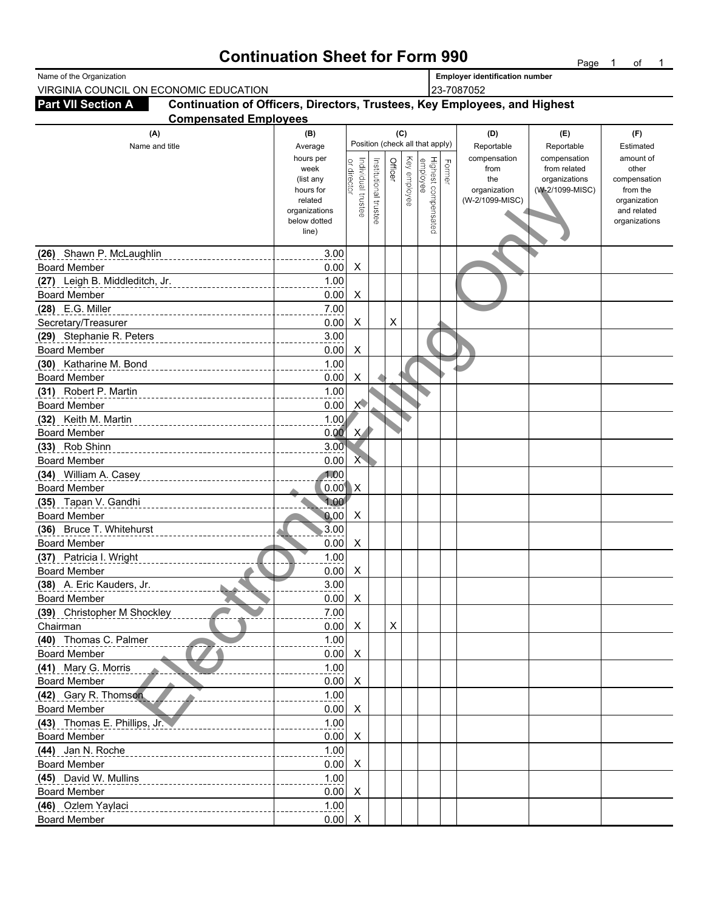### **Continuation Sheet for Form 990** Page 1 of 1

| Name of the Organization                         |                                                                           |                          |                           |                       |         |              |                                 |        | <b>Employer identification number</b> |                              |                             |
|--------------------------------------------------|---------------------------------------------------------------------------|--------------------------|---------------------------|-----------------------|---------|--------------|---------------------------------|--------|---------------------------------------|------------------------------|-----------------------------|
| VIRGINIA COUNCIL ON ECONOMIC EDUCATION           |                                                                           |                          |                           |                       |         |              |                                 |        | 23-7087052                            |                              |                             |
| <b>Part VII Section A</b>                        | Continuation of Officers, Directors, Trustees, Key Employees, and Highest |                          |                           |                       |         |              |                                 |        |                                       |                              |                             |
|                                                  | <b>Compensated Employees</b>                                              |                          |                           |                       |         |              |                                 |        |                                       |                              |                             |
| (A)                                              |                                                                           | (B)                      |                           |                       |         | (C)          |                                 |        | (D)                                   | (E)                          | (F)                         |
| Name and title                                   |                                                                           | Average                  |                           |                       |         |              | Position (check all that apply) |        | Reportable                            | Reportable                   | Estimated                   |
|                                                  |                                                                           | hours per<br>week        |                           |                       | Officer |              | Highest compensated<br>employee | Former | compensation<br>from                  | compensation<br>from related | amount of<br>other          |
|                                                  |                                                                           | (list any                | or director               |                       |         | Key employee |                                 |        | the                                   | organizations                | compensation                |
|                                                  |                                                                           | hours for                |                           |                       |         |              |                                 |        | organization                          | (W-2/1099-MISC)              | from the                    |
|                                                  |                                                                           | related<br>organizations | Individual trustee        | Institutional trustee |         |              |                                 |        | (W-2/1099-MISC)                       |                              | organization<br>and related |
|                                                  |                                                                           | below dotted             |                           |                       |         |              |                                 |        |                                       |                              | organizations               |
|                                                  |                                                                           | line)                    |                           |                       |         |              |                                 |        |                                       |                              |                             |
| (26) Shawn P. McLaughlin                         |                                                                           | 3.00                     |                           |                       |         |              |                                 |        |                                       |                              |                             |
| <b>Board Member</b>                              |                                                                           | 0.00                     | X                         |                       |         |              |                                 |        |                                       |                              |                             |
| (27) Leigh B. Middleditch, Jr.                   |                                                                           | 1.00                     |                           |                       |         |              |                                 |        |                                       |                              |                             |
| <b>Board Member</b>                              |                                                                           | 0.00                     | X                         |                       |         |              |                                 |        |                                       |                              |                             |
| (28) E.G. Miller                                 |                                                                           | 7.00                     |                           |                       |         |              |                                 |        |                                       |                              |                             |
| Secretary/Treasurer                              |                                                                           | 0.00                     | X                         |                       | X       |              |                                 |        |                                       |                              |                             |
| (29) Stephanie R. Peters                         |                                                                           | 3.00                     |                           |                       |         |              |                                 |        |                                       |                              |                             |
| <b>Board Member</b>                              |                                                                           | 0.00                     | X                         |                       |         |              |                                 |        |                                       |                              |                             |
| Katharine M. Bond<br>(30)                        |                                                                           | 1.00                     |                           |                       |         |              |                                 |        |                                       |                              |                             |
| <b>Board Member</b>                              |                                                                           | 0.00                     | X                         |                       |         |              |                                 |        |                                       |                              |                             |
| Robert P. Martin<br>(31)                         |                                                                           | 1.00                     |                           |                       |         |              |                                 |        |                                       |                              |                             |
| <b>Board Member</b>                              |                                                                           | 0.00                     | $\times$                  |                       |         |              |                                 |        |                                       |                              |                             |
| (32)<br>Keith M. Martin                          |                                                                           | 1.00                     |                           |                       |         |              |                                 |        |                                       |                              |                             |
| <b>Board Member</b>                              |                                                                           | 0.00                     | X                         |                       |         |              |                                 |        |                                       |                              |                             |
| (33) Rob Shinn                                   |                                                                           | 3.00                     |                           |                       |         |              |                                 |        |                                       |                              |                             |
| <b>Board Member</b>                              |                                                                           | 0.00                     | Х                         |                       |         |              |                                 |        |                                       |                              |                             |
| (34) William A. Casey                            |                                                                           | 1.00                     |                           |                       |         |              |                                 |        |                                       |                              |                             |
| <b>Board Member</b>                              |                                                                           | 0.00                     | $\mathsf{X}$              |                       |         |              |                                 |        |                                       |                              |                             |
| (35) Tapan V. Gandhi                             |                                                                           | 1.00                     |                           |                       |         |              |                                 |        |                                       |                              |                             |
| <b>Board Member</b>                              |                                                                           | 0.00                     | X                         |                       |         |              |                                 |        |                                       |                              |                             |
| (36) Bruce T. Whitehurst                         |                                                                           | 3.00                     |                           |                       |         |              |                                 |        |                                       |                              |                             |
| <b>Board Member</b>                              |                                                                           | 0.00                     | X                         |                       |         |              |                                 |        |                                       |                              |                             |
| (37) Patricia I. Wright                          |                                                                           | 1.00                     |                           |                       |         |              |                                 |        |                                       |                              |                             |
| <b>Board Member</b>                              |                                                                           | 0.00<br>3.00             | X                         |                       |         |              |                                 |        |                                       |                              |                             |
| (38) A. Eric Kauders, Jr.<br><b>Board Member</b> | b.                                                                        | 0.00                     | $\boldsymbol{\mathsf{X}}$ |                       |         |              |                                 |        |                                       |                              |                             |
| (39) Christopher M Shockley                      |                                                                           | 7.00                     |                           |                       |         |              |                                 |        |                                       |                              |                             |
| Chairman                                         |                                                                           | $0.00\quad$ X            |                           |                       | X       |              |                                 |        |                                       |                              |                             |
| (40) Thomas C. Palmer                            |                                                                           | 1.00                     |                           |                       |         |              |                                 |        |                                       |                              |                             |
| <b>Board Member</b>                              |                                                                           | $0.00\quad$ X            |                           |                       |         |              |                                 |        |                                       |                              |                             |
| (41) Mary G. Morris                              |                                                                           | 1.00                     |                           |                       |         |              |                                 |        |                                       |                              |                             |
| <b>Board Member</b>                              |                                                                           | 0.00                     | $\mathsf{X}$              |                       |         |              |                                 |        |                                       |                              |                             |
| (42) Gary R. Thomson                             |                                                                           | 1.00                     |                           |                       |         |              |                                 |        |                                       |                              |                             |
| <b>Board Member</b>                              |                                                                           | $0.00\quad$ X            |                           |                       |         |              |                                 |        |                                       |                              |                             |
| (43) Thomas E. Phillips, Jr.                     |                                                                           | 1.00                     |                           |                       |         |              |                                 |        |                                       |                              |                             |
| <b>Board Member</b>                              |                                                                           | 0.00                     | $\boldsymbol{\mathsf{X}}$ |                       |         |              |                                 |        |                                       |                              |                             |
| (44) Jan N. Roche                                |                                                                           | 1.00                     |                           |                       |         |              |                                 |        |                                       |                              |                             |
| <b>Board Member</b>                              |                                                                           | 0.00                     | $\mathsf{X}$              |                       |         |              |                                 |        |                                       |                              |                             |
| (45) David W. Mullins                            |                                                                           | 1.00                     |                           |                       |         |              |                                 |        |                                       |                              |                             |
| <b>Board Member</b>                              |                                                                           | $0.00\quad$ X            |                           |                       |         |              |                                 |        |                                       |                              |                             |
| (46) Ozlem Yaylaci                               |                                                                           | 1.00                     |                           |                       |         |              |                                 |        |                                       |                              |                             |
| <b>Board Member</b>                              |                                                                           | 0.00                     |                           |                       |         |              |                                 |        |                                       |                              |                             |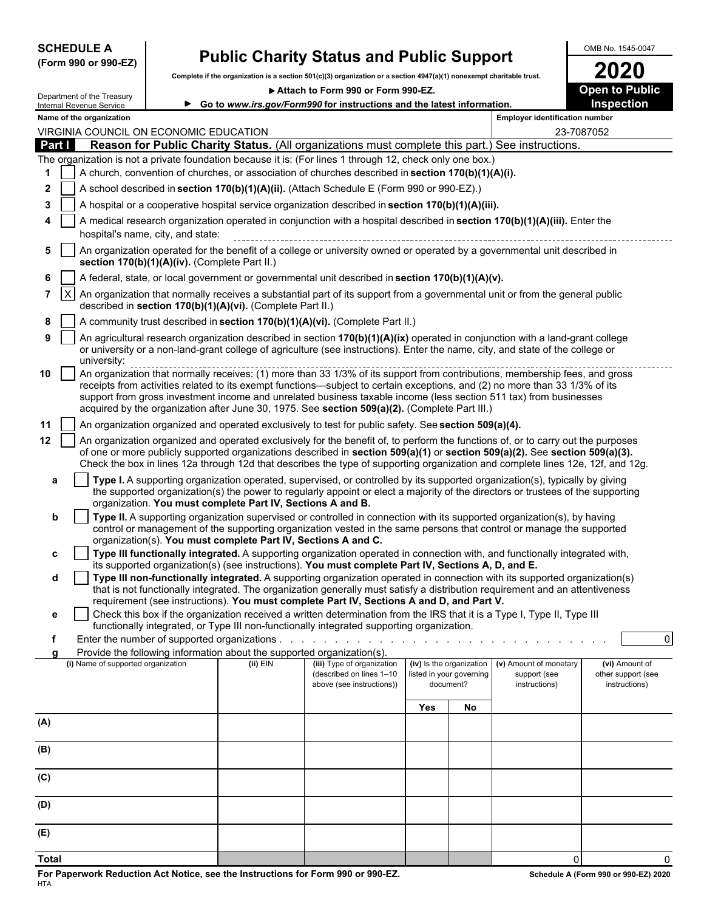| <b>SCHEDULE A</b> |  |                      |
|-------------------|--|----------------------|
|                   |  | (Form 990 or 990-EZ) |

### **Public Charity Status and Public Support**<br>to if the graanization is a section 501(c)(3) graanization or a section 4947(a)(1) nonexempt charitable trust.

**Complete if the organization is a section 501(c)(3) organization or a section 4947(a)(1) nonexempt charitable trust. 2020**

**Attach to Form 990 or Form 990-FZ. Open to Public** 

|              |            | Department of the Treasury<br>Internal Revenue Service                                                                                                                                                                                                                                                                                                                                                                                                                           |                                               |                                                                                      | ► Go to www.irs.gov/Form990 for instructions and the latest information.                                                                                                                                                                                                                                                                                                                           |                                       |                          |                                       | pen to r<br>uvı<br><b>Inspection</b> |
|--------------|------------|----------------------------------------------------------------------------------------------------------------------------------------------------------------------------------------------------------------------------------------------------------------------------------------------------------------------------------------------------------------------------------------------------------------------------------------------------------------------------------|-----------------------------------------------|--------------------------------------------------------------------------------------|----------------------------------------------------------------------------------------------------------------------------------------------------------------------------------------------------------------------------------------------------------------------------------------------------------------------------------------------------------------------------------------------------|---------------------------------------|--------------------------|---------------------------------------|--------------------------------------|
|              |            | Name of the organization                                                                                                                                                                                                                                                                                                                                                                                                                                                         |                                               |                                                                                      |                                                                                                                                                                                                                                                                                                                                                                                                    |                                       |                          | <b>Employer identification number</b> |                                      |
|              |            |                                                                                                                                                                                                                                                                                                                                                                                                                                                                                  | VIRGINIA COUNCIL ON ECONOMIC EDUCATION        |                                                                                      |                                                                                                                                                                                                                                                                                                                                                                                                    |                                       |                          |                                       | 23-7087052                           |
|              | Part I     |                                                                                                                                                                                                                                                                                                                                                                                                                                                                                  |                                               |                                                                                      | Reason for Public Charity Status. (All organizations must complete this part.) See instructions.                                                                                                                                                                                                                                                                                                   |                                       |                          |                                       |                                      |
| 1            |            |                                                                                                                                                                                                                                                                                                                                                                                                                                                                                  |                                               |                                                                                      | The organization is not a private foundation because it is: (For lines 1 through 12, check only one box.)<br>A church, convention of churches, or association of churches described in section 170(b)(1)(A)(i).                                                                                                                                                                                    |                                       |                          |                                       |                                      |
| $\mathbf{2}$ |            |                                                                                                                                                                                                                                                                                                                                                                                                                                                                                  |                                               |                                                                                      |                                                                                                                                                                                                                                                                                                                                                                                                    |                                       |                          |                                       |                                      |
|              |            |                                                                                                                                                                                                                                                                                                                                                                                                                                                                                  |                                               |                                                                                      | A school described in section 170(b)(1)(A)(ii). (Attach Schedule E (Form 990 or 990-EZ).)                                                                                                                                                                                                                                                                                                          |                                       |                          |                                       |                                      |
| 3            |            |                                                                                                                                                                                                                                                                                                                                                                                                                                                                                  |                                               |                                                                                      | A hospital or a cooperative hospital service organization described in section $170(b)(1)(A)(iii)$ .                                                                                                                                                                                                                                                                                               |                                       |                          |                                       |                                      |
|              |            |                                                                                                                                                                                                                                                                                                                                                                                                                                                                                  | hospital's name, city, and state:             |                                                                                      | A medical research organization operated in conjunction with a hospital described in section 170(b)(1)(A)(iii). Enter the                                                                                                                                                                                                                                                                          |                                       |                          |                                       |                                      |
| 5            |            |                                                                                                                                                                                                                                                                                                                                                                                                                                                                                  | section 170(b)(1)(A)(iv). (Complete Part II.) |                                                                                      | An organization operated for the benefit of a college or university owned or operated by a governmental unit described in                                                                                                                                                                                                                                                                          |                                       |                          |                                       |                                      |
| 6            |            |                                                                                                                                                                                                                                                                                                                                                                                                                                                                                  |                                               |                                                                                      | A federal, state, or local government or governmental unit described in section 170(b)(1)(A)(v).                                                                                                                                                                                                                                                                                                   |                                       |                          |                                       |                                      |
|              | $7 \mid X$ |                                                                                                                                                                                                                                                                                                                                                                                                                                                                                  |                                               | described in section 170(b)(1)(A)(vi). (Complete Part II.)                           | An organization that normally receives a substantial part of its support from a governmental unit or from the general public                                                                                                                                                                                                                                                                       |                                       |                          |                                       |                                      |
| 8            |            |                                                                                                                                                                                                                                                                                                                                                                                                                                                                                  |                                               |                                                                                      | A community trust described in section 170(b)(1)(A)(vi). (Complete Part II.)                                                                                                                                                                                                                                                                                                                       |                                       |                          |                                       |                                      |
| 9            |            | university:                                                                                                                                                                                                                                                                                                                                                                                                                                                                      |                                               |                                                                                      | An agricultural research organization described in section 170(b)(1)(A)(ix) operated in conjunction with a land-grant college<br>or university or a non-land-grant college of agriculture (see instructions). Enter the name, city, and state of the college or                                                                                                                                    |                                       |                          |                                       |                                      |
| 10           |            | An organization that normally receives: (1) more than 33 1/3% of its support from contributions, membership fees, and gross<br>receipts from activities related to its exempt functions—subject to certain exceptions, and (2) no more than 33 1/3% of its<br>support from gross investment income and unrelated business taxable income (less section 511 tax) from businesses<br>acquired by the organization after June 30, 1975. See section 509(a)(2). (Complete Part III.) |                                               |                                                                                      |                                                                                                                                                                                                                                                                                                                                                                                                    |                                       |                          |                                       |                                      |
| 11           |            |                                                                                                                                                                                                                                                                                                                                                                                                                                                                                  |                                               |                                                                                      | An organization organized and operated exclusively to test for public safety. See section 509(a)(4).                                                                                                                                                                                                                                                                                               |                                       |                          |                                       |                                      |
| $12 \,$      |            |                                                                                                                                                                                                                                                                                                                                                                                                                                                                                  |                                               |                                                                                      | An organization organized and operated exclusively for the benefit of, to perform the functions of, or to carry out the purposes<br>of one or more publicly supported organizations described in section 509(a)(1) or section 509(a)(2). See section 509(a)(3).<br>Check the box in lines 12a through 12d that describes the type of supporting organization and complete lines 12e, 12f, and 12g. |                                       |                          |                                       |                                      |
| a            |            |                                                                                                                                                                                                                                                                                                                                                                                                                                                                                  |                                               | organization. You must complete Part IV, Sections A and B.                           | Type I. A supporting organization operated, supervised, or controlled by its supported organization(s), typically by giving<br>the supported organization(s) the power to regularly appoint or elect a majority of the directors or trustees of the supporting                                                                                                                                     |                                       |                          |                                       |                                      |
| b            |            |                                                                                                                                                                                                                                                                                                                                                                                                                                                                                  |                                               | organization(s). You must complete Part IV, Sections A and C.                        | Type II. A supporting organization supervised or controlled in connection with its supported organization(s), by having<br>control or management of the supporting organization vested in the same persons that control or manage the supported                                                                                                                                                    |                                       |                          |                                       |                                      |
| c            |            |                                                                                                                                                                                                                                                                                                                                                                                                                                                                                  |                                               |                                                                                      | Type III functionally integrated. A supporting organization operated in connection with, and functionally integrated with,<br>its supported organization(s) (see instructions). You must complete Part IV, Sections A, D, and E.                                                                                                                                                                   |                                       |                          |                                       |                                      |
| d            |            |                                                                                                                                                                                                                                                                                                                                                                                                                                                                                  |                                               |                                                                                      | Type III non-functionally integrated. A supporting organization operated in connection with its supported organization(s)<br>that is not functionally integrated. The organization generally must satisfy a distribution requirement and an attentiveness<br>requirement (see instructions). You must complete Part IV, Sections A and D, and Part V.                                              |                                       |                          |                                       |                                      |
| е            |            |                                                                                                                                                                                                                                                                                                                                                                                                                                                                                  |                                               |                                                                                      | Check this box if the organization received a written determination from the IRS that it is a Type I, Type II, Type III                                                                                                                                                                                                                                                                            |                                       |                          |                                       |                                      |
|              |            |                                                                                                                                                                                                                                                                                                                                                                                                                                                                                  |                                               |                                                                                      | functionally integrated, or Type III non-functionally integrated supporting organization.                                                                                                                                                                                                                                                                                                          |                                       |                          |                                       |                                      |
| f            |            |                                                                                                                                                                                                                                                                                                                                                                                                                                                                                  |                                               |                                                                                      |                                                                                                                                                                                                                                                                                                                                                                                                    |                                       |                          |                                       | $\overline{0}$                       |
|              |            | (i) Name of supported organization                                                                                                                                                                                                                                                                                                                                                                                                                                               |                                               | Provide the following information about the supported organization(s).<br>$(ii)$ EIN | (iii) Type of organization                                                                                                                                                                                                                                                                                                                                                                         |                                       | (iv) Is the organization | (v) Amount of monetary                | (vi) Amount of                       |
|              |            |                                                                                                                                                                                                                                                                                                                                                                                                                                                                                  |                                               |                                                                                      | (described on lines 1-10<br>above (see instructions))                                                                                                                                                                                                                                                                                                                                              | listed in your governing<br>document? |                          | support (see<br>instructions)         | other support (see<br>instructions)  |
|              |            |                                                                                                                                                                                                                                                                                                                                                                                                                                                                                  |                                               |                                                                                      |                                                                                                                                                                                                                                                                                                                                                                                                    | Yes                                   | No                       |                                       |                                      |
| (A)          |            |                                                                                                                                                                                                                                                                                                                                                                                                                                                                                  |                                               |                                                                                      |                                                                                                                                                                                                                                                                                                                                                                                                    |                                       |                          |                                       |                                      |
|              |            |                                                                                                                                                                                                                                                                                                                                                                                                                                                                                  |                                               |                                                                                      |                                                                                                                                                                                                                                                                                                                                                                                                    |                                       |                          |                                       |                                      |
| (B)          |            |                                                                                                                                                                                                                                                                                                                                                                                                                                                                                  |                                               |                                                                                      |                                                                                                                                                                                                                                                                                                                                                                                                    |                                       |                          |                                       |                                      |
| (C)          |            |                                                                                                                                                                                                                                                                                                                                                                                                                                                                                  |                                               |                                                                                      |                                                                                                                                                                                                                                                                                                                                                                                                    |                                       |                          |                                       |                                      |
| (D)          |            |                                                                                                                                                                                                                                                                                                                                                                                                                                                                                  |                                               |                                                                                      |                                                                                                                                                                                                                                                                                                                                                                                                    |                                       |                          |                                       |                                      |
| (E)          |            |                                                                                                                                                                                                                                                                                                                                                                                                                                                                                  |                                               |                                                                                      |                                                                                                                                                                                                                                                                                                                                                                                                    |                                       |                          |                                       |                                      |

**Total** 0 0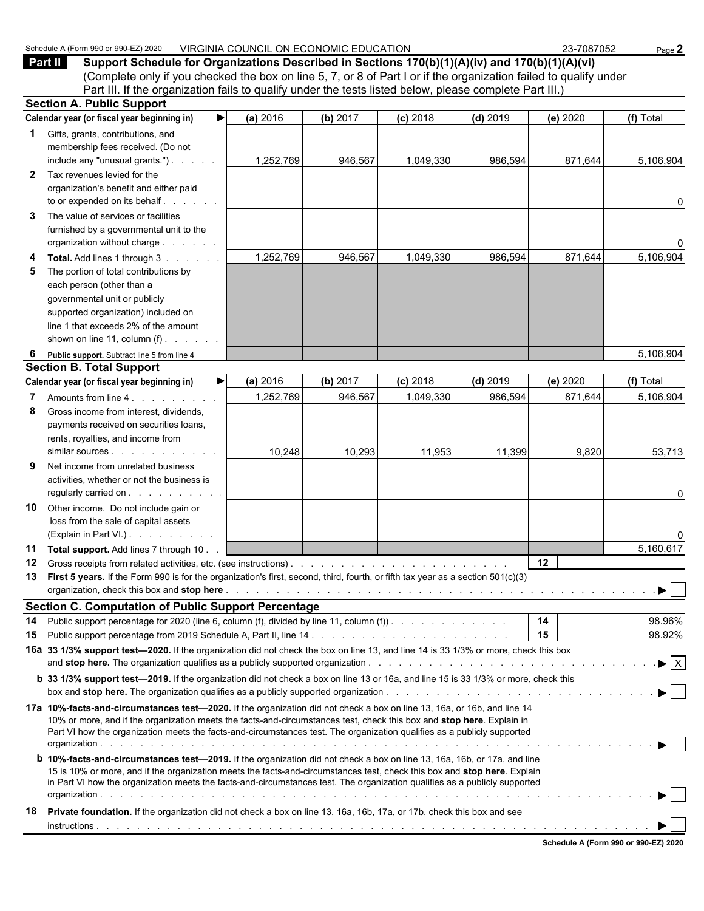|              | (Complete only if you checked the box on line 5, 7, or 8 of Part I or if the organization failed to qualify under<br>Part III. If the organization fails to qualify under the tests listed below, please complete Part III.)                                                                                                                                                             |           |          |            |            |          |              |
|--------------|------------------------------------------------------------------------------------------------------------------------------------------------------------------------------------------------------------------------------------------------------------------------------------------------------------------------------------------------------------------------------------------|-----------|----------|------------|------------|----------|--------------|
|              | <b>Section A. Public Support</b>                                                                                                                                                                                                                                                                                                                                                         |           |          |            |            |          |              |
|              | Calendar year (or fiscal year beginning in)<br>▶                                                                                                                                                                                                                                                                                                                                         | (a) 2016  | (b) 2017 | $(c)$ 2018 | $(d)$ 2019 | (e) 2020 | (f) Total    |
| 1            | Gifts, grants, contributions, and<br>membership fees received. (Do not<br>include any "unusual grants.")                                                                                                                                                                                                                                                                                 | 1,252,769 | 946,567  | 1,049,330  | 986,594    | 871,644  | 5,106,904    |
| $\mathbf{2}$ | Tax revenues levied for the<br>organization's benefit and either paid<br>to or expended on its behalf                                                                                                                                                                                                                                                                                    |           |          |            |            |          | 0            |
| 3            | The value of services or facilities<br>furnished by a governmental unit to the<br>organization without charge                                                                                                                                                                                                                                                                            |           |          |            |            |          | 0            |
| 4<br>5       | Total. Add lines 1 through 3<br>The portion of total contributions by<br>each person (other than a<br>governmental unit or publicly<br>supported organization) included on<br>line 1 that exceeds 2% of the amount<br>shown on line 11, column $(f)$ . $\ldots$ .                                                                                                                        | 1,252,769 | 946,567  | 1,049,330  | 986,594    | 871,644  | 5,106,904    |
| 6            | Public support. Subtract line 5 from line 4                                                                                                                                                                                                                                                                                                                                              |           |          |            |            |          | 5,106,904    |
|              | <b>Section B. Total Support</b>                                                                                                                                                                                                                                                                                                                                                          |           |          |            |            |          |              |
|              | Calendar year (or fiscal year beginning in)<br>▶                                                                                                                                                                                                                                                                                                                                         | (a) 2016  | (b) 2017 | $(c)$ 2018 | $(d)$ 2019 | (e) 2020 | (f) Total    |
| 7            | Amounts from line 4.                                                                                                                                                                                                                                                                                                                                                                     | 1,252,769 | 946,567  | 1,049,330  | 986,594    | 871,644  | 5,106,904    |
| 8            | Gross income from interest, dividends,<br>payments received on securities loans,<br>rents, royalties, and income from                                                                                                                                                                                                                                                                    | 10,248    | 10,293   | 11,953     | 11,399     | 9,820    | 53,713       |
| 9            | Net income from unrelated business<br>activities, whether or not the business is<br>regularly carried on                                                                                                                                                                                                                                                                                 |           |          |            |            |          | 0            |
| 10           | Other income. Do not include gain or<br>loss from the sale of capital assets<br>(Explain in Part VI.).                                                                                                                                                                                                                                                                                   |           |          |            |            |          | 0            |
| 11           | Total support. Add lines 7 through 10.                                                                                                                                                                                                                                                                                                                                                   |           |          |            |            |          | 5,160,617    |
| 12           |                                                                                                                                                                                                                                                                                                                                                                                          |           |          |            |            | 12       |              |
| 13           | First 5 years. If the Form 990 is for the organization's first, second, third, fourth, or fifth tax year as a section 501(c)(3)                                                                                                                                                                                                                                                          |           |          |            |            |          |              |
|              | <b>Section C. Computation of Public Support Percentage</b>                                                                                                                                                                                                                                                                                                                               |           |          |            |            |          |              |
| 14           | Public support percentage for 2020 (line 6, column (f), divided by line 11, column (f)).                                                                                                                                                                                                                                                                                                 |           |          |            |            | 14       | 98.96%       |
| 15           |                                                                                                                                                                                                                                                                                                                                                                                          |           |          |            |            | 15       | 98.92%       |
|              | 16a 33 1/3% support test-2020. If the organization did not check the box on line 13, and line 14 is 33 1/3% or more, check this box                                                                                                                                                                                                                                                      |           |          |            |            |          | $\mathbf{E}$ |
|              | b 33 1/3% support test-2019. If the organization did not check a box on line 13 or 16a, and line 15 is 33 1/3% or more, check this                                                                                                                                                                                                                                                       |           |          |            |            |          |              |
|              | 17a 10%-facts-and-circumstances test—2020. If the organization did not check a box on line 13, 16a, or 16b, and line 14<br>10% or more, and if the organization meets the facts-and-circumstances test, check this box and stop here. Explain in<br>Part VI how the organization meets the facts-and-circumstances test. The organization qualifies as a publicly supported              |           |          |            |            |          |              |
|              | <b>b</b> 10%-facts-and-circumstances test-2019. If the organization did not check a box on line 13, 16a, 16b, or 17a, and line<br>15 is 10% or more, and if the organization meets the facts-and-circumstances test, check this box and stop here. Explain<br>in Part VI how the organization meets the facts-and-circumstances test. The organization qualifies as a publicly supported |           |          |            |            |          |              |
| 18           | Private foundation. If the organization did not check a box on line 13, 16a, 16b, 17a, or 17b, check this box and see                                                                                                                                                                                                                                                                    |           |          |            |            |          |              |

Schedule A (Form 990 or 990-EZ) 2020 VIRGINIA COUNCIL ON ECONOMIC EDUCATION 23-7087052 Page 2<br> **Part II** Support Schedule for Organizations Described in Sections 170(b)(1)(A)(iv) and 170(b)(1)(A)(vi) **Part II Support Schedule for Organizations Described in Sections 170(b)(1)(A)(iv) and 170(b)(1)(A)(vi)**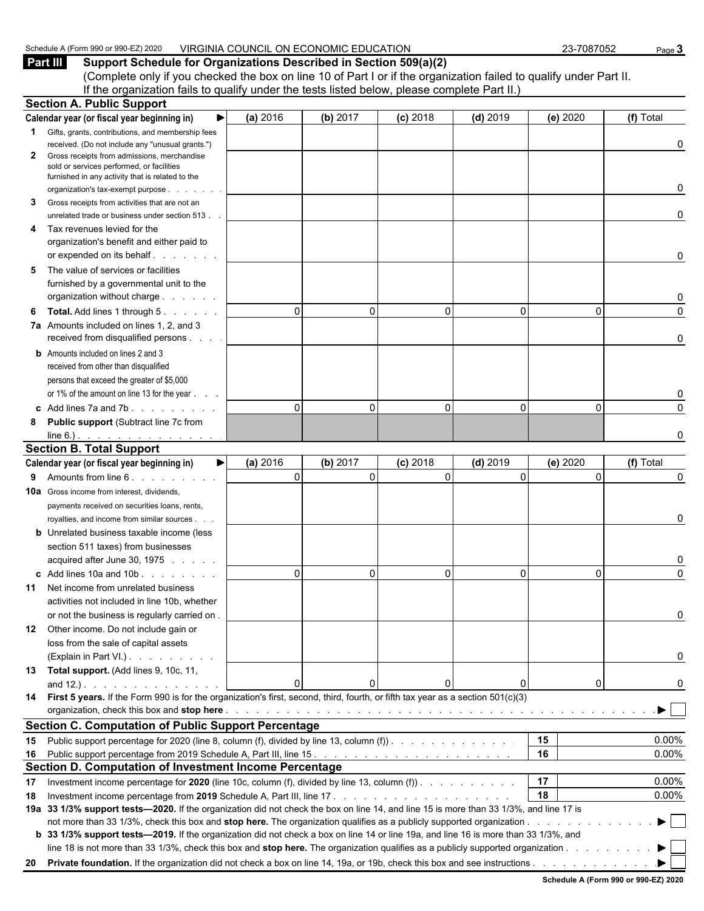| <sub>1</sub> 2020<br>Schedule<br>$.3500$ or $90^{\circ}$ .<br>$\alpha$ age<br>(Form<br>$\cdots$ | <b>J ECONOMIC</b><br>FDUCATION<br><b>VIRGINIA</b><br>COUNCIL<br>. NC<br>UIL | $-708705$<br>$\sim$<br>uu,<br>uJ.<br>. | Page |
|-------------------------------------------------------------------------------------------------|-----------------------------------------------------------------------------|----------------------------------------|------|
|                                                                                                 |                                                                             |                                        |      |

**Part III Support Schedule for Organizations Described in Section 509(a)(2)** (Complete only if you checked the box on line 10 of Part I or if the organization failed to qualify under Part II. If the organization fails to qualify under the tests listed below, please complete Part II.) **Section A. Public Support**

|              | OCULUII A. FUDIIU OUPPUIL                                                                                                                  |          |                      |            |              |          |           |
|--------------|--------------------------------------------------------------------------------------------------------------------------------------------|----------|----------------------|------------|--------------|----------|-----------|
|              | Calendar year (or fiscal year beginning in)<br>▶                                                                                           | (a) 2016 | (b) 2017             | $(c)$ 2018 | $(d)$ 2019   | (e) 2020 | (f) Total |
| $\mathbf{1}$ | Gifts, grants, contributions, and membership fees                                                                                          |          |                      |            |              |          |           |
|              | received. (Do not include any "unusual grants.")                                                                                           |          |                      |            |              |          | 0         |
| $\mathbf{2}$ | Gross receipts from admissions, merchandise                                                                                                |          |                      |            |              |          |           |
|              | sold or services performed, or facilities<br>furnished in any activity that is related to the                                              |          |                      |            |              |          |           |
|              | organization's tax-exempt purpose.                                                                                                         |          |                      |            |              |          | 0         |
| 3            | Gross receipts from activities that are not an                                                                                             |          |                      |            |              |          |           |
|              | unrelated trade or business under section 513.                                                                                             |          |                      |            |              |          | 0         |
| 4            | Tax revenues levied for the                                                                                                                |          |                      |            |              |          |           |
|              | organization's benefit and either paid to                                                                                                  |          |                      |            |              |          |           |
|              |                                                                                                                                            |          |                      |            |              |          | 0         |
| 5            | The value of services or facilities                                                                                                        |          |                      |            |              |          |           |
|              | furnished by a governmental unit to the                                                                                                    |          |                      |            |              |          |           |
|              | organization without charge                                                                                                                |          |                      |            |              |          | 0         |
| 6            | <b>Total.</b> Add lines 1 through 5.                                                                                                       |          | $\Omega$<br>$\Omega$ | O          | $\Omega$     | 0        | $\Omega$  |
|              | 7a Amounts included on lines 1, 2, and 3                                                                                                   |          |                      |            |              |          |           |
|              | received from disqualified persons                                                                                                         |          |                      |            |              |          | 0         |
|              | <b>b</b> Amounts included on lines 2 and 3                                                                                                 |          |                      |            |              |          |           |
|              | received from other than disqualified                                                                                                      |          |                      |            |              |          |           |
|              | persons that exceed the greater of \$5,000                                                                                                 |          |                      |            |              |          |           |
|              | or 1% of the amount on line 13 for the year                                                                                                |          |                      |            |              |          | 0         |
|              |                                                                                                                                            |          | $\Omega$<br>$\Omega$ | $\Omega$   | $\mathbf{0}$ | 0        | 0         |
| 8            | Public support (Subtract line 7c from                                                                                                      |          |                      |            |              |          |           |
|              | $line 6$ .).                                                                                                                               |          |                      |            |              |          | O         |
|              | <b>Section B. Total Support</b>                                                                                                            |          |                      |            |              |          |           |
|              | Calendar year (or fiscal year beginning in)<br>▶                                                                                           | (a) 2016 | (b) 2017             | $(c)$ 2018 | $(d)$ 2019   | (e) 2020 | (f) Total |
| 9            | Amounts from line 6.                                                                                                                       |          | $\Omega$<br>$\Omega$ | $\Omega$   | $\mathbf 0$  | 0        | 0         |
|              | <b>10a</b> Gross income from interest, dividends,                                                                                          |          |                      |            |              |          |           |
|              | payments received on securities loans, rents,                                                                                              |          |                      |            |              |          |           |
|              |                                                                                                                                            |          |                      |            |              |          | 0         |
|              | royalties, and income from similar sources.<br><b>b</b> Unrelated business taxable income (less                                            |          |                      |            |              |          |           |
|              | section 511 taxes) from businesses                                                                                                         |          |                      |            |              |          |           |
|              | acquired after June 30, 1975                                                                                                               |          |                      |            |              |          | 0         |
|              | c Add lines 10a and 10b                                                                                                                    |          | $\Omega$<br>$\Omega$ | $\Omega$   | $\mathbf{0}$ | $\Omega$ | $\Omega$  |
|              | Net income from unrelated business                                                                                                         |          |                      |            |              |          |           |
| 11           |                                                                                                                                            |          |                      |            |              |          |           |
|              | activities not included in line 10b, whether<br>or not the business is regularly carried on.                                               |          |                      |            |              |          | 0         |
|              |                                                                                                                                            |          |                      |            |              |          |           |
|              | 12 Other income. Do not include gain or                                                                                                    |          |                      |            |              |          |           |
|              | loss from the sale of capital assets                                                                                                       |          |                      |            |              |          |           |
|              | (Explain in Part VI.)                                                                                                                      |          |                      |            |              |          | 0         |
|              | 13 Total support. (Add lines 9, 10c, 11,                                                                                                   | ∩        |                      |            |              |          |           |
|              | and $12.$ ). $\ldots$ $\ldots$ $\ldots$ $\ldots$ $\ldots$                                                                                  |          | n                    |            | 0            | 0        | 0         |
|              | 14 First 5 years. If the Form 990 is for the organization's first, second, third, fourth, or fifth tax year as a section 501(c)(3)         |          |                      |            |              |          |           |
|              |                                                                                                                                            |          |                      |            |              |          |           |
|              | <b>Section C. Computation of Public Support Percentage</b>                                                                                 |          |                      |            |              |          |           |
|              | 15 Public support percentage for 2020 (line 8, column (f), divided by line 13, column (f))                                                 |          |                      |            |              | 15       | 0.00%     |
|              |                                                                                                                                            |          |                      |            |              | 16       | 0.00%     |
|              | Section D. Computation of Investment Income Percentage                                                                                     |          |                      |            |              |          |           |
| 17           | Investment income percentage for 2020 (line 10c, column (f), divided by line 13, column (f)). $\ldots$                                     |          |                      |            |              | 17       | 0.00%     |
| 18           |                                                                                                                                            |          |                      |            |              | 18       | 0.00%     |
|              | 19a 33 1/3% support tests—2020. If the organization did not check the box on line 14, and line 15 is more than 33 1/3%, and line 17 is     |          |                      |            |              |          |           |
|              | not more than 33 1/3%, check this box and stop here. The organization qualifies as a publicly supported organization                       |          |                      |            |              |          |           |
|              | <b>b</b> 33 1/3% support tests—2019. If the organization did not check a box on line 14 or line 19a, and line 16 is more than 33 1/3%, and |          |                      |            |              |          |           |
|              | line 18 is not more than 33 1/3%, check this box and stop here. The organization qualifies as a publicly supported organization            |          |                      |            |              |          |           |
|              |                                                                                                                                            |          |                      |            |              |          |           |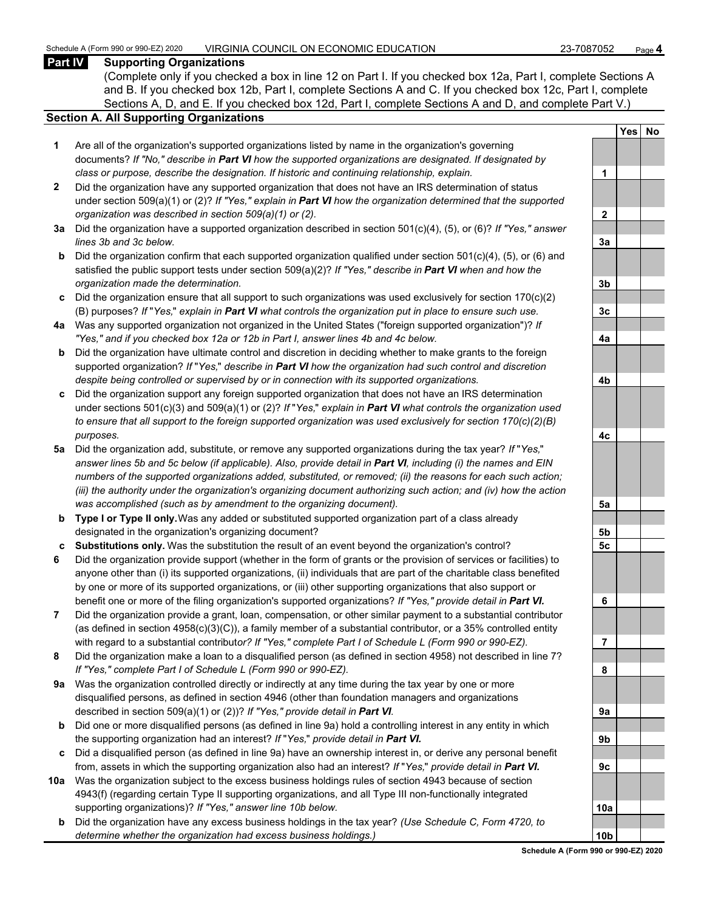#### **Part IV Supporting Organizations**

(Complete only if you checked a box in line 12 on Part I. If you checked box 12a, Part I, complete Sections A and B. If you checked box 12b, Part I, complete Sections A and C. If you checked box 12c, Part I, complete Sections A, D, and E. If you checked box 12d, Part I, complete Sections A and D, and complete Part V.)

#### **Section A. All Supporting Organizations**

- **1** Are all of the organization's supported organizations listed by name in the organization's governing documents? *If "No," describe in Part VI how the supported organizations are designated. If designated by class or purpose, describe the designation. If historic and continuing relationship, explain.* **1**
- **2** Did the organization have any supported organization that does not have an IRS determination of status under section 509(a)(1) or (2)? *If "Yes," explain in Part VI how the organization determined that the supported organization was described in section 509(a)(1) or (2).*
- **3a** Did the organization have a supported organization described in section 501(c)(4), (5), or (6)? *If "Yes," answer*  $lines$  3b and 3c below.
- **b** Did the organization confirm that each supported organization qualified under section 501(c)(4), (5), or (6) and satisfied the public support tests under section 509(a)(2)? *If "Yes," describe in Part VI when and how the organization made the determination.* **3b**
- **c** Did the organization ensure that all support to such organizations was used exclusively for section 170(c)(2) (B) purposes? *If* "*Yes,*" *explain in Part VI what controls the organization put in place to ensure such use.* **3c**
- **4a** Was any supported organization not organized in the United States ("foreign supported organization")? *If "Yes," and if you checked box 12a or 12b in Part I, answer lines 4b and 4c below.* **4a**
- **b** Did the organization have ultimate control and discretion in deciding whether to make grants to the foreign supported organization? *If* "*Yes,*" *describe in Part VI how the organization had such control and discretion despite being controlled or supervised by or in connection with its supported organizations.* **4b**
- **c** Did the organization support any foreign supported organization that does not have an IRS determination under sections 501(c)(3) and 509(a)(1) or (2)? *If* "*Yes,*" *explain in Part VI what controls the organization used to ensure that all support to the foreign supported organization was used exclusively for section 170(c)(2)(B) purposes.* **4c**
- **5a** Did the organization add, substitute, or remove any supported organizations during the tax year? *If* "*Yes,*" *answer lines 5b and 5c below (if applicable). Also, provide detail in Part VI, including (i) the names and EIN numbers of the supported organizations added, substituted, or removed; (ii) the reasons for each such action; (iii) the authority under the organization's organizing document authorizing such action; and (iv) how the action was accomplished (such as by amendment to the organizing document).* **5a**
- **b Type I or Type II only.** Was any added or substituted supported organization part of a class already designated in the organization's organizing document? **5b**
- **c Substitutions only.** Was the substitution the result of an event beyond the organization's control? **5c**
- **6** Did the organization provide support (whether in the form of grants or the provision of services or facilities) to anyone other than (i) its supported organizations, (ii) individuals that are part of the charitable class benefited by one or more of its supported organizations, or (iii) other supporting organizations that also support or benefit one or more of the filing organization's supported organizations? *If "Yes," provide detail in Part VI.* **6**
- **7** Did the organization provide a grant, loan, compensation, or other similar payment to a substantial contributor (as defined in section 4958(c)(3)(C)), a family member of a substantial contributor, or a 35% controlled entity with regard to a substantial contribut*or? If "Yes," complete Part I of Schedule L (Form 990 or 990-EZ).* **7**
- **8** Did the organization make a loan to a disqualified person (as defined in section 4958) not described in line 7? *If "Yes," complete Part I of Schedule L (Form 990 or 990-EZ).* **8**
- **9a** Was the organization controlled directly or indirectly at any time during the tax year by one or more disqualified persons, as defined in section 4946 (other than foundation managers and organizations described in section 509(a)(1) or (2))? If "Yes," provide detail in Part VI.
- **b** Did one or more disqualified persons (as defined in line 9a) hold a controlling interest in any entity in which the supporting organization had an interest? *If* "*Yes,*" *provide detail in Part VI.* **9b**
- **c** Did a disqualified person (as defined in line 9a) have an ownership interest in, or derive any personal benefit from, assets in which the supporting organization also had an interest? *If* "*Yes,*" *provide detail in Part VI.* **9c**
- **10a** Was the organization subject to the excess business holdings rules of section 4943 because of section 4943(f) (regarding certain Type II supporting organizations, and all Type III non-functionally integrated supporting organizations)? If "Yes," answer line 10b below.
	- **b** Did the organization have any excess business holdings in the tax year? *(Use Schedule C, Form 4720, to determine whether the organization had excess business holdings.)*

|           | Yes | <u>No</u> |
|-----------|-----|-----------|
|           |     |           |
| 1         |     |           |
|           |     |           |
| <u>2</u>  |     |           |
|           |     |           |
| <u>3a</u> |     |           |
|           |     |           |
| <u>3b</u> |     |           |
|           |     |           |
| <u>3c</u> |     |           |
|           |     |           |
| <u>4a</u> |     |           |
|           |     |           |
| 4b        |     |           |
|           |     |           |
| 4c        |     |           |
|           |     |           |
| <u>5a</u> |     |           |
| <u>5b</u> |     |           |
| <u>5c</u> |     |           |
|           |     |           |
| 6         |     |           |
|           |     |           |
| ľ<br>l    |     |           |
| 8         |     |           |
|           |     |           |
| Jа        |     |           |
| J         |     |           |
|           |     |           |
|           |     |           |
| ) (       |     |           |
| 0a        |     |           |
|           |     |           |
| Oł        |     |           |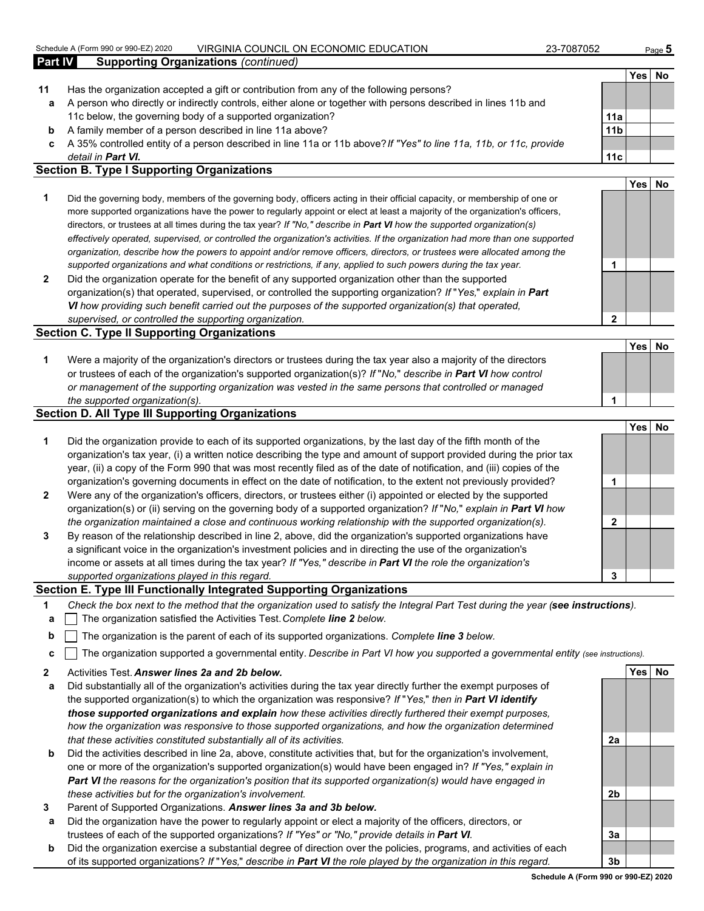#### Schedule A (Form 990 or 990-EZ) 2020 VIRGINIA COUNCIL ON ECONOMIC EDUCATION 23-7087052 Page **5**

|         | <u>VII \OII \II \ OOOI \OIL OI \ LOOI \OIVIIO LDOO/ \ I IOI \</u>                                                          | 2010 I DUZ      |            | raye v |
|---------|----------------------------------------------------------------------------------------------------------------------------|-----------------|------------|--------|
| Part IV | <b>Supporting Organizations (continued)</b>                                                                                |                 |            |        |
|         |                                                                                                                            |                 | Yes   No   |        |
| 11      | Has the organization accepted a gift or contribution from any of the following persons?                                    |                 |            |        |
| а       | A person who directly or indirectly controls, either alone or together with persons described in lines 11b and             |                 |            |        |
|         | 11c below, the governing body of a supported organization?                                                                 | 11a             |            |        |
| b       | A family member of a person described in line 11a above?                                                                   | 11 <sub>b</sub> |            |        |
| c.      | A 35% controlled entity of a person described in line 11a or 11b above? If "Yes" to line 11a, 11b, or 11c, provide         |                 |            |        |
|         | detail in <b>Part VI.</b>                                                                                                  | 11c             |            |        |
|         | <b>Section B. Type I Supporting Organizations</b>                                                                          |                 |            |        |
|         |                                                                                                                            |                 | <b>Yes</b> | No     |
|         | Did the governing body, members of the governing body, officers acting in their official capacity, or membership of one or |                 |            |        |

- more supported organizations have the power to regularly appoint or elect at least a majority of the organization's officers, directors, or trustees at all times during the tax year? *If "No," describe in Part VI how the supported organization(s) effectively operated, supervised, or controlled the organization's activities. If the organization had more than one supported organization, describe how the powers to appoint and/or remove officers, directors, or trustees were allocated among the supported organizations and what conditions or restrictions, if any, applied to such powers during the tax year.* **1**
- **2** Did the organization operate for the benefit of any supported organization other than the supported organization(s) that operated, supervised, or controlled the supporting organization? *If* "*Yes,*" *explain in Part VI how providing such benefit carried out the purposes of the supported organization(s) that operated, supervised, or controlled the supporting organization.* **2**

#### **Section C. Type II Supporting Organizations**

| Were a majority of the organization's directors or trustees during the tax year also a majority of the directors     |  |
|----------------------------------------------------------------------------------------------------------------------|--|
| or trustees of each of the organization's supported organization(s)? If "No," describe in <b>Part VI</b> how control |  |
| or management of the supporting organization was vested in the same persons that controlled or managed               |  |
| the supported organization(s).                                                                                       |  |

#### **Section D. All Type III Supporting Organizations**

|                |                                                                                                                        |   | <b>Yes</b> | No. |
|----------------|------------------------------------------------------------------------------------------------------------------------|---|------------|-----|
| 1              | Did the organization provide to each of its supported organizations, by the last day of the fifth month of the         |   |            |     |
|                | organization's tax year, (i) a written notice describing the type and amount of support provided during the prior tax  |   |            |     |
|                | year, (ii) a copy of the Form 990 that was most recently filed as of the date of notification, and (iii) copies of the |   |            |     |
|                | organization's governing documents in effect on the date of notification, to the extent not previously provided?       |   |            |     |
| $\overline{2}$ | Were any of the organization's officers, directors, or trustees either (i) appointed or elected by the supported       |   |            |     |
|                | organization(s) or (ii) serving on the governing body of a supported organization? If "No," explain in Part VI how     |   |            |     |
|                | the organization maintained a close and continuous working relationship with the supported organization(s).            |   |            |     |
| 3              | By reason of the relationship described in line 2, above, did the organization's supported organizations have          |   |            |     |
|                | a significant voice in the organization's investment policies and in directing the use of the organization's           |   |            |     |
|                | income or assets at all times during the tax year? If "Yes," describe in Part VI the role the organization's           |   |            |     |
|                | supported organizations played in this regard.                                                                         | 3 |            |     |

#### **Section E. Type III Functionally Integrated Supporting Organizations**

- **1** *Check the box next to the method that the organization used to satisfy the Integral Part Test during the year (see instructions).*
- **a** The organization satisfied the Activities Test. *Complete line 2 below.*
- **b** The organization is the parent of each of its supported organizations. *Complete line 3 below.*
- **c** The organization supported a governmental entity. *Describe in Part VI how you supported a governmental entity (see instructions).*
- **2** Activities Test. *Answer lines 2a and 2b below.* **Yes No**
- **a** Did substantially all of the organization's activities during the tax year directly further the exempt purposes of the supported organization(s) to which the organization was responsive? *If* "*Yes,*" *then in Part VI identify those supported organizations and explain how these activities directly furthered their exempt purposes, how the organization was responsive to those supported organizations, and how the organization determined that these activities constituted substantially all of its activities.* **2a**
- **b** Did the activities described in line 2a, above, constitute activities that, but for the organization's involvement, one or more of the organization's supported organization(s) would have been engaged in? *If "Yes," explain in Part VI the reasons for the organization's position that its supported organization(s) would have engaged in these activities but for the organization's involvement.* **2b**
- **3** Parent of Supported Organizations. *Answer lines 3a and 3b below.*
- **a** Did the organization have the power to regularly appoint or elect a majority of the officers, directors, or trustees of each of the supported organizations? *If "Yes" or "No," provide details in Part VI.* **3a**
- **b** Did the organization exercise a substantial degree of direction over the policies, programs, and activities of each of its supported organizations? *If* "*Yes,*" *describe in Part VI the role played by the organization in this regard.* **3b**

**Yes No**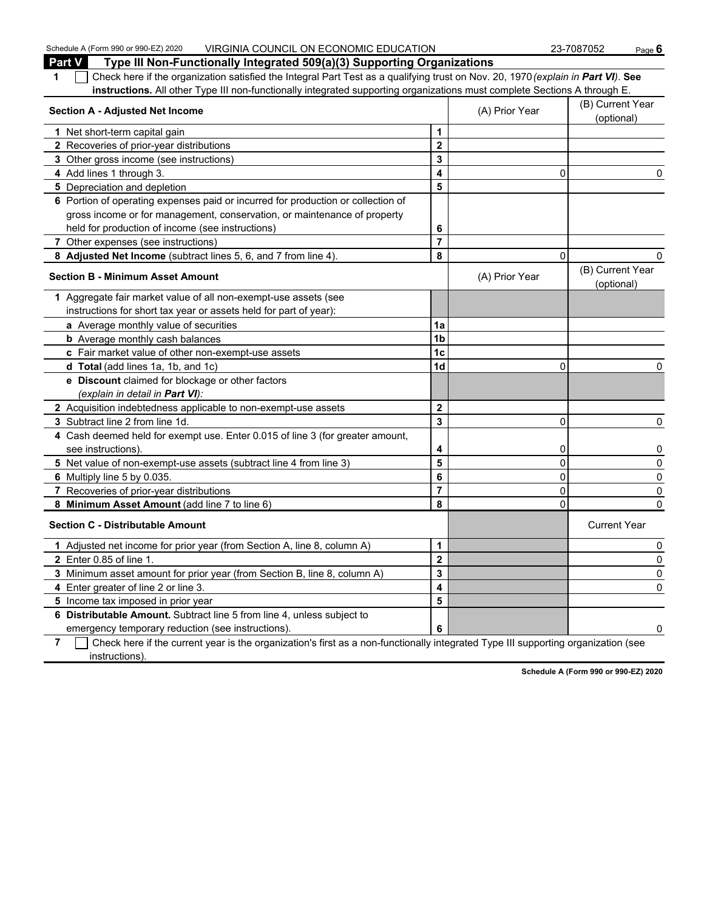Schedule A (Form 990 or 990-EZ) 2020 VIRGINIA COUNCIL ON ECONOMIC EDUCATION 23-7087052 Page 6 **Part V Type III Non-Functionally Integrated 509(a)(3) Supporting Organizations 1** Check here if the organization satisfied the Integral Part Test as a qualifying trust on Nov. 20, 1970 *(explain in Part VI)*. **See instructions.** All other Type III non-functionally integrated supporting organizations must complete Sections A through E. **Section A - Adjusted Net Income** (B) Current Year (B) Current Year (B) Current Year (B) Current Year (B) Current Year (B) Current Year (B) Current Year (B) Current Year (B) Current Year (B) Current Year (B) Current Year ( (optional) **1** Net short-term capital gain **1 1 2** Recoveries of prior-year distributions **2 3** Other gross income (see instructions) **3 4** Add lines 1 through 3. **4** 0 0 **5** Depreciation and depletion **5 5 6** Portion of operating expenses paid or incurred for production or collection of gross income or for management, conservation, or maintenance of property held for production of income (see instructions) **6 7** Other expenses (see instructions) **7 8 Adjusted Net Income** (subtract lines 5, 6, and 7 from line 4). **8** 0 0 **Section B - Minimum Asset Amount Contract Amount** (A) Prior Year (B) Current Year (B) Current Year (B) Current Year (B) Current Year (B) Current Year (B) Current Year (B) Current Year (B) Current Year (B) Current Year ( (optional) **1** Aggregate fair market value of all non-exempt-use assets (see instructions for short tax year or assets held for part of year): **a** Average monthly value of securities **1a b** Average monthly cash balances **1b** Average monthly cash balances **c** Fair market value of other non-exempt-use assets **1c d Total** (add lines 1a, 1b, and 1c) **1d** 0 0 **e Discount** claimed for blockage or other factors *(explain in detail in Part VI):* **2** Acquisition indebtedness applicable to non-exempt-use assets **2 3** Subtract line 2 from line 1d. **3** 0 0 **4** Cash deemed held for exempt use. Enter 0.015 of line 3 (for greater amount, see instructions).  $\begin{vmatrix} 4 & 0 \\ 0 & 0 \end{vmatrix}$  0 0 **5** Net value of non-exempt-use assets (subtract line 4 from line 3) **5** 0 0 **6** Multiply line 5 by 0.035. **6** 0 0 **7** Recoveries of prior-year distributions **7** 0 0 **8 Minimum Asset Amount** (add line 7 to line 6) **8** 0 0 **Section C - Distributable Amount** Current Year Current Year Current Year Current Year Current Year **1** Adjusted net income for prior year (from Section A, line 8, column A) **1** 0 **2** Enter 0.85 of line 1. **2** 0 **3** Minimum asset amount for prior year (from Section B, line 8, column A) **3** 0 **4** Enter greater of line 2 or line 3. **4** 0 **5** Income tax imposed in prior year **5 6 Distributable Amount.** Subtract line 5 from line 4, unless subject to emergency temporary reduction (see instructions). **6** 0

**7** Check here if the current year is the organization's first as a non-functionally integrated Type III supporting organization (see instructions).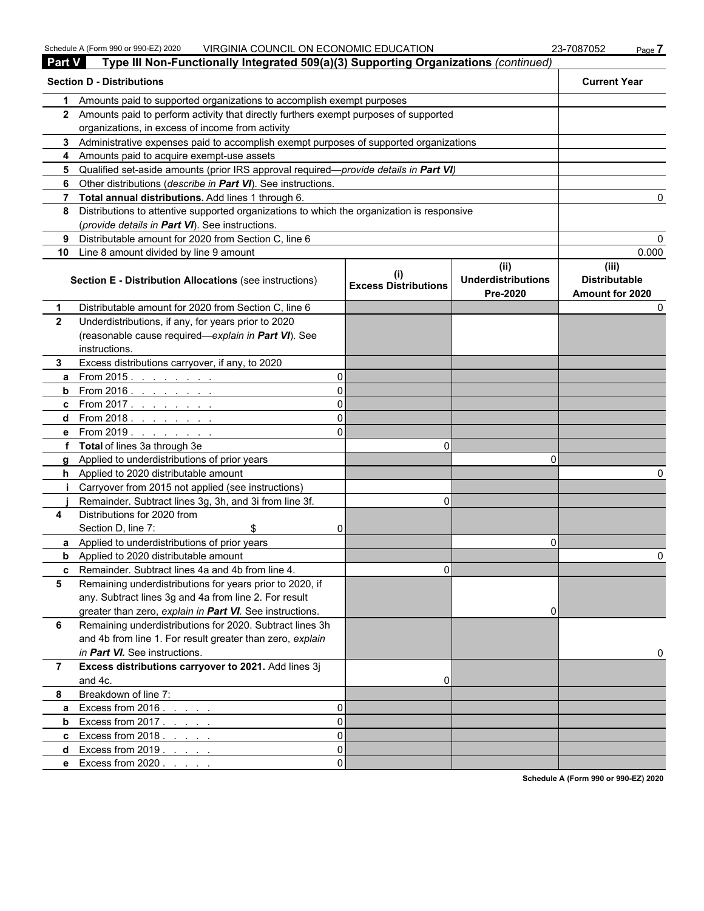| <b>Part V</b>  | Type III Non-Functionally Integrated 509(a)(3) Supporting Organizations (continued)          |          |                                             |                                               |                                                  |
|----------------|----------------------------------------------------------------------------------------------|----------|---------------------------------------------|-----------------------------------------------|--------------------------------------------------|
|                | <b>Section D - Distributions</b>                                                             |          |                                             |                                               | <b>Current Year</b>                              |
| 1              | Amounts paid to supported organizations to accomplish exempt purposes                        |          |                                             |                                               |                                                  |
|                | 2 Amounts paid to perform activity that directly furthers exempt purposes of supported       |          |                                             |                                               |                                                  |
|                | organizations, in excess of income from activity                                             |          |                                             |                                               |                                                  |
|                | 3 Administrative expenses paid to accomplish exempt purposes of supported organizations      |          |                                             |                                               |                                                  |
|                | 4 Amounts paid to acquire exempt-use assets                                                  |          |                                             |                                               |                                                  |
|                | 5 Qualified set-aside amounts (prior IRS approval required—provide details in Part VI)       |          |                                             |                                               |                                                  |
| 6              | Other distributions (describe in Part VI). See instructions.                                 |          |                                             |                                               |                                                  |
|                | 7 Total annual distributions. Add lines 1 through 6.                                         |          |                                             |                                               |                                                  |
|                | 8 Distributions to attentive supported organizations to which the organization is responsive |          |                                             |                                               |                                                  |
|                | (provide details in Part VI). See instructions.                                              |          |                                             |                                               |                                                  |
| 9              | Distributable amount for 2020 from Section C, line 6                                         |          |                                             |                                               |                                                  |
| 10             | Line 8 amount divided by line 9 amount                                                       |          |                                             |                                               | 0.000                                            |
|                | <b>Section E - Distribution Allocations (see instructions)</b>                               |          | $\sf ^{(l)}$<br><b>Excess Distributions</b> | (ii)<br><b>Underdistributions</b><br>Pre-2020 | (iii)<br><b>Distributable</b><br>Amount for 2020 |
| $\mathbf 1$    | Distributable amount for 2020 from Section C, line 6                                         |          |                                             |                                               |                                                  |
| $\mathbf{2}$   | Underdistributions, if any, for years prior to 2020                                          |          |                                             |                                               |                                                  |
|                | (reasonable cause required-explain in Part VI). See                                          |          |                                             |                                               |                                                  |
|                | instructions.                                                                                |          |                                             |                                               |                                                  |
| 3.             | Excess distributions carryover, if any, to 2020                                              |          |                                             |                                               |                                                  |
| a              | From 2015. $\ldots$                                                                          | 0        |                                             |                                               |                                                  |
|                | <b>b</b> From 2016. $\frac{1}{1}$                                                            | 0        |                                             |                                               |                                                  |
|                | <b>c</b> From 2017.                                                                          | 0        |                                             |                                               |                                                  |
|                | d From 2018.                                                                                 | 0        |                                             |                                               |                                                  |
|                | <b>e</b> From 2019.                                                                          | ΩI       |                                             |                                               |                                                  |
|                | f Total of lines 3a through 3e                                                               |          | 0                                           |                                               |                                                  |
|                | g Applied to underdistributions of prior years                                               |          |                                             | n                                             |                                                  |
|                | h Applied to 2020 distributable amount                                                       |          |                                             |                                               |                                                  |
| Ť.             | Carryover from 2015 not applied (see instructions)                                           |          |                                             |                                               |                                                  |
|                | Remainder. Subtract lines 3g, 3h, and 3i from line 3f.                                       |          | $\Omega$                                    |                                               |                                                  |
| 4              | Distributions for 2020 from                                                                  |          |                                             |                                               |                                                  |
|                | Section D, line 7:<br>\$                                                                     | 0        |                                             |                                               |                                                  |
|                | a Applied to underdistributions of prior years                                               |          |                                             | 0                                             |                                                  |
|                | <b>b</b> Applied to 2020 distributable amount                                                |          |                                             |                                               |                                                  |
|                | <b>c</b> Remainder. Subtract lines 4a and 4b from line 4.                                    |          | U.                                          |                                               |                                                  |
| 5              | Remaining underdistributions for years prior to 2020, if                                     |          |                                             |                                               |                                                  |
|                | any. Subtract lines 3g and 4a from line 2. For result                                        |          |                                             |                                               |                                                  |
|                | greater than zero, explain in Part VI. See instructions.                                     |          |                                             | 0                                             |                                                  |
| 6              | Remaining underdistributions for 2020. Subtract lines 3h                                     |          |                                             |                                               |                                                  |
|                | and 4b from line 1. For result greater than zero, explain                                    |          |                                             |                                               |                                                  |
|                | in Part VI. See instructions.                                                                |          |                                             |                                               |                                                  |
| $\overline{7}$ | Excess distributions carryover to 2021. Add lines 3j                                         |          |                                             |                                               |                                                  |
|                | and 4c.                                                                                      |          | 0                                           |                                               |                                                  |
| 8              | Breakdown of line 7:                                                                         |          |                                             |                                               |                                                  |
| a              | Excess from $2016. \ldots$ .                                                                 | 0        |                                             |                                               |                                                  |
| b              | Excess from $2017$ .                                                                         | $\Omega$ |                                             |                                               |                                                  |
|                | <b>c</b> Excess from $2018.$                                                                 | $\Omega$ |                                             |                                               |                                                  |
| d              | Excess from $2019. \ldots$ .                                                                 | 0        |                                             |                                               |                                                  |
|                | e Excess from 2020.                                                                          | 0        |                                             |                                               |                                                  |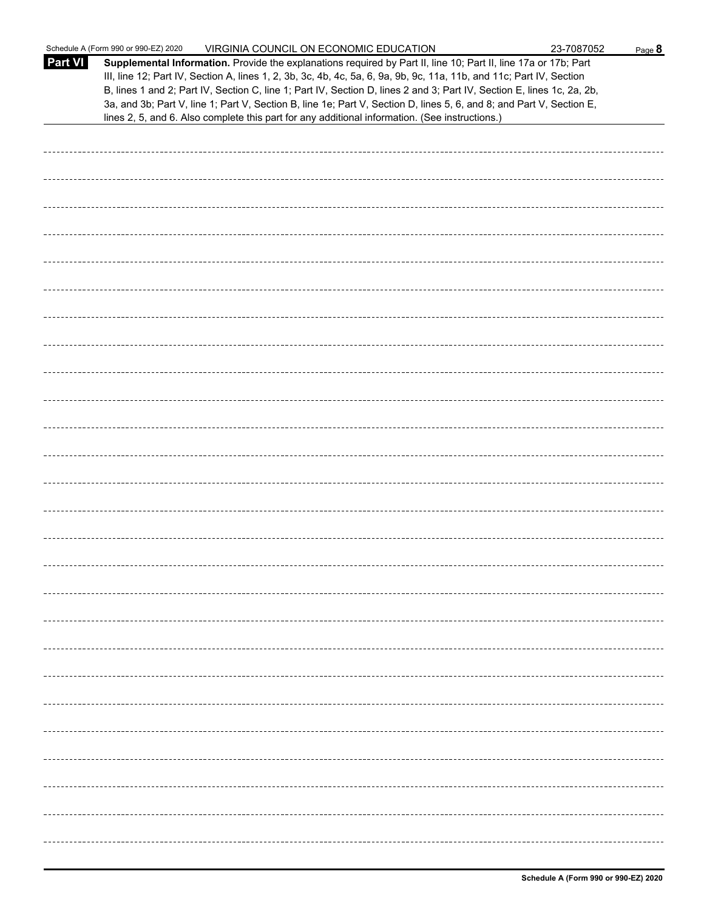|         | Schedule A (Form 990 or 990-EZ) 2020<br>VIRGINIA COUNCIL ON ECONOMIC EDUCATION                                                                                                                                                                                                                                                                                                                                                                                                                                                                                                              | 23-7087052 | Page 8 |
|---------|---------------------------------------------------------------------------------------------------------------------------------------------------------------------------------------------------------------------------------------------------------------------------------------------------------------------------------------------------------------------------------------------------------------------------------------------------------------------------------------------------------------------------------------------------------------------------------------------|------------|--------|
| Part VI | Supplemental Information. Provide the explanations required by Part II, line 10; Part II, line 17a or 17b; Part<br>III, line 12; Part IV, Section A, lines 1, 2, 3b, 3c, 4b, 4c, 5a, 6, 9a, 9b, 9c, 11a, 11b, and 11c; Part IV, Section<br>B, lines 1 and 2; Part IV, Section C, line 1; Part IV, Section D, lines 2 and 3; Part IV, Section E, lines 1c, 2a, 2b,<br>3a, and 3b; Part V, line 1; Part V, Section B, line 1e; Part V, Section D, lines 5, 6, and 8; and Part V, Section E,<br>lines 2, 5, and 6. Also complete this part for any additional information. (See instructions.) |            |        |
|         |                                                                                                                                                                                                                                                                                                                                                                                                                                                                                                                                                                                             |            |        |
|         |                                                                                                                                                                                                                                                                                                                                                                                                                                                                                                                                                                                             |            |        |
|         |                                                                                                                                                                                                                                                                                                                                                                                                                                                                                                                                                                                             |            |        |
|         |                                                                                                                                                                                                                                                                                                                                                                                                                                                                                                                                                                                             |            |        |
|         |                                                                                                                                                                                                                                                                                                                                                                                                                                                                                                                                                                                             |            |        |
|         |                                                                                                                                                                                                                                                                                                                                                                                                                                                                                                                                                                                             |            |        |
|         |                                                                                                                                                                                                                                                                                                                                                                                                                                                                                                                                                                                             |            |        |
|         |                                                                                                                                                                                                                                                                                                                                                                                                                                                                                                                                                                                             |            |        |
|         |                                                                                                                                                                                                                                                                                                                                                                                                                                                                                                                                                                                             |            |        |
|         |                                                                                                                                                                                                                                                                                                                                                                                                                                                                                                                                                                                             |            |        |
|         |                                                                                                                                                                                                                                                                                                                                                                                                                                                                                                                                                                                             |            |        |
|         |                                                                                                                                                                                                                                                                                                                                                                                                                                                                                                                                                                                             |            |        |
|         |                                                                                                                                                                                                                                                                                                                                                                                                                                                                                                                                                                                             |            |        |
|         |                                                                                                                                                                                                                                                                                                                                                                                                                                                                                                                                                                                             |            |        |
|         |                                                                                                                                                                                                                                                                                                                                                                                                                                                                                                                                                                                             |            |        |
|         |                                                                                                                                                                                                                                                                                                                                                                                                                                                                                                                                                                                             |            |        |
|         |                                                                                                                                                                                                                                                                                                                                                                                                                                                                                                                                                                                             |            |        |
|         |                                                                                                                                                                                                                                                                                                                                                                                                                                                                                                                                                                                             |            |        |
|         |                                                                                                                                                                                                                                                                                                                                                                                                                                                                                                                                                                                             |            |        |
|         |                                                                                                                                                                                                                                                                                                                                                                                                                                                                                                                                                                                             |            |        |
|         |                                                                                                                                                                                                                                                                                                                                                                                                                                                                                                                                                                                             |            |        |
|         |                                                                                                                                                                                                                                                                                                                                                                                                                                                                                                                                                                                             |            |        |
|         |                                                                                                                                                                                                                                                                                                                                                                                                                                                                                                                                                                                             |            |        |
|         |                                                                                                                                                                                                                                                                                                                                                                                                                                                                                                                                                                                             |            |        |
|         |                                                                                                                                                                                                                                                                                                                                                                                                                                                                                                                                                                                             |            |        |
|         |                                                                                                                                                                                                                                                                                                                                                                                                                                                                                                                                                                                             |            |        |
|         |                                                                                                                                                                                                                                                                                                                                                                                                                                                                                                                                                                                             |            |        |
|         |                                                                                                                                                                                                                                                                                                                                                                                                                                                                                                                                                                                             |            |        |
|         |                                                                                                                                                                                                                                                                                                                                                                                                                                                                                                                                                                                             |            |        |
|         |                                                                                                                                                                                                                                                                                                                                                                                                                                                                                                                                                                                             |            |        |
|         |                                                                                                                                                                                                                                                                                                                                                                                                                                                                                                                                                                                             |            |        |
|         |                                                                                                                                                                                                                                                                                                                                                                                                                                                                                                                                                                                             |            |        |
|         |                                                                                                                                                                                                                                                                                                                                                                                                                                                                                                                                                                                             |            |        |
|         |                                                                                                                                                                                                                                                                                                                                                                                                                                                                                                                                                                                             |            |        |
|         |                                                                                                                                                                                                                                                                                                                                                                                                                                                                                                                                                                                             |            |        |
|         |                                                                                                                                                                                                                                                                                                                                                                                                                                                                                                                                                                                             |            |        |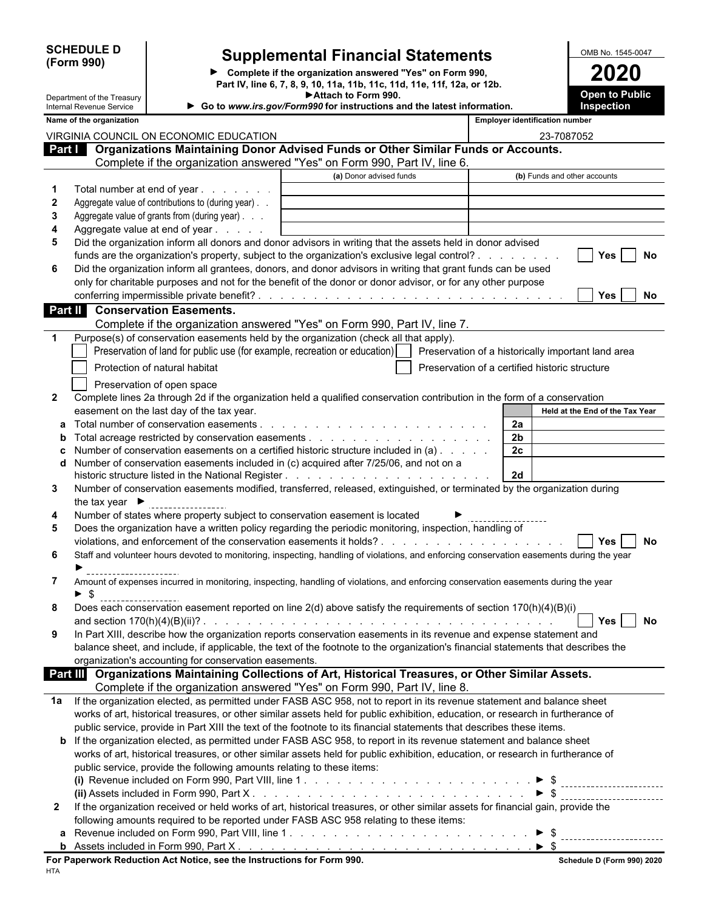| <b>SCHEDULE D</b> |  |
|-------------------|--|
| (Form 990)        |  |

Department of the Treasury

# **Supplemental Financial Statements**<br> **Supplemental Financial Statements**<br> **Part IV** line 6.7.8 0.940 and the distribution of the condition of the condition of the condition of the condition of the condition of the conditio

**Complete if the organization answered "Yes" on Form 990, 2020 Part IV, line 6, 7, 8, 9, 10, 11a, 11b, 11c, 11d, 11e, 11f, 12a, or 12b. Attach to Form 990.**

| <b>Open to Public</b> |  |
|-----------------------|--|
| <b>Inspection</b>     |  |

|              | Internal Revenue Service           |                                                                        | Go to www.irs.gov/Form990 for instructions and the latest information.                                                                    |                                                    | Inspection                      |           |
|--------------|------------------------------------|------------------------------------------------------------------------|-------------------------------------------------------------------------------------------------------------------------------------------|----------------------------------------------------|---------------------------------|-----------|
|              | Name of the organization           |                                                                        |                                                                                                                                           | <b>Employer identification number</b>              |                                 |           |
|              |                                    | VIRGINIA COUNCIL ON ECONOMIC EDUCATION                                 |                                                                                                                                           | 23-7087052                                         |                                 |           |
|              |                                    |                                                                        | Part   Organizations Maintaining Donor Advised Funds or Other Similar Funds or Accounts.                                                  |                                                    |                                 |           |
|              |                                    |                                                                        | Complete if the organization answered "Yes" on Form 990, Part IV, line 6.                                                                 |                                                    |                                 |           |
|              |                                    |                                                                        | (a) Donor advised funds                                                                                                                   | (b) Funds and other accounts                       |                                 |           |
|              |                                    | Total number at end of year                                            |                                                                                                                                           |                                                    |                                 |           |
| $\mathbf{2}$ |                                    | Aggregate value of contributions to (during year).                     |                                                                                                                                           |                                                    |                                 |           |
| 3            |                                    | Aggregate value of grants from (during year)                           |                                                                                                                                           |                                                    |                                 |           |
| 4            |                                    | Aggregate value at end of year                                         |                                                                                                                                           |                                                    |                                 |           |
| 5            |                                    |                                                                        | Did the organization inform all donors and donor advisors in writing that the assets held in donor advised                                |                                                    |                                 |           |
|              |                                    |                                                                        | funds are the organization's property, subject to the organization's exclusive legal control?                                             |                                                    | <b>Yes</b>                      | <b>No</b> |
| 6            |                                    |                                                                        | Did the organization inform all grantees, donors, and donor advisors in writing that grant funds can be used                              |                                                    |                                 |           |
|              |                                    |                                                                        | only for charitable purposes and not for the benefit of the donor or donor advisor, or for any other purpose                              |                                                    |                                 |           |
|              |                                    |                                                                        |                                                                                                                                           |                                                    | Yes                             | No        |
|              |                                    | Part II Conservation Easements.                                        |                                                                                                                                           |                                                    |                                 |           |
|              |                                    |                                                                        | Complete if the organization answered "Yes" on Form 990, Part IV, line 7.                                                                 |                                                    |                                 |           |
|              |                                    |                                                                        | Purpose(s) of conservation easements held by the organization (check all that apply).                                                     |                                                    |                                 |           |
|              |                                    |                                                                        | Preservation of land for public use (for example, recreation or education)                                                                | Preservation of a historically important land area |                                 |           |
|              |                                    |                                                                        |                                                                                                                                           |                                                    |                                 |           |
|              |                                    | Protection of natural habitat                                          |                                                                                                                                           | Preservation of a certified historic structure     |                                 |           |
|              |                                    | Preservation of open space                                             |                                                                                                                                           |                                                    |                                 |           |
| $\mathbf{2}$ |                                    |                                                                        | Complete lines 2a through 2d if the organization held a qualified conservation contribution in the form of a conservation                 |                                                    |                                 |           |
|              |                                    | easement on the last day of the tax year.                              |                                                                                                                                           |                                                    | Held at the End of the Tax Year |           |
| а            |                                    |                                                                        |                                                                                                                                           | 2a                                                 |                                 |           |
| b            |                                    |                                                                        |                                                                                                                                           | 2 <sub>b</sub>                                     |                                 |           |
|              |                                    |                                                                        | Number of conservation easements on a certified historic structure included in (a)                                                        | 2c                                                 |                                 |           |
|              |                                    |                                                                        | Number of conservation easements included in (c) acquired after 7/25/06, and not on a                                                     |                                                    |                                 |           |
|              |                                    |                                                                        |                                                                                                                                           | 2d                                                 |                                 |           |
| 3            |                                    |                                                                        | Number of conservation easements modified, transferred, released, extinguished, or terminated by the organization during                  |                                                    |                                 |           |
|              | the tax year $\blacktriangleright$ |                                                                        |                                                                                                                                           |                                                    |                                 |           |
| 4            |                                    |                                                                        | Number of states where property subject to conservation easement is located                                                               |                                                    |                                 |           |
| 5            |                                    |                                                                        | Does the organization have a written policy regarding the periodic monitoring, inspection, handling of                                    |                                                    |                                 |           |
|              |                                    |                                                                        |                                                                                                                                           |                                                    | <b>Yes</b>                      | <b>No</b> |
| 6            |                                    |                                                                        | Staff and volunteer hours devoted to monitoring, inspecting, handling of violations, and enforcing conservation easements during the year |                                                    |                                 |           |
|              |                                    |                                                                        |                                                                                                                                           |                                                    |                                 |           |
| 7            |                                    |                                                                        | Amount of expenses incurred in monitoring, inspecting, handling of violations, and enforcing conservation easements during the year       |                                                    |                                 |           |
|              |                                    |                                                                        |                                                                                                                                           |                                                    |                                 |           |
| 8            |                                    |                                                                        | Does each conservation easement reported on line 2(d) above satisfy the requirements of section 170(h)(4)(B)(i)                           |                                                    |                                 |           |
|              |                                    |                                                                        |                                                                                                                                           |                                                    | $\Box$ Yes $\Box$               | No        |
| 9            |                                    |                                                                        | In Part XIII, describe how the organization reports conservation easements in its revenue and expense statement and                       |                                                    |                                 |           |
|              |                                    |                                                                        | balance sheet, and include, if applicable, the text of the footnote to the organization's financial statements that describes the         |                                                    |                                 |           |
|              |                                    | organization's accounting for conservation easements.                  |                                                                                                                                           |                                                    |                                 |           |
|              |                                    |                                                                        | Part III Organizations Maintaining Collections of Art, Historical Treasures, or Other Similar Assets.                                     |                                                    |                                 |           |
|              |                                    |                                                                        | Complete if the organization answered "Yes" on Form 990, Part IV, line 8.                                                                 |                                                    |                                 |           |
| 1a           |                                    |                                                                        | If the organization elected, as permitted under FASB ASC 958, not to report in its revenue statement and balance sheet                    |                                                    |                                 |           |
|              |                                    |                                                                        | works of art, historical treasures, or other similar assets held for public exhibition, education, or research in furtherance of          |                                                    |                                 |           |
|              |                                    |                                                                        | public service, provide in Part XIII the text of the footnote to its financial statements that describes these items.                     |                                                    |                                 |           |
|              |                                    |                                                                        | <b>b</b> If the organization elected, as permitted under FASB ASC 958, to report in its revenue statement and balance sheet               |                                                    |                                 |           |
|              |                                    |                                                                        | works of art, historical treasures, or other similar assets held for public exhibition, education, or research in furtherance of          |                                                    |                                 |           |
|              |                                    | public service, provide the following amounts relating to these items: |                                                                                                                                           |                                                    |                                 |           |
|              |                                    |                                                                        |                                                                                                                                           |                                                    |                                 |           |
|              |                                    |                                                                        |                                                                                                                                           |                                                    | $\triangleright$ \$             |           |
| $\mathbf{2}$ |                                    |                                                                        | If the organization received or held works of art, historical treasures, or other similar assets for financial gain, provide the          |                                                    |                                 |           |
|              |                                    |                                                                        | following amounts required to be reported under FASB ASC 958 relating to these items:                                                     |                                                    |                                 |           |
|              |                                    |                                                                        |                                                                                                                                           |                                                    |                                 |           |
|              |                                    |                                                                        |                                                                                                                                           |                                                    |                                 |           |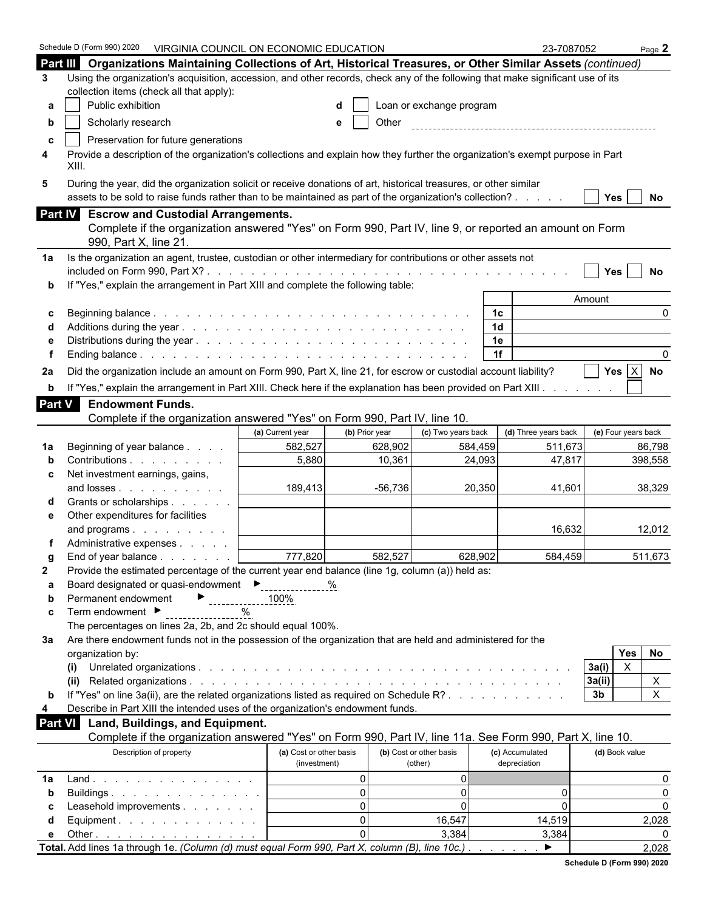|                | Schedule D (Form 990) 2020<br>VIRGINIA COUNCIL ON ECONOMIC EDUCATION                                                                                                                                                         |                         |                |                         |                      | 23-7087052           |                     | Page $2$ |
|----------------|------------------------------------------------------------------------------------------------------------------------------------------------------------------------------------------------------------------------------|-------------------------|----------------|-------------------------|----------------------|----------------------|---------------------|----------|
|                | Part III Organizations Maintaining Collections of Art, Historical Treasures, or Other Similar Assets (continued)                                                                                                             |                         |                |                         |                      |                      |                     |          |
| 3              | Using the organization's acquisition, accession, and other records, check any of the following that make significant use of its                                                                                              |                         |                |                         |                      |                      |                     |          |
|                | collection items (check all that apply):                                                                                                                                                                                     |                         |                |                         |                      |                      |                     |          |
| а              | Public exhibition<br>Loan or exchange program                                                                                                                                                                                |                         |                |                         |                      |                      |                     |          |
| b              | Scholarly research                                                                                                                                                                                                           |                         | Other<br>е     |                         |                      |                      |                     |          |
| c              | Preservation for future generations                                                                                                                                                                                          |                         |                |                         |                      |                      |                     |          |
| 4              | Provide a description of the organization's collections and explain how they further the organization's exempt purpose in Part<br>XIII.                                                                                      |                         |                |                         |                      |                      |                     |          |
| 5              | During the year, did the organization solicit or receive donations of art, historical treasures, or other similar<br>assets to be sold to raise funds rather than to be maintained as part of the organization's collection? |                         |                |                         |                      |                      | Yes $ $             | No       |
|                | Part IV Escrow and Custodial Arrangements.                                                                                                                                                                                   |                         |                |                         |                      |                      |                     |          |
|                | Complete if the organization answered "Yes" on Form 990, Part IV, line 9, or reported an amount on Form<br>990, Part X, line 21                                                                                              |                         |                |                         |                      |                      |                     |          |
| 1a             | Is the organization an agent, trustee, custodian or other intermediary for contributions or other assets not                                                                                                                 |                         |                |                         |                      |                      |                     |          |
|                |                                                                                                                                                                                                                              |                         |                |                         |                      |                      | <b>Yes</b>          | No       |
| b              | If "Yes," explain the arrangement in Part XIII and complete the following table:                                                                                                                                             |                         |                |                         |                      |                      |                     |          |
|                |                                                                                                                                                                                                                              |                         |                |                         |                      |                      | Amount              |          |
| c              |                                                                                                                                                                                                                              |                         |                |                         | 1с                   |                      |                     | 0        |
|                |                                                                                                                                                                                                                              |                         |                |                         | 1 <sub>d</sub><br>1e |                      |                     |          |
|                |                                                                                                                                                                                                                              |                         |                |                         | 1f                   |                      |                     |          |
|                |                                                                                                                                                                                                                              |                         |                |                         |                      |                      |                     |          |
| 2a             | Did the organization include an amount on Form 990, Part X, line 21, for escrow or custodial account liability?                                                                                                              |                         |                |                         |                      |                      | Yes $ X $           | No       |
| b              | If "Yes," explain the arrangement in Part XIII. Check here if the explanation has been provided on Part XIII.                                                                                                                |                         |                |                         |                      |                      |                     |          |
| Part V         | <b>Endowment Funds.</b>                                                                                                                                                                                                      |                         |                |                         |                      |                      |                     |          |
|                | Complete if the organization answered "Yes" on Form 990, Part IV, line 10.                                                                                                                                                   |                         |                |                         |                      |                      |                     |          |
|                |                                                                                                                                                                                                                              | (a) Current year        | (b) Prior year | (c) Two years back      |                      | (d) Three years back | (e) Four years back |          |
| 1a             | Beginning of year balance                                                                                                                                                                                                    | 582,527                 | 628,902        | 584,459                 |                      | 511,673              |                     | 86,798   |
|                | Contributions                                                                                                                                                                                                                | 5,880                   | 10,361         |                         | 24,093               | 47,817               |                     | 398,558  |
| c              | Net investment earnings, gains,                                                                                                                                                                                              |                         |                |                         |                      |                      |                     |          |
|                | and losses                                                                                                                                                                                                                   | 189,413                 | $-56,736$      |                         | 20,350               | 41,601               |                     | 38,329   |
|                | Grants or scholarships                                                                                                                                                                                                       |                         |                |                         |                      |                      |                     |          |
| е              | Other expenditures for facilities                                                                                                                                                                                            |                         |                |                         |                      | 16,632               |                     | 12,012   |
|                | and programs<br>Administrative expenses                                                                                                                                                                                      |                         |                |                         |                      |                      |                     |          |
| a              | End of year balance                                                                                                                                                                                                          | 777,820                 | 582,527        |                         | 628,902              | 584,459              |                     | 511.673  |
| $\mathbf{2}$   | Provide the estimated percentage of the current year end balance (line 1g, column (a)) held as:                                                                                                                              |                         |                |                         |                      |                      |                     |          |
| а              | Board designated or quasi-endowment ▶ 469 469                                                                                                                                                                                |                         |                |                         |                      |                      |                     |          |
| b              | Permanent endowment<br>▶                                                                                                                                                                                                     | 100%                    |                |                         |                      |                      |                     |          |
| c              | Term endowment ▶                                                                                                                                                                                                             | $\%$                    |                |                         |                      |                      |                     |          |
|                | The percentages on lines 2a, 2b, and 2c should equal 100%.                                                                                                                                                                   |                         |                |                         |                      |                      |                     |          |
| За             | Are there endowment funds not in the possession of the organization that are held and administered for the                                                                                                                   |                         |                |                         |                      |                      |                     |          |
|                | organization by:                                                                                                                                                                                                             |                         |                |                         |                      |                      | <b>Yes</b>          | No       |
|                | (i)                                                                                                                                                                                                                          |                         |                |                         |                      |                      | $\times$<br>3a(i)   |          |
|                | (ii)                                                                                                                                                                                                                         |                         |                |                         |                      |                      | 3a(ii)              | X        |
| b              | If "Yes" on line 3a(ii), are the related organizations listed as required on Schedule R?                                                                                                                                     |                         |                |                         |                      |                      | 3 <sub>b</sub>      | X        |
| 4              | Describe in Part XIII the intended uses of the organization's endowment funds.                                                                                                                                               |                         |                |                         |                      |                      |                     |          |
| <b>Part VI</b> | Land, Buildings, and Equipment.<br>Complete if the organization answered "Yes" on Form 990, Part IV, line 11a. See Form 990, Part X, line 10.                                                                                |                         |                |                         |                      |                      |                     |          |
|                | Description of property                                                                                                                                                                                                      | (a) Cost or other basis |                | (b) Cost or other basis |                      | (c) Accumulated      | (d) Book value      |          |
|                |                                                                                                                                                                                                                              | (investment)            |                | (other)                 |                      | depreciation         |                     |          |
| 1a             | $Land.$                                                                                                                                                                                                                      |                         | $\mathbf{0}$   | $\overline{0}$          |                      |                      |                     | 0        |
| b              | Buildings                                                                                                                                                                                                                    |                         | $\mathbf{0}$   | $\Omega$                |                      | 0                    |                     | $\Omega$ |
| С              | Leasehold improvements                                                                                                                                                                                                       |                         | $\Omega$       | $\Omega$                |                      | 0                    |                     | $\Omega$ |
| d              | Equipment.                                                                                                                                                                                                                   |                         | $\Omega$       | 16,547                  |                      | 14,519               |                     | 2,028    |
| е              | Other $\ldots$ $\ldots$ $\ldots$ $\ldots$ $\ldots$ $\ldots$                                                                                                                                                                  |                         | $\Omega$       | 3,384                   |                      | 3,384                |                     |          |
|                | Total. Add lines 1a through 1e. (Column (d) must equal Form 990, Part X, column (B), line 10c.)                                                                                                                              |                         |                |                         |                      | ▶                    |                     | 2,028    |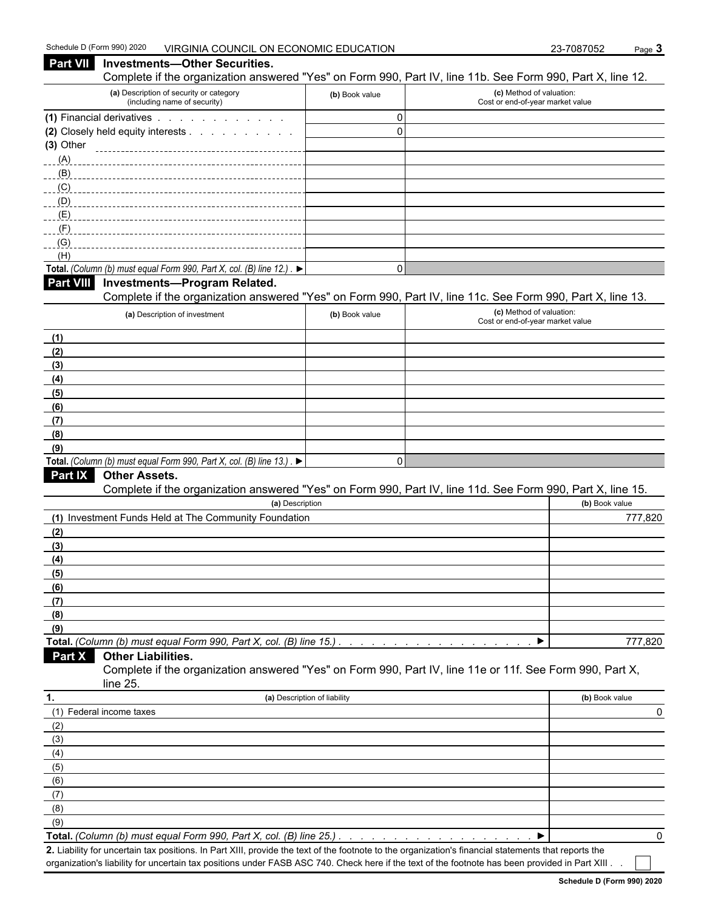**Part VII Investments—Other Securities.**

| Complete if the organization answered "Yes" on Form 990, Part IV, line 11b. See Form 990, Part X, line 12. |                              |                                                              |                |
|------------------------------------------------------------------------------------------------------------|------------------------------|--------------------------------------------------------------|----------------|
| (a) Description of security or category<br>(including name of security)                                    | (b) Book value               | (c) Method of valuation:<br>Cost or end-of-year market value |                |
| (1) Financial derivatives                                                                                  | $\mathbf{0}$                 |                                                              |                |
| (2) Closely held equity interests                                                                          | $\mathbf 0$                  |                                                              |                |
| $(3)$ Other                                                                                                |                              |                                                              |                |
|                                                                                                            |                              |                                                              |                |
|                                                                                                            |                              |                                                              |                |
|                                                                                                            |                              |                                                              |                |
|                                                                                                            |                              |                                                              |                |
| (E)                                                                                                        |                              |                                                              |                |
| (F)                                                                                                        |                              |                                                              |                |
| (G)                                                                                                        |                              |                                                              |                |
| (H)                                                                                                        |                              |                                                              |                |
| Total. (Column (b) must equal Form 990, Part X, col. (B) line 12.). ▶                                      | 0                            |                                                              |                |
| Part VIII Investments-Program Related.                                                                     |                              |                                                              |                |
| Complete if the organization answered "Yes" on Form 990, Part IV, line 11c. See Form 990, Part X, line 13. |                              |                                                              |                |
|                                                                                                            |                              | (c) Method of valuation:                                     |                |
| (a) Description of investment                                                                              | (b) Book value               | Cost or end-of-year market value                             |                |
| (1)                                                                                                        |                              |                                                              |                |
| (2)                                                                                                        |                              |                                                              |                |
| (3)                                                                                                        |                              |                                                              |                |
| (4)                                                                                                        |                              |                                                              |                |
| (5)                                                                                                        |                              |                                                              |                |
| (6)                                                                                                        |                              |                                                              |                |
| (7)                                                                                                        |                              |                                                              |                |
| (8)                                                                                                        |                              |                                                              |                |
| (9)                                                                                                        |                              |                                                              |                |
| Total. (Column (b) must equal Form 990, Part X, col. (B) line 13.). $\blacktriangleright$                  | $\mathbf 0$                  |                                                              |                |
| <b>Part IX Other Assets.</b>                                                                               |                              |                                                              |                |
| Complete if the organization answered "Yes" on Form 990, Part IV, line 11d. See Form 990, Part X, line 15. |                              |                                                              |                |
| (a) Description                                                                                            |                              |                                                              | (b) Book value |
| (1) Investment Funds Held at The Community Foundation                                                      |                              |                                                              | 777,820        |
|                                                                                                            |                              |                                                              |                |
| (2)                                                                                                        |                              |                                                              |                |
| (3)                                                                                                        |                              |                                                              |                |
| (4)                                                                                                        |                              |                                                              |                |
| (5)                                                                                                        |                              |                                                              |                |
| (6)                                                                                                        |                              |                                                              |                |
| (7)                                                                                                        |                              |                                                              |                |
| (8)                                                                                                        |                              |                                                              |                |
| (9)                                                                                                        |                              |                                                              |                |
| Total. (Column (b) must equal Form 990, Part X, col. (B) line 15.)                                         |                              | ▶                                                            | 777,820        |
| <b>Other Liabilities.</b><br><b>Part X</b>                                                                 |                              |                                                              |                |
| Complete if the organization answered "Yes" on Form 990, Part IV, line 11e or 11f. See Form 990, Part X,   |                              |                                                              |                |
| line 25.                                                                                                   |                              |                                                              |                |
| 1.                                                                                                         | (a) Description of liability |                                                              | (b) Book value |
| (1) Federal income taxes                                                                                   |                              |                                                              | 0              |
| (2)                                                                                                        |                              |                                                              |                |
| (3)                                                                                                        |                              |                                                              |                |
| (4)                                                                                                        |                              |                                                              |                |
| (5)                                                                                                        |                              |                                                              |                |
| (6)                                                                                                        |                              |                                                              |                |
| (7)                                                                                                        |                              |                                                              |                |
| (8)                                                                                                        |                              |                                                              |                |
| (9)                                                                                                        |                              |                                                              |                |
|                                                                                                            |                              |                                                              |                |

**Total.** *(Column (b) must equal Form 990, Part X, col. (B) line 25.) . . . . . . . . . . . . . . . . . . . . . . . . . . . . . . . . . . . . . . . . . . . . .* 0

**2.** Liability for uncertain tax positions. In Part XIII, provide the text of the footnote to the organization's financial statements that reports the organization's liability for uncertain tax positions under FASB ASC 740. Check here if the text of the footnote has been provided in Part XIII . .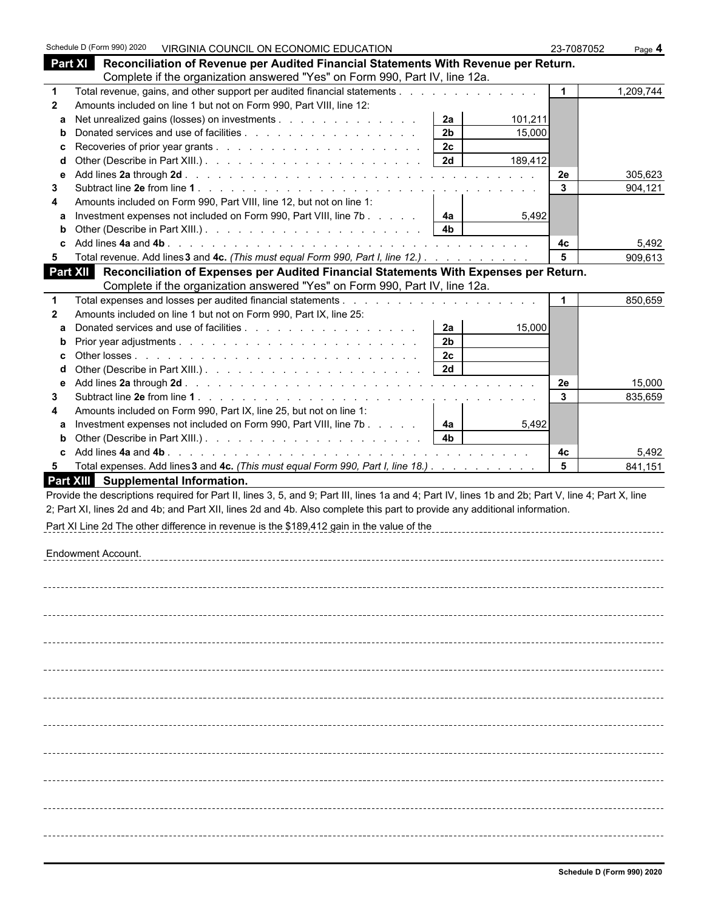|              | Schedule D (Form 990) 2020 VIRGINIA COUNCIL ON ECONOMIC EDUCATION                                                                                     | 23-7087052           | Page 4    |
|--------------|-------------------------------------------------------------------------------------------------------------------------------------------------------|----------------------|-----------|
|              | <b>Part XI</b><br>Reconciliation of Revenue per Audited Financial Statements With Revenue per Return.                                                 |                      |           |
|              | Complete if the organization answered "Yes" on Form 990, Part IV, line 12a.                                                                           |                      |           |
| $\mathbf 1$  | Total revenue, gains, and other support per audited financial statements                                                                              | $\mathbf{1}$         | 1,209,744 |
| 2            | Amounts included on line 1 but not on Form 990, Part VIII, line 12:                                                                                   |                      |           |
| a            | Net unrealized gains (losses) on investments<br>2a<br>101,211                                                                                         |                      |           |
| b            | 2 <sub>b</sub><br>15,000                                                                                                                              |                      |           |
| c            | 2c                                                                                                                                                    |                      |           |
| d            | 2d<br>189,412                                                                                                                                         |                      |           |
| е            |                                                                                                                                                       | 2e                   | 305,623   |
| 3            | Amounts included on Form 990, Part VIII, line 12, but not on line 1:                                                                                  | $\mathbf{3}$         | 904,121   |
| 4<br>a       | Investment expenses not included on Form 990, Part VIII, line 7b<br>4a<br>5,492                                                                       |                      |           |
| b            | 4 <sub>b</sub>                                                                                                                                        |                      |           |
| c            |                                                                                                                                                       | 4c                   | 5,492     |
| 5            | Total revenue. Add lines 3 and 4c. (This must equal Form 990, Part I, line 12.)                                                                       | $5\phantom{.0}$      | 909,613   |
|              | Reconciliation of Expenses per Audited Financial Statements With Expenses per Return.<br>Part XII                                                     |                      |           |
|              | Complete if the organization answered "Yes" on Form 990, Part IV, line 12a.                                                                           |                      |           |
| $\mathbf 1$  |                                                                                                                                                       | $\blacktriangleleft$ | 850,659   |
| $\mathbf{2}$ | Amounts included on line 1 but not on Form 990, Part IX, line 25:                                                                                     |                      |           |
| a            | 2a<br>15,000                                                                                                                                          |                      |           |
| b            | 2 <sub>b</sub>                                                                                                                                        |                      |           |
| c            | 2c                                                                                                                                                    |                      |           |
| d            | 2d                                                                                                                                                    |                      |           |
| е            |                                                                                                                                                       | 2e                   | 15,000    |
| 3            |                                                                                                                                                       | 3                    | 835,659   |
| 4<br>a       | Amounts included on Form 990, Part IX, line 25, but not on line 1:<br>Investment expenses not included on Form 990, Part VIII, line 7b<br>4a<br>5,492 |                      |           |
| b            | 4 <sub>b</sub>                                                                                                                                        |                      |           |
| C.           |                                                                                                                                                       | 4c                   | 5,492     |
| 5            | Total expenses. Add lines 3 and 4c. (This must equal Form 990, Part I, line 18.)                                                                      | 5                    | 841,151   |
|              | Part XIII Supplemental Information.                                                                                                                   |                      |           |
|              | Provide the descriptions required for Part II, lines 3, 5, and 9; Part III, lines 1a and 4; Part IV, lines 1b and 2b; Part V, line 4; Part X, line    |                      |           |
|              | 2; Part XI, lines 2d and 4b; and Part XII, lines 2d and 4b. Also complete this part to provide any additional information.                            |                      |           |
|              | Part XI Line 2d The other difference in revenue is the \$189,412 gain in the value of the                                                             |                      |           |
|              |                                                                                                                                                       |                      |           |
|              | <b>Endowment Account.</b>                                                                                                                             |                      |           |
|              |                                                                                                                                                       |                      |           |
|              |                                                                                                                                                       |                      |           |
|              |                                                                                                                                                       |                      |           |
|              |                                                                                                                                                       |                      |           |
|              |                                                                                                                                                       |                      |           |
|              |                                                                                                                                                       |                      |           |
|              |                                                                                                                                                       |                      |           |
|              |                                                                                                                                                       |                      |           |
|              |                                                                                                                                                       |                      |           |
|              |                                                                                                                                                       |                      |           |
|              |                                                                                                                                                       |                      |           |
|              |                                                                                                                                                       |                      |           |
|              |                                                                                                                                                       |                      |           |
|              |                                                                                                                                                       |                      |           |
|              |                                                                                                                                                       |                      |           |
|              |                                                                                                                                                       |                      |           |
|              |                                                                                                                                                       |                      |           |
|              |                                                                                                                                                       |                      |           |
|              |                                                                                                                                                       |                      |           |
|              |                                                                                                                                                       |                      |           |
|              |                                                                                                                                                       |                      |           |
|              |                                                                                                                                                       |                      |           |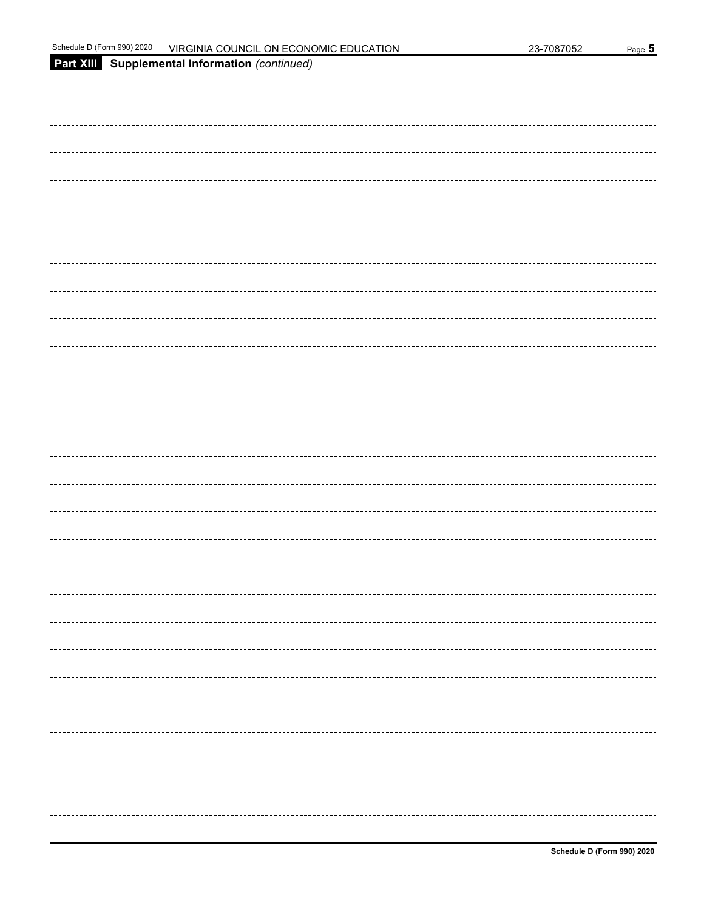|  | 3-7087052 |  |
|--|-----------|--|
|  |           |  |

| 2020<br>Schedule<br>990)<br>. D (Form<br>____ | ON ECONOMIC<br>COUNCIL<br><b>EDUCATION</b><br>√IR∩<br>GINIA، | -7087052<br>פר<br>∵−ت_ | Page |
|-----------------------------------------------|--------------------------------------------------------------|------------------------|------|
|-----------------------------------------------|--------------------------------------------------------------|------------------------|------|

| Part XIII Supplemental Information (continued) |
|------------------------------------------------|
|                                                |
|                                                |
|                                                |
|                                                |
|                                                |
|                                                |
|                                                |
|                                                |
|                                                |
|                                                |
|                                                |
|                                                |
|                                                |
|                                                |
|                                                |
|                                                |
|                                                |
|                                                |
|                                                |
|                                                |
|                                                |
|                                                |
|                                                |
|                                                |
|                                                |
|                                                |
|                                                |
|                                                |
|                                                |
|                                                |
|                                                |
|                                                |
|                                                |
|                                                |
|                                                |
|                                                |
|                                                |
|                                                |
|                                                |
|                                                |
|                                                |
|                                                |
|                                                |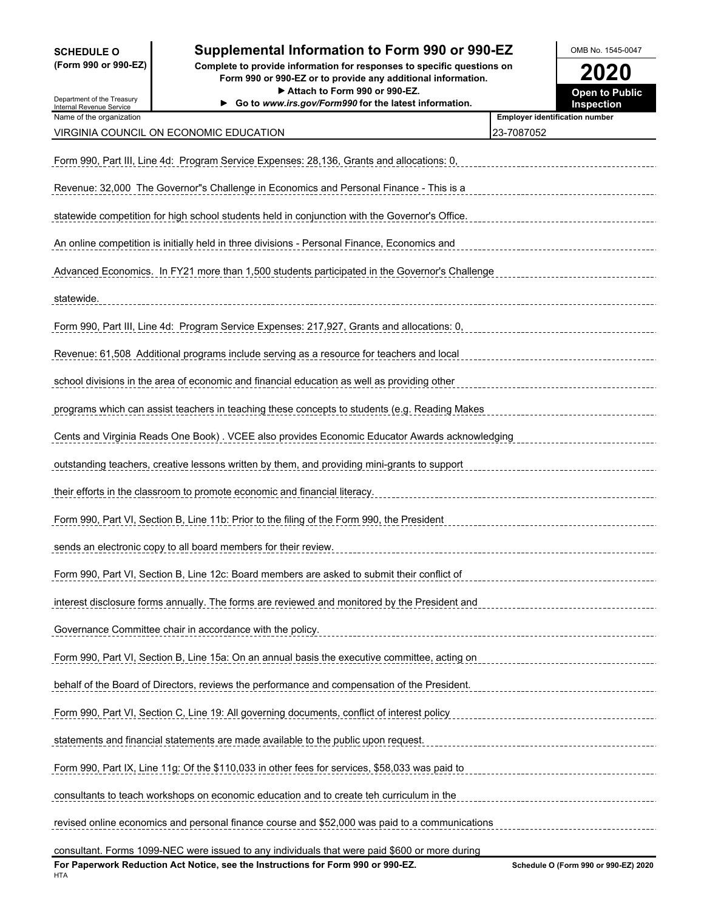### **SCHEDULE O Supplemental Information to Form 990 or 990-EZ** OMB No. 1545-0047

**(Form 990 or 990-EZ) Complete to provide information for responses to specific questions on Form 990 or 990-EZ or to provide any additional information. 2020**

| Department of the Treasury                           | Attach to Form 990 or 990-EZ.<br>Go to www.irs.gov/Form990 for the latest information.         | <b>Open to Public</b><br><b>Inspection</b> |
|------------------------------------------------------|------------------------------------------------------------------------------------------------|--------------------------------------------|
| Internal Revenue Service<br>Name of the organization |                                                                                                | <b>Employer identification number</b>      |
|                                                      | VIRGINIA COUNCIL ON ECONOMIC EDUCATION                                                         | 23-7087052                                 |
|                                                      | Form 990, Part III, Line 4d: Program Service Expenses: 28,136, Grants and allocations: 0,      |                                            |
|                                                      | Revenue: 32,000 The Governor"s Challenge in Economics and Personal Finance - This is a         |                                            |
|                                                      | statewide competition for high school students held in conjunction with the Governor's Office. |                                            |
|                                                      | An online competition is initially held in three divisions - Personal Finance, Economics and   |                                            |
|                                                      | Advanced Economics. In FY21 more than 1,500 students participated in the Governor's Challenge  |                                            |
| statewide.                                           |                                                                                                |                                            |
|                                                      | Form 990, Part III, Line 4d: Program Service Expenses: 217,927, Grants and allocations: 0,     |                                            |
|                                                      | Revenue: 61,508 Additional programs include serving as a resource for teachers and local       |                                            |
|                                                      | school divisions in the area of economic and financial education as well as providing other    |                                            |
|                                                      | programs which can assist teachers in teaching these concepts to students (e.g. Reading Makes  |                                            |
|                                                      | Cents and Virginia Reads One Book) . VCEE also provides Economic Educator Awards acknowledging |                                            |
|                                                      | outstanding teachers, creative lessons written by them, and providing mini-grants to support   |                                            |
|                                                      | their efforts in the classroom to promote economic and financial literacy.                     |                                            |
|                                                      | Form 990, Part VI, Section B, Line 11b: Prior to the filing of the Form 990, the President     |                                            |
|                                                      | sends an electronic copy to all board members for their review.                                |                                            |
|                                                      | Form 990, Part VI, Section B, Line 12c: Board members are asked to submit their conflict of    |                                            |
|                                                      | interest disclosure forms annually. The forms are reviewed and monitored by the President and  |                                            |
|                                                      | Governance Committee chair in accordance with the policy.                                      |                                            |
|                                                      | Form 990, Part VI, Section B, Line 15a: On an annual basis the executive committee, acting on  |                                            |
|                                                      | behalf of the Board of Directors, reviews the performance and compensation of the President.   |                                            |
|                                                      | Form 990, Part VI, Section C, Line 19: All governing documents, conflict of interest policy    |                                            |
|                                                      | statements and financial statements are made available to the public upon request.             |                                            |
|                                                      | Form 990, Part IX, Line 11g: Of the \$110,033 in other fees for services, \$58,033 was paid to |                                            |
|                                                      | consultants to teach workshops on economic education and to create teh curriculum in the       |                                            |
|                                                      | revised online economics and personal finance course and \$52,000 was paid to a communications |                                            |
|                                                      | consultant. Forms 1099-NEC were issued to any individuals that were paid \$600 or more during  |                                            |